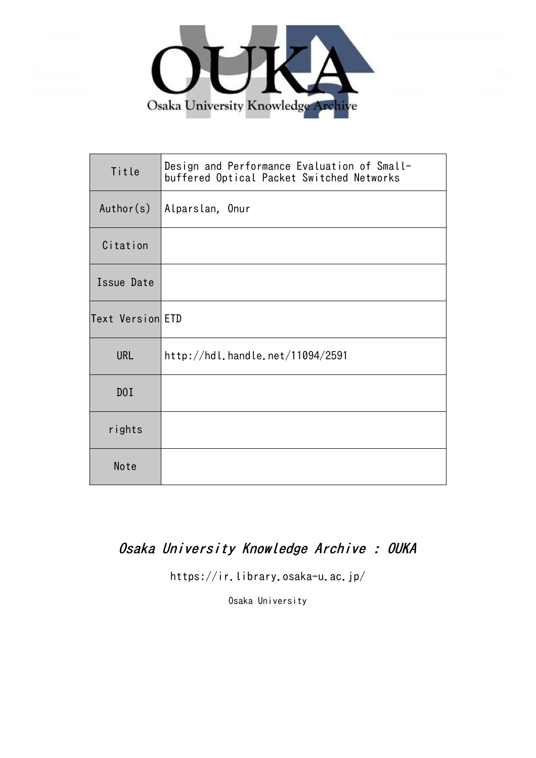

| Title            | Design and Performance Evaluation of Small-<br>buffered Optical Packet Switched Networks |
|------------------|------------------------------------------------------------------------------------------|
| Author(s)        | Alparslan, Onur                                                                          |
| Citation         |                                                                                          |
| Issue Date       |                                                                                          |
| Text Version ETD |                                                                                          |
| <b>URL</b>       | http://hdl.handle.net/11094/2591                                                         |
| DOI              |                                                                                          |
| rights           |                                                                                          |
| Note             |                                                                                          |

## Osaka University Knowledge Archive : OUKA

https://ir.library.osaka-u.ac.jp/

Osaka University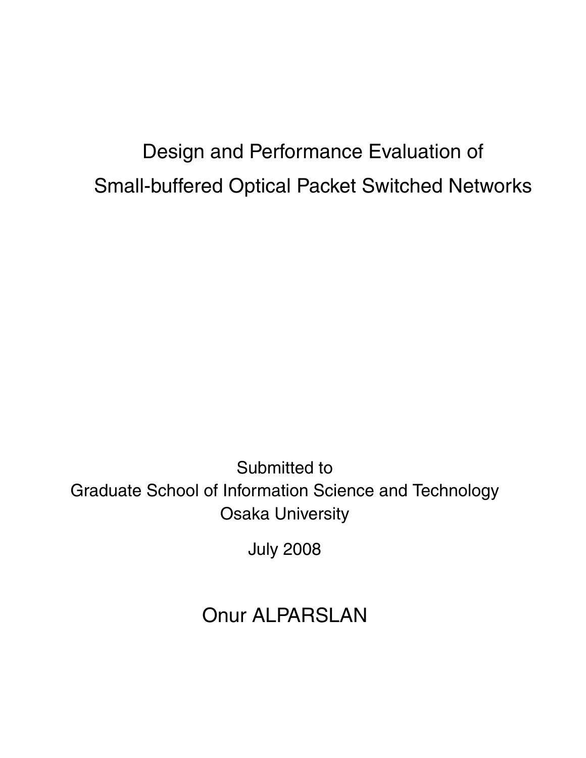# Design and Performance Evaluation of Small-buffered Optical Packet Switched Networks

Submitted to Graduate School of Information Science and Technology Osaka University

July 2008

# Onur ALPARSLAN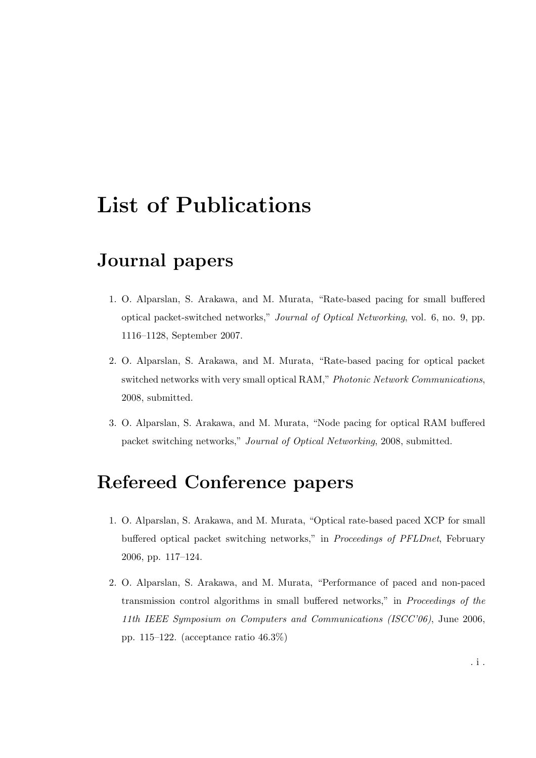# List of Publications

# Journal papers

- 1. O. Alparslan, S. Arakawa, and M. Murata, "Rate-based pacing for small buffered optical packet-switched networks," Journal of Optical Networking, vol. 6, no. 9, pp. 1116–1128, September 2007.
- 2. O. Alparslan, S. Arakawa, and M. Murata, "Rate-based pacing for optical packet switched networks with very small optical RAM," Photonic Network Communications, 2008, submitted.
- 3. O. Alparslan, S. Arakawa, and M. Murata, "Node pacing for optical RAM buffered packet switching networks," Journal of Optical Networking, 2008, submitted.

# Refereed Conference papers

- 1. O. Alparslan, S. Arakawa, and M. Murata, "Optical rate-based paced XCP for small buffered optical packet switching networks," in Proceedings of PFLDnet, February 2006, pp. 117–124.
- 2. O. Alparslan, S. Arakawa, and M. Murata, "Performance of paced and non-paced transmission control algorithms in small buffered networks," in Proceedings of the 11th IEEE Symposium on Computers and Communications (ISCC'06), June 2006, pp. 115–122. (acceptance ratio 46.3%)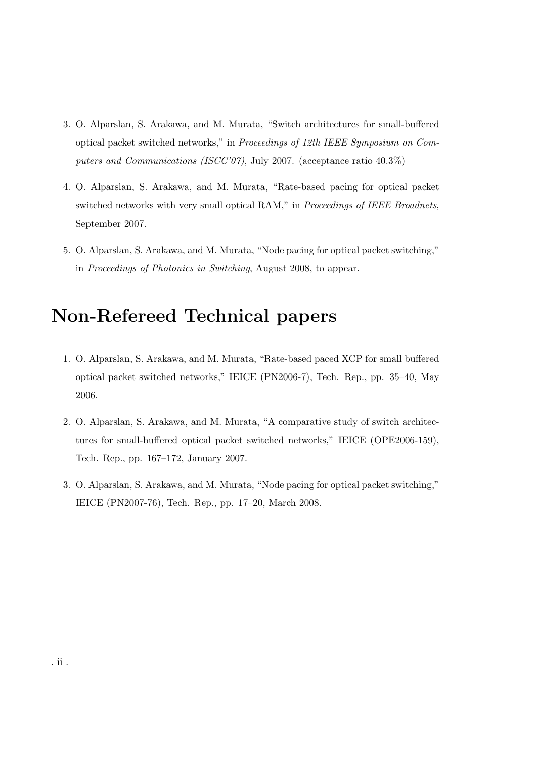- 3. O. Alparslan, S. Arakawa, and M. Murata, "Switch architectures for small-buffered optical packet switched networks," in Proceedings of 12th IEEE Symposium on Computers and Communications (ISCC'07), July 2007. (acceptance ratio 40.3%)
- 4. O. Alparslan, S. Arakawa, and M. Murata, "Rate-based pacing for optical packet switched networks with very small optical RAM," in Proceedings of IEEE Broadnets, September 2007.
- 5. O. Alparslan, S. Arakawa, and M. Murata, "Node pacing for optical packet switching," in Proceedings of Photonics in Switching, August 2008, to appear.

# Non-Refereed Technical papers

- 1. O. Alparslan, S. Arakawa, and M. Murata, "Rate-based paced XCP for small buffered optical packet switched networks," IEICE (PN2006-7), Tech. Rep., pp. 35–40, May 2006.
- 2. O. Alparslan, S. Arakawa, and M. Murata, "A comparative study of switch architectures for small-buffered optical packet switched networks," IEICE (OPE2006-159), Tech. Rep., pp. 167–172, January 2007.
- 3. O. Alparslan, S. Arakawa, and M. Murata, "Node pacing for optical packet switching," IEICE (PN2007-76), Tech. Rep., pp. 17–20, March 2008.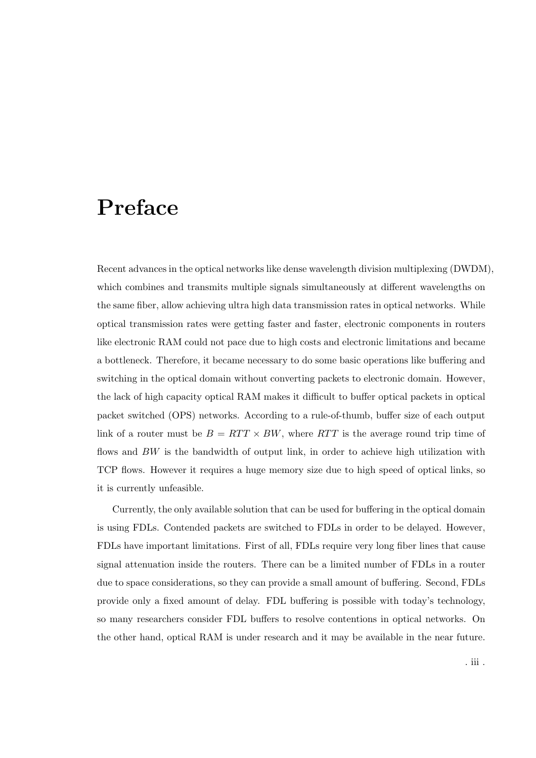# Preface

Recent advances in the optical networks like dense wavelength division multiplexing (DWDM), which combines and transmits multiple signals simultaneously at different wavelengths on the same fiber, allow achieving ultra high data transmission rates in optical networks. While optical transmission rates were getting faster and faster, electronic components in routers like electronic RAM could not pace due to high costs and electronic limitations and became a bottleneck. Therefore, it became necessary to do some basic operations like buffering and switching in the optical domain without converting packets to electronic domain. However, the lack of high capacity optical RAM makes it difficult to buffer optical packets in optical packet switched (OPS) networks. According to a rule-of-thumb, buffer size of each output link of a router must be  $B = RTT \times BW$ , where RTT is the average round trip time of flows and BW is the bandwidth of output link, in order to achieve high utilization with TCP flows. However it requires a huge memory size due to high speed of optical links, so it is currently unfeasible.

Currently, the only available solution that can be used for buffering in the optical domain is using FDLs. Contended packets are switched to FDLs in order to be delayed. However, FDLs have important limitations. First of all, FDLs require very long fiber lines that cause signal attenuation inside the routers. There can be a limited number of FDLs in a router due to space considerations, so they can provide a small amount of buffering. Second, FDLs provide only a fixed amount of delay. FDL buffering is possible with today's technology, so many researchers consider FDL buffers to resolve contentions in optical networks. On the other hand, optical RAM is under research and it may be available in the near future.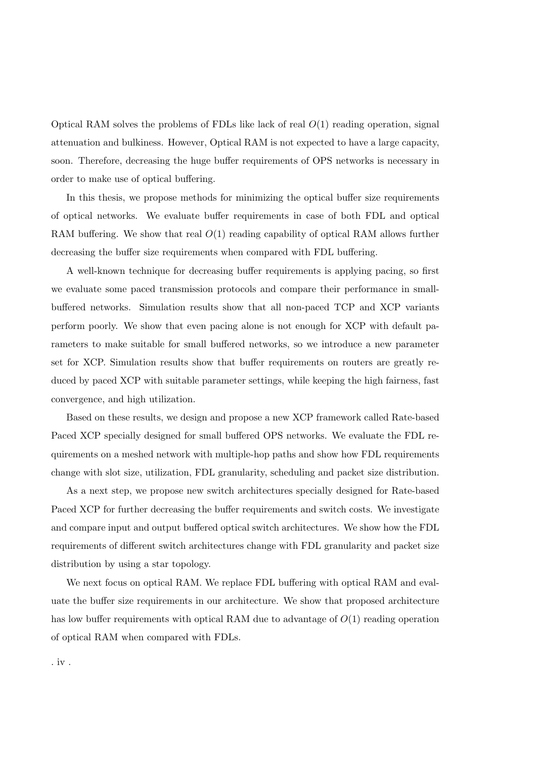Optical RAM solves the problems of FDLs like lack of real  $O(1)$  reading operation, signal attenuation and bulkiness. However, Optical RAM is not expected to have a large capacity, soon. Therefore, decreasing the huge buffer requirements of OPS networks is necessary in order to make use of optical buffering.

In this thesis, we propose methods for minimizing the optical buffer size requirements of optical networks. We evaluate buffer requirements in case of both FDL and optical RAM buffering. We show that real  $O(1)$  reading capability of optical RAM allows further decreasing the buffer size requirements when compared with FDL buffering.

A well-known technique for decreasing buffer requirements is applying pacing, so first we evaluate some paced transmission protocols and compare their performance in smallbuffered networks. Simulation results show that all non-paced TCP and XCP variants perform poorly. We show that even pacing alone is not enough for XCP with default parameters to make suitable for small buffered networks, so we introduce a new parameter set for XCP. Simulation results show that buffer requirements on routers are greatly reduced by paced XCP with suitable parameter settings, while keeping the high fairness, fast convergence, and high utilization.

Based on these results, we design and propose a new XCP framework called Rate-based Paced XCP specially designed for small buffered OPS networks. We evaluate the FDL requirements on a meshed network with multiple-hop paths and show how FDL requirements change with slot size, utilization, FDL granularity, scheduling and packet size distribution.

As a next step, we propose new switch architectures specially designed for Rate-based Paced XCP for further decreasing the buffer requirements and switch costs. We investigate and compare input and output buffered optical switch architectures. We show how the FDL requirements of different switch architectures change with FDL granularity and packet size distribution by using a star topology.

We next focus on optical RAM. We replace FDL buffering with optical RAM and evaluate the buffer size requirements in our architecture. We show that proposed architecture has low buffer requirements with optical RAM due to advantage of  $O(1)$  reading operation of optical RAM when compared with FDLs.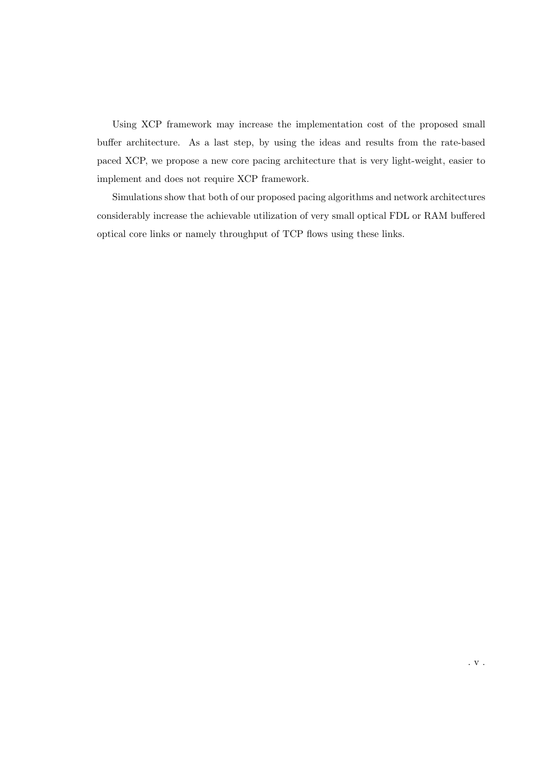Using XCP framework may increase the implementation cost of the proposed small buffer architecture. As a last step, by using the ideas and results from the rate-based paced XCP, we propose a new core pacing architecture that is very light-weight, easier to implement and does not require XCP framework.

Simulations show that both of our proposed pacing algorithms and network architectures considerably increase the achievable utilization of very small optical FDL or RAM buffered optical core links or namely throughput of TCP flows using these links.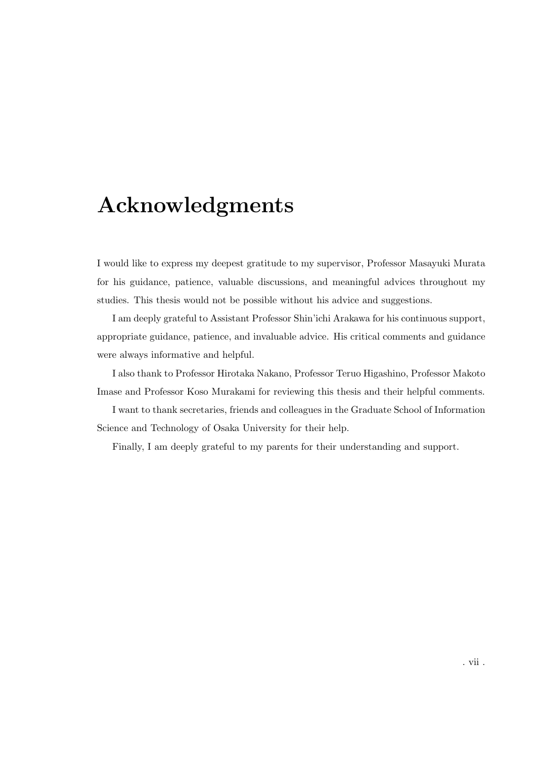# Acknowledgments

I would like to express my deepest gratitude to my supervisor, Professor Masayuki Murata for his guidance, patience, valuable discussions, and meaningful advices throughout my studies. This thesis would not be possible without his advice and suggestions.

I am deeply grateful to Assistant Professor Shin'ichi Arakawa for his continuous support, appropriate guidance, patience, and invaluable advice. His critical comments and guidance were always informative and helpful.

I also thank to Professor Hirotaka Nakano, Professor Teruo Higashino, Professor Makoto Imase and Professor Koso Murakami for reviewing this thesis and their helpful comments.

I want to thank secretaries, friends and colleagues in the Graduate School of Information Science and Technology of Osaka University for their help.

Finally, I am deeply grateful to my parents for their understanding and support.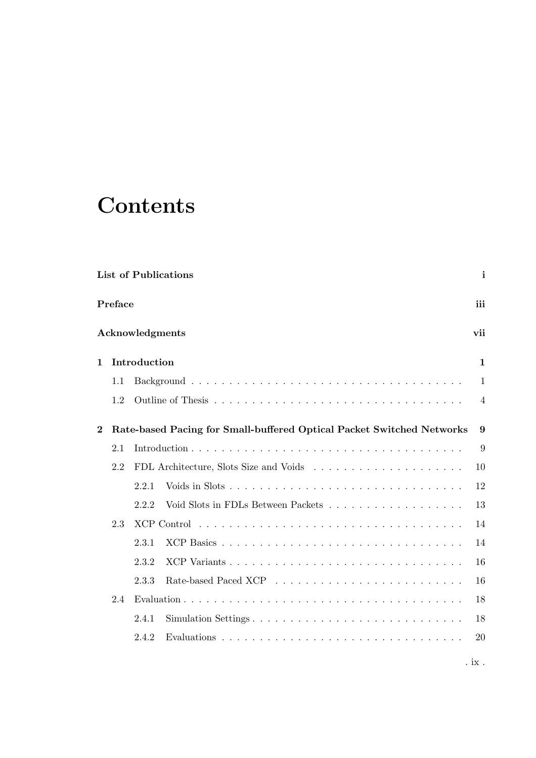# **Contents**

|                         |         | List of Publications                                                  | $\mathbf{i}$ |
|-------------------------|---------|-----------------------------------------------------------------------|--------------|
|                         | Preface |                                                                       | iii          |
|                         |         | <b>Acknowledgments</b>                                                | vii          |
| $\mathbf 1$             |         | Introduction                                                          | $\mathbf 1$  |
|                         | 1.1     |                                                                       | 1            |
|                         | 1.2     |                                                                       | 4            |
| $\overline{\mathbf{2}}$ |         | Rate-based Pacing for Small-buffered Optical Packet Switched Networks | 9            |
|                         | 2.1     |                                                                       | 9            |
|                         | 2.2     |                                                                       | 10           |
|                         |         | 2.2.1                                                                 | 12           |
|                         |         | 2.2.2                                                                 | 13           |
|                         | 2.3     |                                                                       | 14           |
|                         |         | 2.3.1                                                                 | 14           |
|                         |         | 2.3.2                                                                 | 16           |
|                         |         | 2.3.3                                                                 | 16           |
|                         | 2.4     |                                                                       | 18           |
|                         |         | Simulation Settings<br>2.4.1                                          | 18           |
|                         |         | 2.4.2                                                                 | 20           |
|                         |         |                                                                       | . $ix$ .     |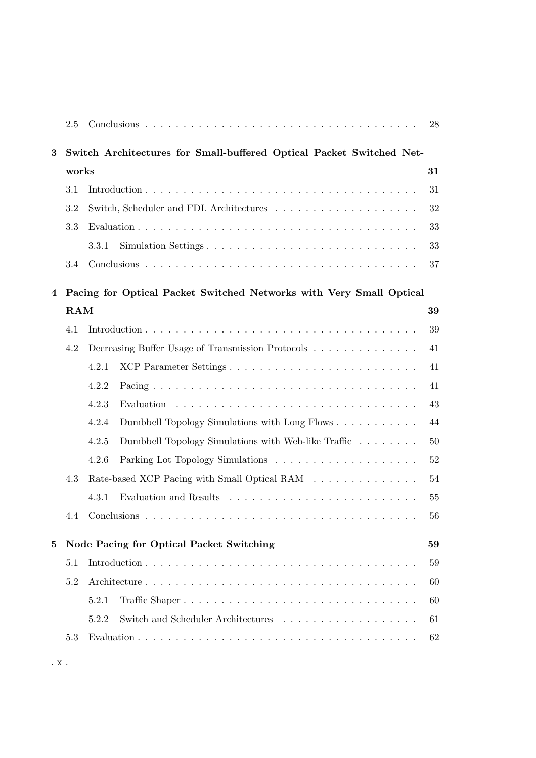|   | 2.5        |       |                                                                      | 28 |
|---|------------|-------|----------------------------------------------------------------------|----|
| 3 |            |       | Switch Architectures for Small-buffered Optical Packet Switched Net- |    |
|   | works      |       |                                                                      | 31 |
|   | 3.1        |       |                                                                      | 31 |
|   | 3.2        |       | Switch, Scheduler and FDL Architectures                              | 32 |
|   | 3.3        |       |                                                                      | 33 |
|   |            | 3.3.1 | Simulation Settings                                                  | 33 |
|   | 3.4        |       |                                                                      | 37 |
| 4 |            |       | Pacing for Optical Packet Switched Networks with Very Small Optical  |    |
|   | <b>RAM</b> |       |                                                                      | 39 |
|   | 4.1        |       |                                                                      | 39 |
|   | 4.2        |       | Decreasing Buffer Usage of Transmission Protocols                    | 41 |
|   |            | 4.2.1 | XCP Parameter Settings                                               | 41 |
|   |            | 4.2.2 |                                                                      | 41 |
|   |            | 4.2.3 |                                                                      | 43 |
|   |            | 4.2.4 | Dumbbell Topology Simulations with Long Flows                        | 44 |
|   |            | 4.2.5 | Dumbbell Topology Simulations with Web-like Traffic                  | 50 |
|   |            | 4.2.6 |                                                                      | 52 |
|   | 4.3        |       | Rate-based XCP Pacing with Small Optical RAM                         | 54 |
|   |            | 4.3.1 |                                                                      | 55 |
|   | 4.4        |       |                                                                      | 56 |
| 5 |            |       | Node Pacing for Optical Packet Switching                             | 59 |
|   | 5.1        |       |                                                                      | 59 |
|   | 5.2        |       |                                                                      | 60 |
|   |            | 5.2.1 | Traffic Shaper                                                       | 60 |
|   |            | 5.2.2 |                                                                      | 61 |
|   | 5.3        |       |                                                                      | 62 |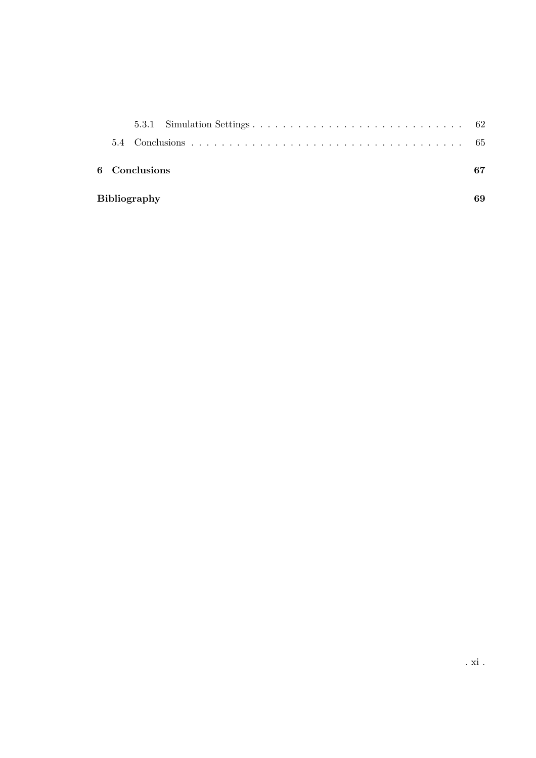|  | 6 Conclusions       |  |  |  |  |  |  |  |  |  |  |  |  |  |  |
|--|---------------------|--|--|--|--|--|--|--|--|--|--|--|--|--|--|
|  | <b>Bibliography</b> |  |  |  |  |  |  |  |  |  |  |  |  |  |  |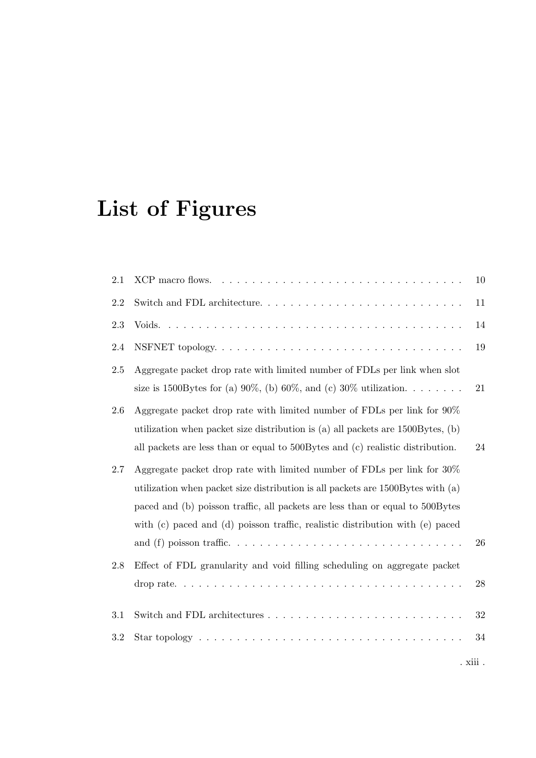# List of Figures

| 2.1     |                                                                                                                                                                                                                                                                                                                                 | 10         |
|---------|---------------------------------------------------------------------------------------------------------------------------------------------------------------------------------------------------------------------------------------------------------------------------------------------------------------------------------|------------|
| 2.2     |                                                                                                                                                                                                                                                                                                                                 | 11         |
| $2.3\,$ |                                                                                                                                                                                                                                                                                                                                 | 14         |
| 2.4     |                                                                                                                                                                                                                                                                                                                                 | 19         |
| 2.5     | Aggregate packet drop rate with limited number of FDLs per link when slot<br>size is 1500Bytes for (a) 90%, (b) 60%, and (c) 30% utilization.                                                                                                                                                                                   | 21         |
| 2.6     | Aggregate packet drop rate with limited number of FDLs per link for 90%<br>utilization when packet size distribution is (a) all packets are $1500 \text{Bytes}$ , (b)<br>all packets are less than or equal to 500Bytes and (c) realistic distribution.                                                                         | 24         |
| 2.7     | Aggregate packet drop rate with limited number of FDLs per link for $30\%$<br>utilization when packet size distribution is all packets are 1500Bytes with (a)<br>paced and (b) poisson traffic, all packets are less than or equal to 500Bytes<br>with (c) paced and (d) poisson traffic, realistic distribution with (e) paced | 26         |
| 2.8     | Effect of FDL granularity and void filling scheduling on aggregate packet                                                                                                                                                                                                                                                       | 28         |
| $3.1\,$ |                                                                                                                                                                                                                                                                                                                                 | 32         |
| 3.2     | Star topology $\dots \dots \dots \dots \dots \dots \dots \dots \dots \dots \dots \dots \dots \dots$                                                                                                                                                                                                                             | 34         |
|         |                                                                                                                                                                                                                                                                                                                                 | . $xiii$ . |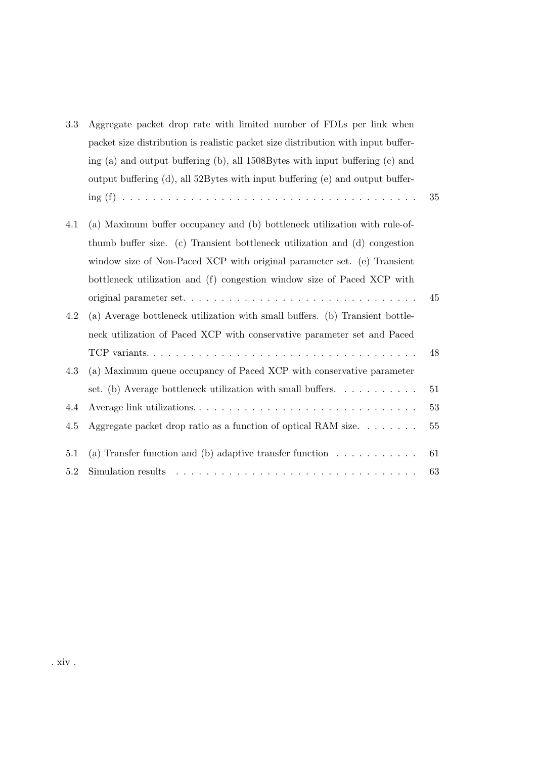| 3.3 | Aggregate packet drop rate with limited number of FDLs per link when              |    |
|-----|-----------------------------------------------------------------------------------|----|
|     | packet size distribution is realistic packet size distribution with input buffer- |    |
|     | ing (a) and output buffering (b), all $1508B$ ytes with input buffering (c) and   |    |
|     | output buffering (d), all 52Bytes with input buffering (e) and output buffer-     |    |
|     |                                                                                   | 35 |
| 4.1 | (a) Maximum buffer occupancy and (b) bottleneck utilization with rule-of-         |    |
|     | thumb buffer size. (c) Transient bottleneck utilization and (d) congestion        |    |
|     | window size of Non-Paced XCP with original parameter set. (e) Transient           |    |
|     | bottleneck utilization and (f) congestion window size of Paced XCP with           |    |
|     |                                                                                   | 45 |
| 4.2 | (a) Average bottleneck utilization with small buffers. (b) Transient bottle-      |    |
|     | neck utilization of Paced XCP with conservative parameter set and Paced           |    |
|     |                                                                                   | 48 |
| 4.3 | (a) Maximum queue occupancy of Paced XCP with conservative parameter              |    |
|     | set. (b) Average bottleneck utilization with small buffers. $\dots \dots \dots$   | 51 |
| 4.4 |                                                                                   | 53 |
| 4.5 | Aggregate packet drop ratio as a function of optical RAM size. $\dots \dots$      | 55 |
| 5.1 | (a) Transfer function and (b) adaptive transfer function $\ldots \ldots \ldots$   | 61 |
| 5.2 | Simulation results                                                                | 63 |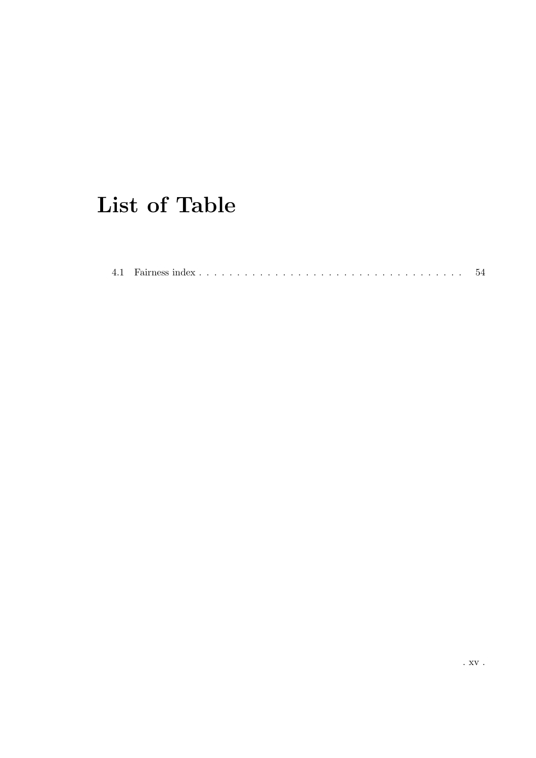# List of Table

|  | 4.1 Fairness index. |  |  |  |  |  |  |  |  |  |  |  |  |  |  |  |  |  |  |  |  |  |  |  |  |  |  |  |  |  |  |  |  |  |  |  |
|--|---------------------|--|--|--|--|--|--|--|--|--|--|--|--|--|--|--|--|--|--|--|--|--|--|--|--|--|--|--|--|--|--|--|--|--|--|--|
|--|---------------------|--|--|--|--|--|--|--|--|--|--|--|--|--|--|--|--|--|--|--|--|--|--|--|--|--|--|--|--|--|--|--|--|--|--|--|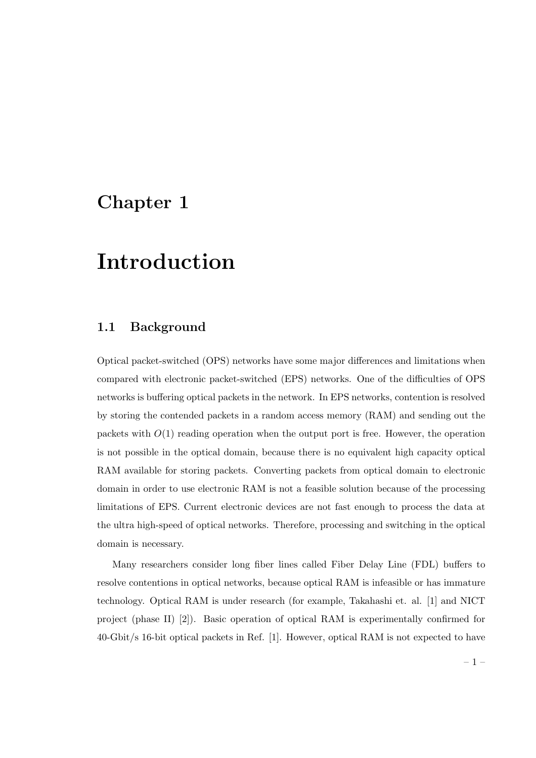## Chapter 1

# Introduction

### 1.1 Background

Optical packet-switched (OPS) networks have some major differences and limitations when compared with electronic packet-switched (EPS) networks. One of the difficulties of OPS networks is buffering optical packets in the network. In EPS networks, contention is resolved by storing the contended packets in a random access memory (RAM) and sending out the packets with  $O(1)$  reading operation when the output port is free. However, the operation is not possible in the optical domain, because there is no equivalent high capacity optical RAM available for storing packets. Converting packets from optical domain to electronic domain in order to use electronic RAM is not a feasible solution because of the processing limitations of EPS. Current electronic devices are not fast enough to process the data at the ultra high-speed of optical networks. Therefore, processing and switching in the optical domain is necessary.

Many researchers consider long fiber lines called Fiber Delay Line (FDL) buffers to resolve contentions in optical networks, because optical RAM is infeasible or has immature technology. Optical RAM is under research (for example, Takahashi et. al. [1] and NICT project (phase II) [2]). Basic operation of optical RAM is experimentally confirmed for 40-Gbit/s 16-bit optical packets in Ref. [1]. However, optical RAM is not expected to have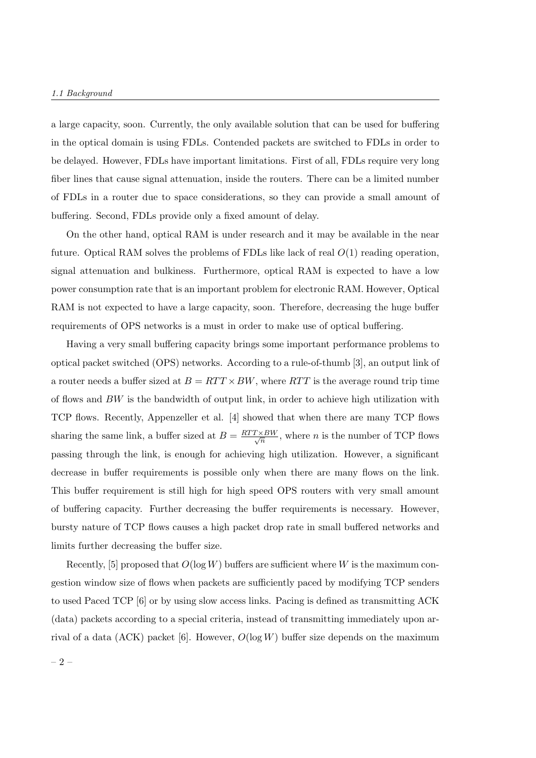#### 1.1 Background

a large capacity, soon. Currently, the only available solution that can be used for buffering in the optical domain is using FDLs. Contended packets are switched to FDLs in order to be delayed. However, FDLs have important limitations. First of all, FDLs require very long fiber lines that cause signal attenuation, inside the routers. There can be a limited number of FDLs in a router due to space considerations, so they can provide a small amount of buffering. Second, FDLs provide only a fixed amount of delay.

On the other hand, optical RAM is under research and it may be available in the near future. Optical RAM solves the problems of FDLs like lack of real  $O(1)$  reading operation, signal attenuation and bulkiness. Furthermore, optical RAM is expected to have a low power consumption rate that is an important problem for electronic RAM. However, Optical RAM is not expected to have a large capacity, soon. Therefore, decreasing the huge buffer requirements of OPS networks is a must in order to make use of optical buffering.

Having a very small buffering capacity brings some important performance problems to optical packet switched (OPS) networks. According to a rule-of-thumb [3], an output link of a router needs a buffer sized at  $B = RTT \times BW$ , where RTT is the average round trip time of flows and  $BW$  is the bandwidth of output link, in order to achieve high utilization with TCP flows. Recently, Appenzeller et al. [4] showed that when there are many TCP flows sharing the same link, a buffer sized at  $B = \frac{RTT \times BW}{\sqrt{n}}$ , where *n* is the number of TCP flows passing through the link, is enough for achieving high utilization. However, a significant decrease in buffer requirements is possible only when there are many flows on the link. This buffer requirement is still high for high speed OPS routers with very small amount of buffering capacity. Further decreasing the buffer requirements is necessary. However, bursty nature of TCP flows causes a high packet drop rate in small buffered networks and limits further decreasing the buffer size.

Recently, [5] proposed that  $O(\log W)$  buffers are sufficient where W is the maximum congestion window size of flows when packets are sufficiently paced by modifying TCP senders to used Paced TCP [6] or by using slow access links. Pacing is defined as transmitting ACK (data) packets according to a special criteria, instead of transmitting immediately upon arrival of a data (ACK) packet [6]. However,  $O(\log W)$  buffer size depends on the maximum

 $-2-$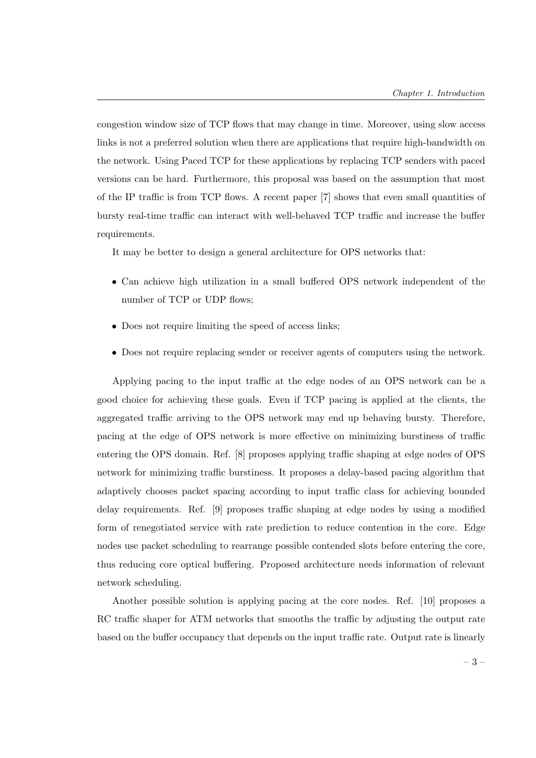congestion window size of TCP flows that may change in time. Moreover, using slow access links is not a preferred solution when there are applications that require high-bandwidth on the network. Using Paced TCP for these applications by replacing TCP senders with paced versions can be hard. Furthermore, this proposal was based on the assumption that most of the IP traffic is from TCP flows. A recent paper [7] shows that even small quantities of bursty real-time traffic can interact with well-behaved TCP traffic and increase the buffer requirements.

It may be better to design a general architecture for OPS networks that:

- Can achieve high utilization in a small buffered OPS network independent of the number of TCP or UDP flows;
- Does not require limiting the speed of access links;
- Does not require replacing sender or receiver agents of computers using the network.

Applying pacing to the input traffic at the edge nodes of an OPS network can be a good choice for achieving these goals. Even if TCP pacing is applied at the clients, the aggregated traffic arriving to the OPS network may end up behaving bursty. Therefore, pacing at the edge of OPS network is more effective on minimizing burstiness of traffic entering the OPS domain. Ref. [8] proposes applying traffic shaping at edge nodes of OPS network for minimizing traffic burstiness. It proposes a delay-based pacing algorithm that adaptively chooses packet spacing according to input traffic class for achieving bounded delay requirements. Ref. [9] proposes traffic shaping at edge nodes by using a modified form of renegotiated service with rate prediction to reduce contention in the core. Edge nodes use packet scheduling to rearrange possible contended slots before entering the core, thus reducing core optical buffering. Proposed architecture needs information of relevant network scheduling.

Another possible solution is applying pacing at the core nodes. Ref. [10] proposes a RC traffic shaper for ATM networks that smooths the traffic by adjusting the output rate based on the buffer occupancy that depends on the input traffic rate. Output rate is linearly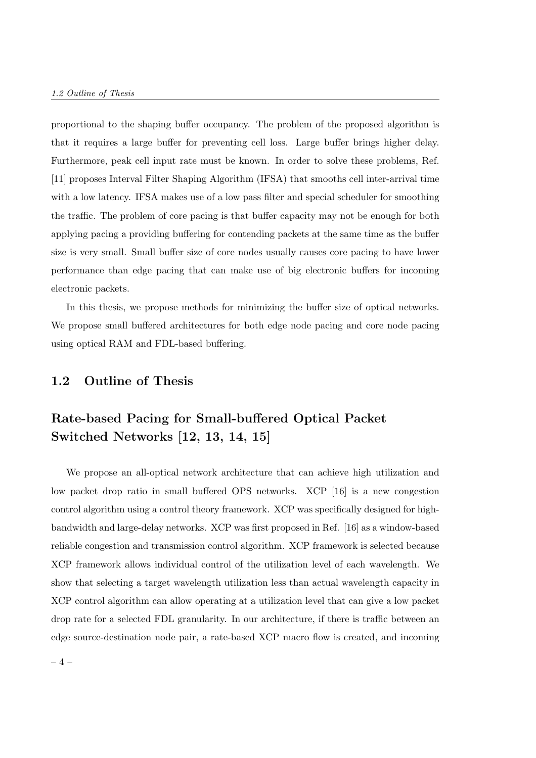proportional to the shaping buffer occupancy. The problem of the proposed algorithm is that it requires a large buffer for preventing cell loss. Large buffer brings higher delay. Furthermore, peak cell input rate must be known. In order to solve these problems, Ref. [11] proposes Interval Filter Shaping Algorithm (IFSA) that smooths cell inter-arrival time with a low latency. IFSA makes use of a low pass filter and special scheduler for smoothing the traffic. The problem of core pacing is that buffer capacity may not be enough for both applying pacing a providing buffering for contending packets at the same time as the buffer size is very small. Small buffer size of core nodes usually causes core pacing to have lower performance than edge pacing that can make use of big electronic buffers for incoming electronic packets.

In this thesis, we propose methods for minimizing the buffer size of optical networks. We propose small buffered architectures for both edge node pacing and core node pacing using optical RAM and FDL-based buffering.

## 1.2 Outline of Thesis

## Rate-based Pacing for Small-buffered Optical Packet Switched Networks [12, 13, 14, 15]

We propose an all-optical network architecture that can achieve high utilization and low packet drop ratio in small buffered OPS networks. XCP [16] is a new congestion control algorithm using a control theory framework. XCP was specifically designed for highbandwidth and large-delay networks. XCP was first proposed in Ref. [16] as a window-based reliable congestion and transmission control algorithm. XCP framework is selected because XCP framework allows individual control of the utilization level of each wavelength. We show that selecting a target wavelength utilization less than actual wavelength capacity in XCP control algorithm can allow operating at a utilization level that can give a low packet drop rate for a selected FDL granularity. In our architecture, if there is traffic between an edge source-destination node pair, a rate-based XCP macro flow is created, and incoming

 $-4-$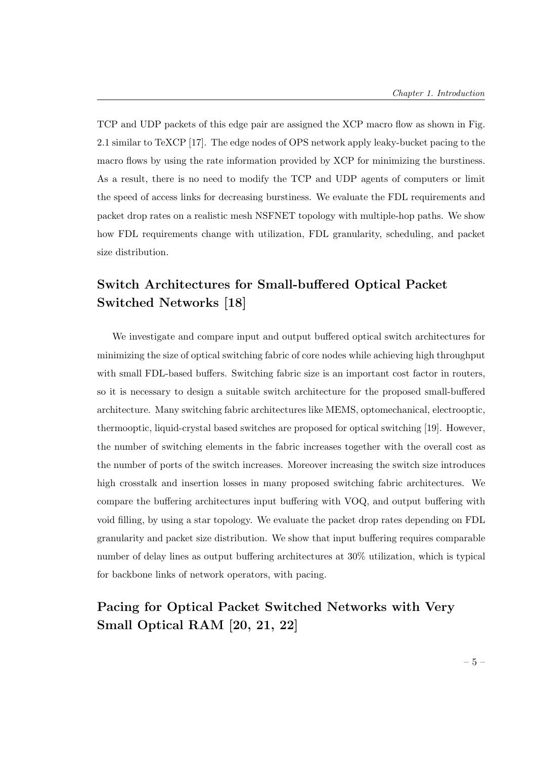TCP and UDP packets of this edge pair are assigned the XCP macro flow as shown in Fig. 2.1 similar to TeXCP [17]. The edge nodes of OPS network apply leaky-bucket pacing to the macro flows by using the rate information provided by XCP for minimizing the burstiness. As a result, there is no need to modify the TCP and UDP agents of computers or limit the speed of access links for decreasing burstiness. We evaluate the FDL requirements and packet drop rates on a realistic mesh NSFNET topology with multiple-hop paths. We show how FDL requirements change with utilization, FDL granularity, scheduling, and packet size distribution.

## Switch Architectures for Small-buffered Optical Packet Switched Networks [18]

We investigate and compare input and output buffered optical switch architectures for minimizing the size of optical switching fabric of core nodes while achieving high throughput with small FDL-based buffers. Switching fabric size is an important cost factor in routers, so it is necessary to design a suitable switch architecture for the proposed small-buffered architecture. Many switching fabric architectures like MEMS, optomechanical, electrooptic, thermooptic, liquid-crystal based switches are proposed for optical switching [19]. However, the number of switching elements in the fabric increases together with the overall cost as the number of ports of the switch increases. Moreover increasing the switch size introduces high crosstalk and insertion losses in many proposed switching fabric architectures. We compare the buffering architectures input buffering with VOQ, and output buffering with void filling, by using a star topology. We evaluate the packet drop rates depending on FDL granularity and packet size distribution. We show that input buffering requires comparable number of delay lines as output buffering architectures at 30% utilization, which is typical for backbone links of network operators, with pacing.

## Pacing for Optical Packet Switched Networks with Very Small Optical RAM [20, 21, 22]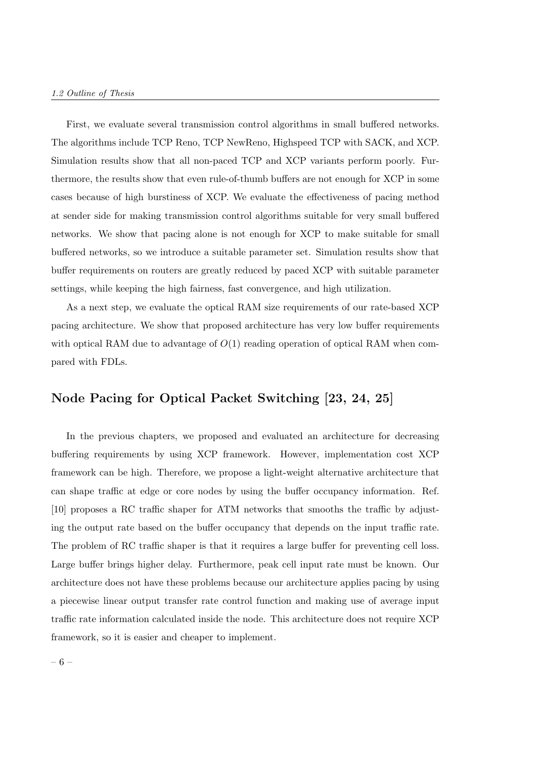First, we evaluate several transmission control algorithms in small buffered networks. The algorithms include TCP Reno, TCP NewReno, Highspeed TCP with SACK, and XCP. Simulation results show that all non-paced TCP and XCP variants perform poorly. Furthermore, the results show that even rule-of-thumb buffers are not enough for XCP in some cases because of high burstiness of XCP. We evaluate the effectiveness of pacing method at sender side for making transmission control algorithms suitable for very small buffered networks. We show that pacing alone is not enough for XCP to make suitable for small buffered networks, so we introduce a suitable parameter set. Simulation results show that buffer requirements on routers are greatly reduced by paced XCP with suitable parameter settings, while keeping the high fairness, fast convergence, and high utilization.

As a next step, we evaluate the optical RAM size requirements of our rate-based XCP pacing architecture. We show that proposed architecture has very low buffer requirements with optical RAM due to advantage of  $O(1)$  reading operation of optical RAM when compared with FDLs.

## Node Pacing for Optical Packet Switching [23, 24, 25]

In the previous chapters, we proposed and evaluated an architecture for decreasing buffering requirements by using XCP framework. However, implementation cost XCP framework can be high. Therefore, we propose a light-weight alternative architecture that can shape traffic at edge or core nodes by using the buffer occupancy information. Ref. [10] proposes a RC traffic shaper for ATM networks that smooths the traffic by adjusting the output rate based on the buffer occupancy that depends on the input traffic rate. The problem of RC traffic shaper is that it requires a large buffer for preventing cell loss. Large buffer brings higher delay. Furthermore, peak cell input rate must be known. Our architecture does not have these problems because our architecture applies pacing by using a piecewise linear output transfer rate control function and making use of average input traffic rate information calculated inside the node. This architecture does not require XCP framework, so it is easier and cheaper to implement.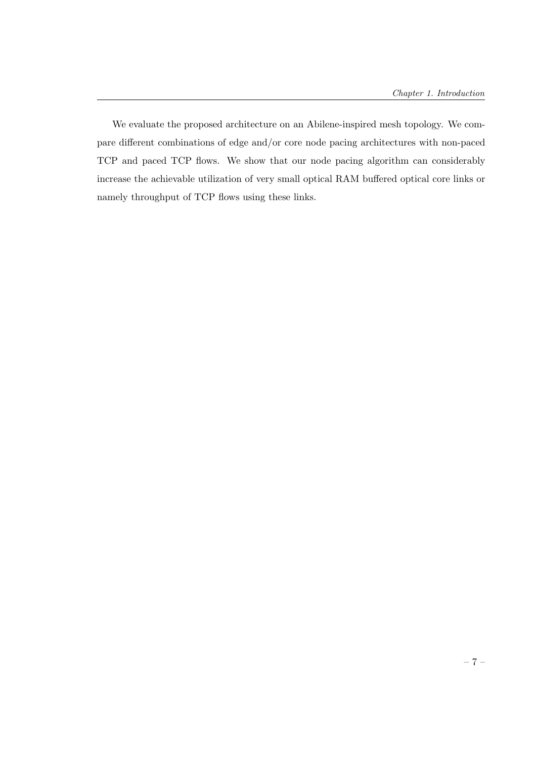We evaluate the proposed architecture on an Abilene-inspired mesh topology. We compare different combinations of edge and/or core node pacing architectures with non-paced TCP and paced TCP flows. We show that our node pacing algorithm can considerably increase the achievable utilization of very small optical RAM buffered optical core links or namely throughput of TCP flows using these links.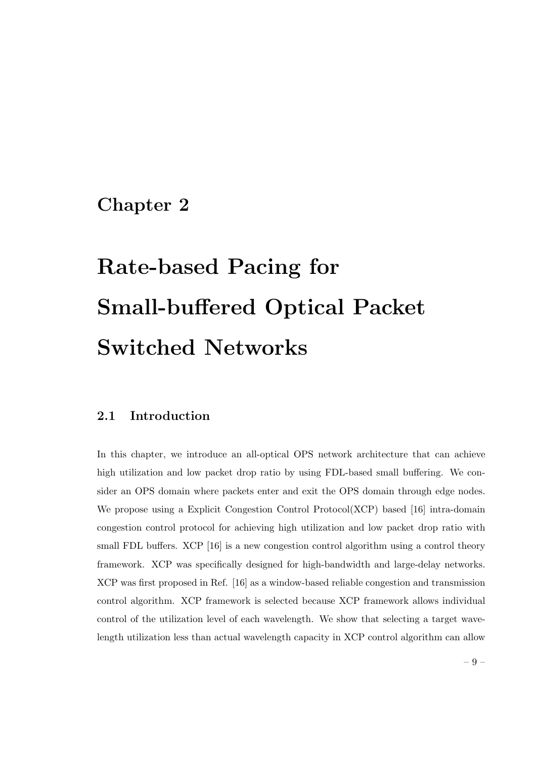# Chapter 2

# Rate-based Pacing for Small-buffered Optical Packet Switched Networks

## 2.1 Introduction

In this chapter, we introduce an all-optical OPS network architecture that can achieve high utilization and low packet drop ratio by using FDL-based small buffering. We consider an OPS domain where packets enter and exit the OPS domain through edge nodes. We propose using a Explicit Congestion Control Protocol(XCP) based [16] intra-domain congestion control protocol for achieving high utilization and low packet drop ratio with small FDL buffers. XCP [16] is a new congestion control algorithm using a control theory framework. XCP was specifically designed for high-bandwidth and large-delay networks. XCP was first proposed in Ref. [16] as a window-based reliable congestion and transmission control algorithm. XCP framework is selected because XCP framework allows individual control of the utilization level of each wavelength. We show that selecting a target wavelength utilization less than actual wavelength capacity in XCP control algorithm can allow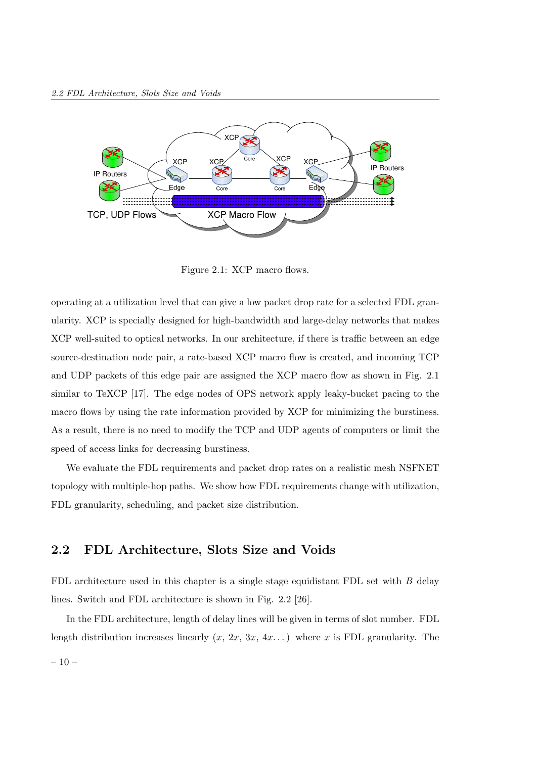

Figure 2.1: XCP macro flows.

operating at a utilization level that can give a low packet drop rate for a selected FDL granularity. XCP is specially designed for high-bandwidth and large-delay networks that makes XCP well-suited to optical networks. In our architecture, if there is traffic between an edge source-destination node pair, a rate-based XCP macro flow is created, and incoming TCP and UDP packets of this edge pair are assigned the XCP macro flow as shown in Fig. 2.1 similar to TeXCP [17]. The edge nodes of OPS network apply leaky-bucket pacing to the macro flows by using the rate information provided by XCP for minimizing the burstiness. As a result, there is no need to modify the TCP and UDP agents of computers or limit the speed of access links for decreasing burstiness.

We evaluate the FDL requirements and packet drop rates on a realistic mesh NSFNET topology with multiple-hop paths. We show how FDL requirements change with utilization, FDL granularity, scheduling, and packet size distribution.

## 2.2 FDL Architecture, Slots Size and Voids

FDL architecture used in this chapter is a single stage equidistant FDL set with B delay lines. Switch and FDL architecture is shown in Fig. 2.2 [26].

In the FDL architecture, length of delay lines will be given in terms of slot number. FDL length distribution increases linearly  $(x, 2x, 3x, 4x...)$  where x is FDL granularity. The  $-10-$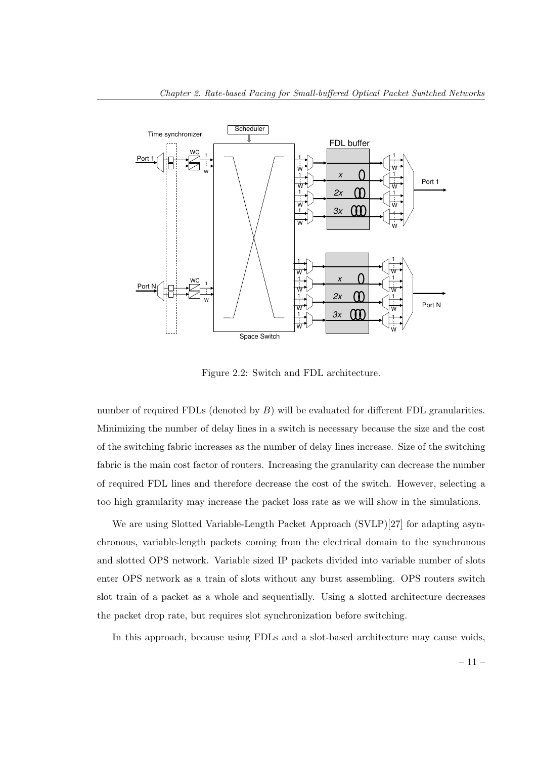

Figure 2.2: Switch and FDL architecture.

number of required FDLs (denoted by  $B$ ) will be evaluated for different FDL granularities. Minimizing the number of delay lines in a switch is necessary because the size and the cost of the switching fabric increases as the number of delay lines increase. Size of the switching fabric is the main cost factor of routers. Increasing the granularity can decrease the number of required FDL lines and therefore decrease the cost of the switch. However, selecting a too high granularity may increase the packet loss rate as we will show in the simulations.

We are using Slotted Variable-Length Packet Approach (SVLP)[27] for adapting asynchronous, variable-length packets coming from the electrical domain to the synchronous and slotted OPS network. Variable sized IP packets divided into variable number of slots enter OPS network as a train of slots without any burst assembling. OPS routers switch slot train of a packet as a whole and sequentially. Using a slotted architecture decreases the packet drop rate, but requires slot synchronization before switching.

In this approach, because using FDLs and a slot-based architecture may cause voids,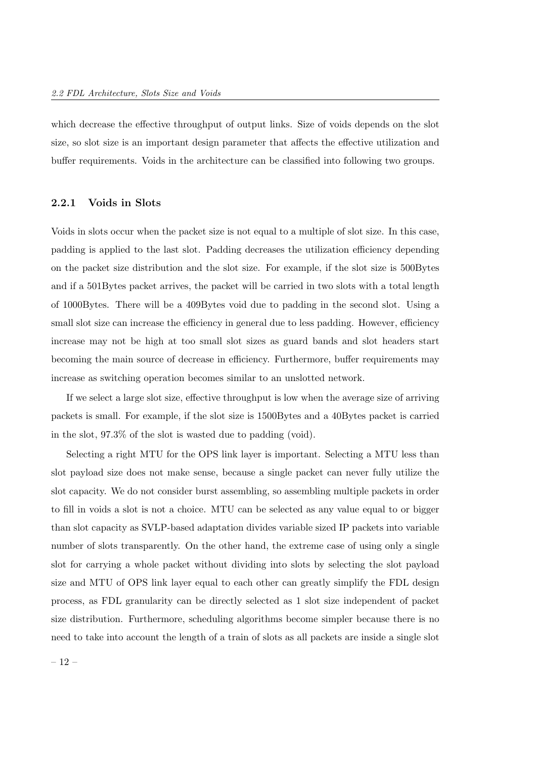which decrease the effective throughput of output links. Size of voids depends on the slot size, so slot size is an important design parameter that affects the effective utilization and buffer requirements. Voids in the architecture can be classified into following two groups.

#### 2.2.1 Voids in Slots

Voids in slots occur when the packet size is not equal to a multiple of slot size. In this case, padding is applied to the last slot. Padding decreases the utilization efficiency depending on the packet size distribution and the slot size. For example, if the slot size is 500Bytes and if a 501Bytes packet arrives, the packet will be carried in two slots with a total length of 1000Bytes. There will be a 409Bytes void due to padding in the second slot. Using a small slot size can increase the efficiency in general due to less padding. However, efficiency increase may not be high at too small slot sizes as guard bands and slot headers start becoming the main source of decrease in efficiency. Furthermore, buffer requirements may increase as switching operation becomes similar to an unslotted network.

If we select a large slot size, effective throughput is low when the average size of arriving packets is small. For example, if the slot size is 1500Bytes and a 40Bytes packet is carried in the slot, 97.3% of the slot is wasted due to padding (void).

Selecting a right MTU for the OPS link layer is important. Selecting a MTU less than slot payload size does not make sense, because a single packet can never fully utilize the slot capacity. We do not consider burst assembling, so assembling multiple packets in order to fill in voids a slot is not a choice. MTU can be selected as any value equal to or bigger than slot capacity as SVLP-based adaptation divides variable sized IP packets into variable number of slots transparently. On the other hand, the extreme case of using only a single slot for carrying a whole packet without dividing into slots by selecting the slot payload size and MTU of OPS link layer equal to each other can greatly simplify the FDL design process, as FDL granularity can be directly selected as 1 slot size independent of packet size distribution. Furthermore, scheduling algorithms become simpler because there is no need to take into account the length of a train of slots as all packets are inside a single slot

 $-12-$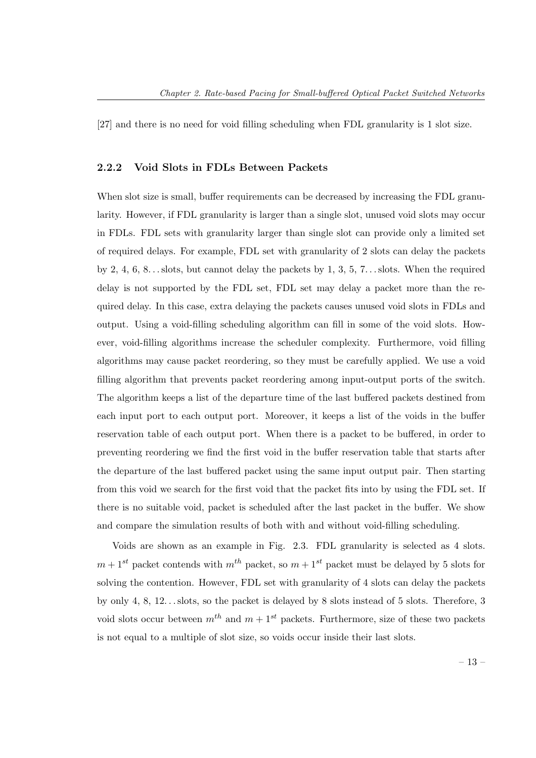[27] and there is no need for void filling scheduling when FDL granularity is 1 slot size.

#### 2.2.2 Void Slots in FDLs Between Packets

When slot size is small, buffer requirements can be decreased by increasing the FDL granularity. However, if FDL granularity is larger than a single slot, unused void slots may occur in FDLs. FDL sets with granularity larger than single slot can provide only a limited set of required delays. For example, FDL set with granularity of 2 slots can delay the packets by 2, 4, 6, 8... slots, but cannot delay the packets by 1, 3, 5, 7... slots. When the required delay is not supported by the FDL set, FDL set may delay a packet more than the required delay. In this case, extra delaying the packets causes unused void slots in FDLs and output. Using a void-filling scheduling algorithm can fill in some of the void slots. However, void-filling algorithms increase the scheduler complexity. Furthermore, void filling algorithms may cause packet reordering, so they must be carefully applied. We use a void filling algorithm that prevents packet reordering among input-output ports of the switch. The algorithm keeps a list of the departure time of the last buffered packets destined from each input port to each output port. Moreover, it keeps a list of the voids in the buffer reservation table of each output port. When there is a packet to be buffered, in order to preventing reordering we find the first void in the buffer reservation table that starts after the departure of the last buffered packet using the same input output pair. Then starting from this void we search for the first void that the packet fits into by using the FDL set. If there is no suitable void, packet is scheduled after the last packet in the buffer. We show and compare the simulation results of both with and without void-filling scheduling.

Voids are shown as an example in Fig. 2.3. FDL granularity is selected as 4 slots.  $m + 1^{st}$  packet contends with  $m^{th}$  packet, so  $m + 1^{st}$  packet must be delayed by 5 slots for solving the contention. However, FDL set with granularity of 4 slots can delay the packets by only 4, 8, 12. . . slots, so the packet is delayed by 8 slots instead of 5 slots. Therefore, 3 void slots occur between  $m^{th}$  and  $m + 1^{st}$  packets. Furthermore, size of these two packets is not equal to a multiple of slot size, so voids occur inside their last slots.

– 13 –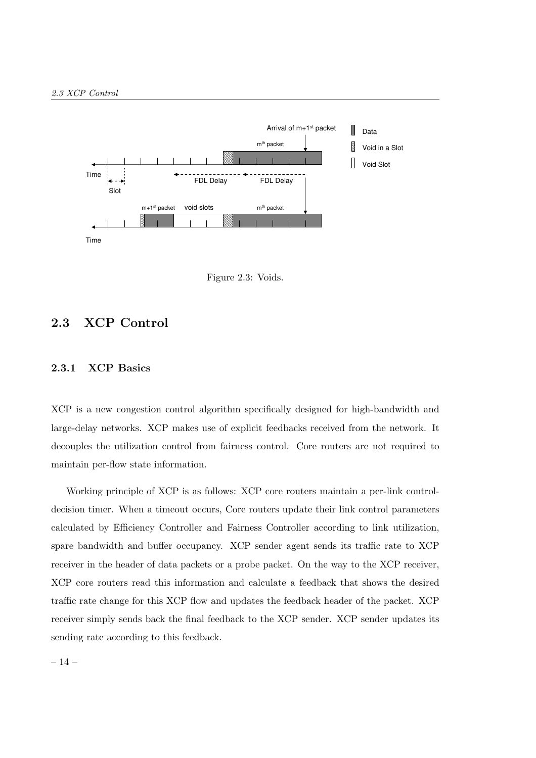

Figure 2.3: Voids.

## 2.3 XCP Control

#### 2.3.1 XCP Basics

XCP is a new congestion control algorithm specifically designed for high-bandwidth and large-delay networks. XCP makes use of explicit feedbacks received from the network. It decouples the utilization control from fairness control. Core routers are not required to maintain per-flow state information.

Working principle of XCP is as follows: XCP core routers maintain a per-link controldecision timer. When a timeout occurs, Core routers update their link control parameters calculated by Efficiency Controller and Fairness Controller according to link utilization, spare bandwidth and buffer occupancy. XCP sender agent sends its traffic rate to XCP receiver in the header of data packets or a probe packet. On the way to the XCP receiver, XCP core routers read this information and calculate a feedback that shows the desired traffic rate change for this XCP flow and updates the feedback header of the packet. XCP receiver simply sends back the final feedback to the XCP sender. XCP sender updates its sending rate according to this feedback.

– 14 –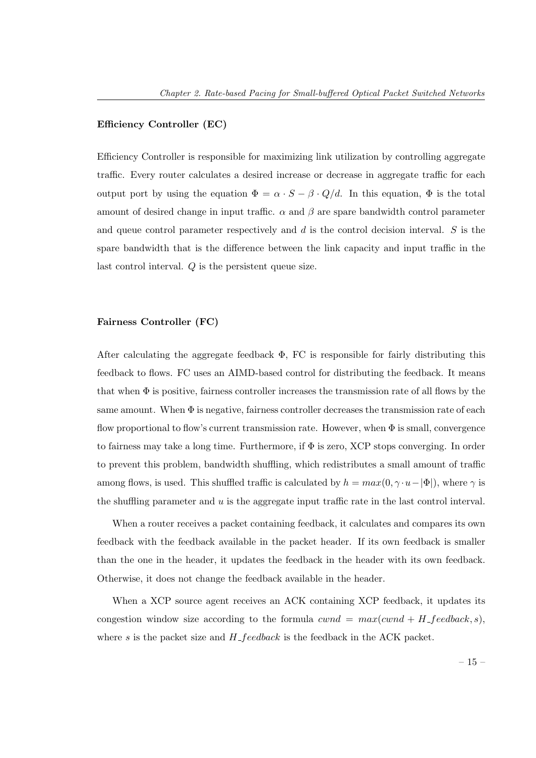#### Efficiency Controller (EC)

Efficiency Controller is responsible for maximizing link utilization by controlling aggregate traffic. Every router calculates a desired increase or decrease in aggregate traffic for each output port by using the equation  $\Phi = \alpha \cdot S - \beta \cdot Q/d$ . In this equation,  $\Phi$  is the total amount of desired change in input traffic.  $\alpha$  and  $\beta$  are spare bandwidth control parameter and queue control parameter respectively and  $d$  is the control decision interval.  $S$  is the spare bandwidth that is the difference between the link capacity and input traffic in the last control interval. Q is the persistent queue size.

#### Fairness Controller (FC)

After calculating the aggregate feedback  $\Phi$ , FC is responsible for fairly distributing this feedback to flows. FC uses an AIMD-based control for distributing the feedback. It means that when  $\Phi$  is positive, fairness controller increases the transmission rate of all flows by the same amount. When  $\Phi$  is negative, fairness controller decreases the transmission rate of each flow proportional to flow's current transmission rate. However, when  $\Phi$  is small, convergence to fairness may take a long time. Furthermore, if  $\Phi$  is zero, XCP stops converging. In order to prevent this problem, bandwidth shuffling, which redistributes a small amount of traffic among flows, is used. This shuffled traffic is calculated by  $h = max(0, \gamma \cdot u - |\Phi|)$ , where  $\gamma$  is the shuffling parameter and  $u$  is the aggregate input traffic rate in the last control interval.

When a router receives a packet containing feedback, it calculates and compares its own feedback with the feedback available in the packet header. If its own feedback is smaller than the one in the header, it updates the feedback in the header with its own feedback. Otherwise, it does not change the feedback available in the header.

When a XCP source agent receives an ACK containing XCP feedback, it updates its congestion window size according to the formula  $cwnd = max(cwnd + H\_feedback, s)$ , where  $s$  is the packet size and  $H$ - $feedback$  is the feedback in the ACK packet.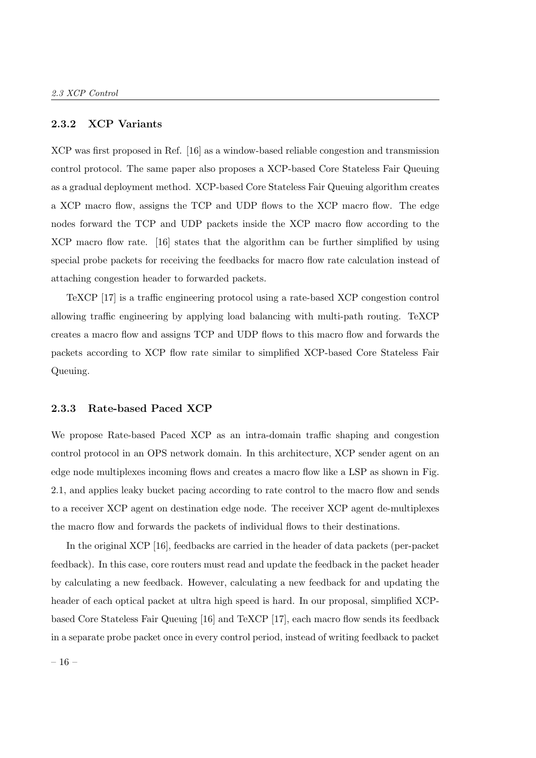#### 2.3.2 XCP Variants

XCP was first proposed in Ref. [16] as a window-based reliable congestion and transmission control protocol. The same paper also proposes a XCP-based Core Stateless Fair Queuing as a gradual deployment method. XCP-based Core Stateless Fair Queuing algorithm creates a XCP macro flow, assigns the TCP and UDP flows to the XCP macro flow. The edge nodes forward the TCP and UDP packets inside the XCP macro flow according to the XCP macro flow rate. [16] states that the algorithm can be further simplified by using special probe packets for receiving the feedbacks for macro flow rate calculation instead of attaching congestion header to forwarded packets.

TeXCP [17] is a traffic engineering protocol using a rate-based XCP congestion control allowing traffic engineering by applying load balancing with multi-path routing. TeXCP creates a macro flow and assigns TCP and UDP flows to this macro flow and forwards the packets according to XCP flow rate similar to simplified XCP-based Core Stateless Fair Queuing.

#### 2.3.3 Rate-based Paced XCP

We propose Rate-based Paced XCP as an intra-domain traffic shaping and congestion control protocol in an OPS network domain. In this architecture, XCP sender agent on an edge node multiplexes incoming flows and creates a macro flow like a LSP as shown in Fig. 2.1, and applies leaky bucket pacing according to rate control to the macro flow and sends to a receiver XCP agent on destination edge node. The receiver XCP agent de-multiplexes the macro flow and forwards the packets of individual flows to their destinations.

In the original XCP [16], feedbacks are carried in the header of data packets (per-packet feedback). In this case, core routers must read and update the feedback in the packet header by calculating a new feedback. However, calculating a new feedback for and updating the header of each optical packet at ultra high speed is hard. In our proposal, simplified XCPbased Core Stateless Fair Queuing [16] and TeXCP [17], each macro flow sends its feedback in a separate probe packet once in every control period, instead of writing feedback to packet

 $-16-$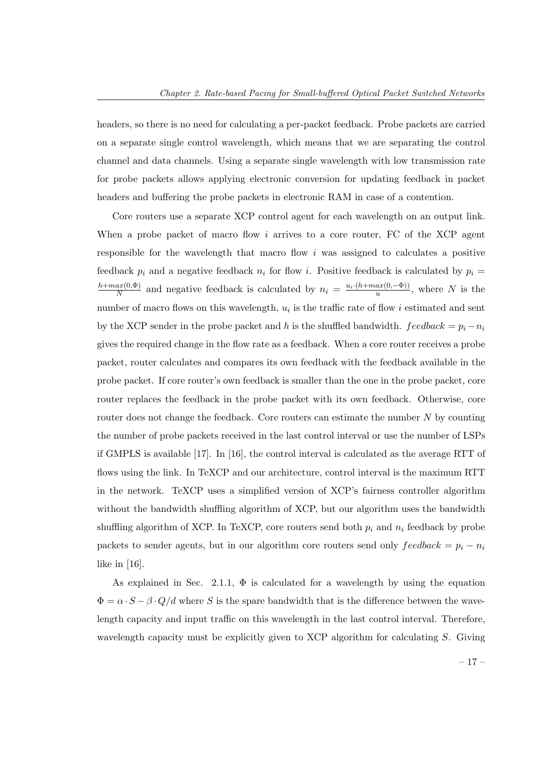headers, so there is no need for calculating a per-packet feedback. Probe packets are carried on a separate single control wavelength, which means that we are separating the control channel and data channels. Using a separate single wavelength with low transmission rate for probe packets allows applying electronic conversion for updating feedback in packet headers and buffering the probe packets in electronic RAM in case of a contention.

Core routers use a separate XCP control agent for each wavelength on an output link. When a probe packet of macro flow i arrives to a core router, FC of the XCP agent responsible for the wavelength that macro flow  $i$  was assigned to calculates a positive feedback  $p_i$  and a negative feedback  $n_i$  for flow i. Positive feedback is calculated by  $p_i =$  $h+max(0,\Phi)$  $\frac{ax(0,\Phi)}{N}$  and negative feedback is calculated by  $n_i = \frac{u_i \cdot (h + max(0,-\Phi))}{u}$  $\frac{ax(0,-\Psi)}{u}$ , where N is the number of macro flows on this wavelength,  $u_i$  is the traffic rate of flow i estimated and sent by the XCP sender in the probe packet and h is the shuffled bandwidth.  $feedback = p_i - n_i$ gives the required change in the flow rate as a feedback. When a core router receives a probe packet, router calculates and compares its own feedback with the feedback available in the probe packet. If core router's own feedback is smaller than the one in the probe packet, core router replaces the feedback in the probe packet with its own feedback. Otherwise, core router does not change the feedback. Core routers can estimate the number  $N$  by counting the number of probe packets received in the last control interval or use the number of LSPs if GMPLS is available [17]. In [16], the control interval is calculated as the average RTT of flows using the link. In TeXCP and our architecture, control interval is the maximum RTT in the network. TeXCP uses a simplified version of XCP's fairness controller algorithm without the bandwidth shuffling algorithm of XCP, but our algorithm uses the bandwidth shuffling algorithm of XCP. In TeXCP, core routers send both  $p_i$  and  $n_i$  feedback by probe packets to sender agents, but in our algorithm core routers send only  $feedback = p_i - n_i$ like in [16].

As explained in Sec. 2.1.1,  $\Phi$  is calculated for a wavelength by using the equation  $\Phi = \alpha \cdot S - \beta \cdot Q/d$  where S is the spare bandwidth that is the difference between the wavelength capacity and input traffic on this wavelength in the last control interval. Therefore, wavelength capacity must be explicitly given to XCP algorithm for calculating S. Giving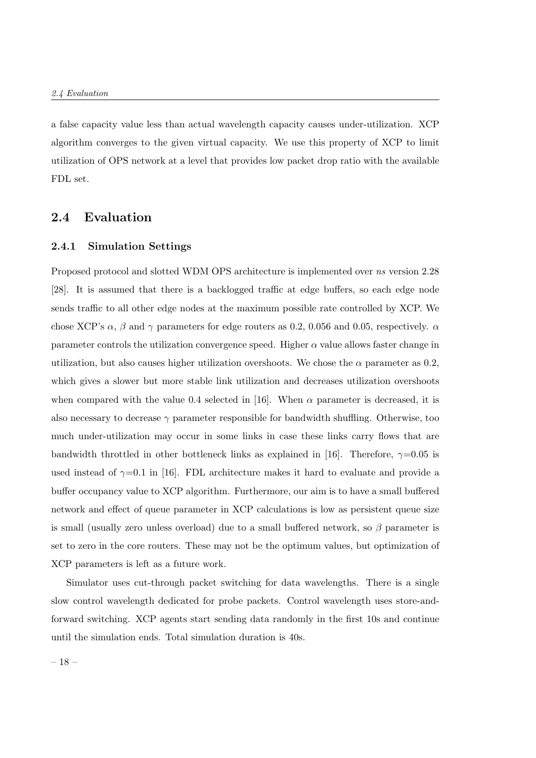a false capacity value less than actual wavelength capacity causes under-utilization. XCP algorithm converges to the given virtual capacity. We use this property of XCP to limit utilization of OPS network at a level that provides low packet drop ratio with the available FDL set.

## 2.4 Evaluation

### 2.4.1 Simulation Settings

Proposed protocol and slotted WDM OPS architecture is implemented over ns version 2.28 [28]. It is assumed that there is a backlogged traffic at edge buffers, so each edge node sends traffic to all other edge nodes at the maximum possible rate controlled by XCP. We chose XCP's  $\alpha$ ,  $\beta$  and  $\gamma$  parameters for edge routers as 0.2, 0.056 and 0.05, respectively.  $\alpha$ parameter controls the utilization convergence speed. Higher  $\alpha$  value allows faster change in utilization, but also causes higher utilization overshoots. We chose the  $\alpha$  parameter as 0.2, which gives a slower but more stable link utilization and decreases utilization overshoots when compared with the value 0.4 selected in [16]. When  $\alpha$  parameter is decreased, it is also necessary to decrease  $\gamma$  parameter responsible for bandwidth shuffling. Otherwise, too much under-utilization may occur in some links in case these links carry flows that are bandwidth throttled in other bottleneck links as explained in [16]. Therefore,  $\gamma=0.05$  is used instead of  $\gamma=0.1$  in [16]. FDL architecture makes it hard to evaluate and provide a buffer occupancy value to XCP algorithm. Furthermore, our aim is to have a small buffered network and effect of queue parameter in XCP calculations is low as persistent queue size is small (usually zero unless overload) due to a small buffered network, so  $\beta$  parameter is set to zero in the core routers. These may not be the optimum values, but optimization of XCP parameters is left as a future work.

Simulator uses cut-through packet switching for data wavelengths. There is a single slow control wavelength dedicated for probe packets. Control wavelength uses store-andforward switching. XCP agents start sending data randomly in the first 10s and continue until the simulation ends. Total simulation duration is 40s.

 $-18-$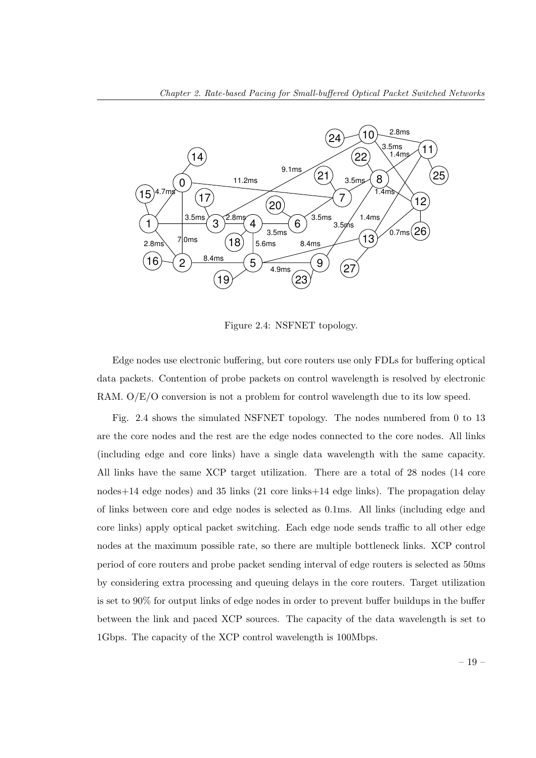

Figure 2.4: NSFNET topology.

Edge nodes use electronic buffering, but core routers use only FDLs for buffering optical data packets. Contention of probe packets on control wavelength is resolved by electronic RAM. O/E/O conversion is not a problem for control wavelength due to its low speed.

Fig. 2.4 shows the simulated NSFNET topology. The nodes numbered from 0 to 13 are the core nodes and the rest are the edge nodes connected to the core nodes. All links (including edge and core links) have a single data wavelength with the same capacity. All links have the same XCP target utilization. There are a total of 28 nodes (14 core nodes+14 edge nodes) and 35 links (21 core links+14 edge links). The propagation delay of links between core and edge nodes is selected as 0.1ms. All links (including edge and core links) apply optical packet switching. Each edge node sends traffic to all other edge nodes at the maximum possible rate, so there are multiple bottleneck links. XCP control period of core routers and probe packet sending interval of edge routers is selected as 50ms by considering extra processing and queuing delays in the core routers. Target utilization is set to 90% for output links of edge nodes in order to prevent buffer buildups in the buffer between the link and paced XCP sources. The capacity of the data wavelength is set to 1Gbps. The capacity of the XCP control wavelength is 100Mbps.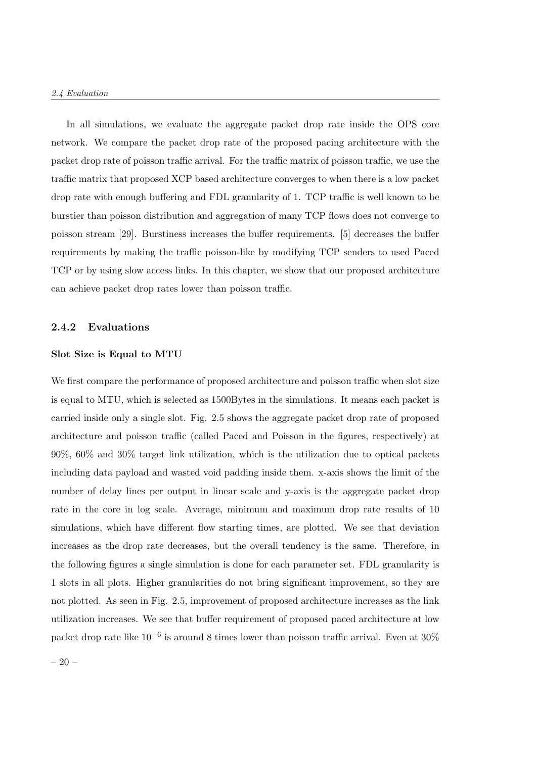In all simulations, we evaluate the aggregate packet drop rate inside the OPS core network. We compare the packet drop rate of the proposed pacing architecture with the packet drop rate of poisson traffic arrival. For the traffic matrix of poisson traffic, we use the traffic matrix that proposed XCP based architecture converges to when there is a low packet drop rate with enough buffering and FDL granularity of 1. TCP traffic is well known to be burstier than poisson distribution and aggregation of many TCP flows does not converge to poisson stream [29]. Burstiness increases the buffer requirements. [5] decreases the buffer requirements by making the traffic poisson-like by modifying TCP senders to used Paced TCP or by using slow access links. In this chapter, we show that our proposed architecture can achieve packet drop rates lower than poisson traffic.

### 2.4.2 Evaluations

### Slot Size is Equal to MTU

We first compare the performance of proposed architecture and poisson traffic when slot size is equal to MTU, which is selected as 1500Bytes in the simulations. It means each packet is carried inside only a single slot. Fig. 2.5 shows the aggregate packet drop rate of proposed architecture and poisson traffic (called Paced and Poisson in the figures, respectively) at 90%, 60% and 30% target link utilization, which is the utilization due to optical packets including data payload and wasted void padding inside them. x-axis shows the limit of the number of delay lines per output in linear scale and y-axis is the aggregate packet drop rate in the core in log scale. Average, minimum and maximum drop rate results of 10 simulations, which have different flow starting times, are plotted. We see that deviation increases as the drop rate decreases, but the overall tendency is the same. Therefore, in the following figures a single simulation is done for each parameter set. FDL granularity is 1 slots in all plots. Higher granularities do not bring significant improvement, so they are not plotted. As seen in Fig. 2.5, improvement of proposed architecture increases as the link utilization increases. We see that buffer requirement of proposed paced architecture at low packet drop rate like 10<sup>-6</sup> is around 8 times lower than poisson traffic arrival. Even at 30%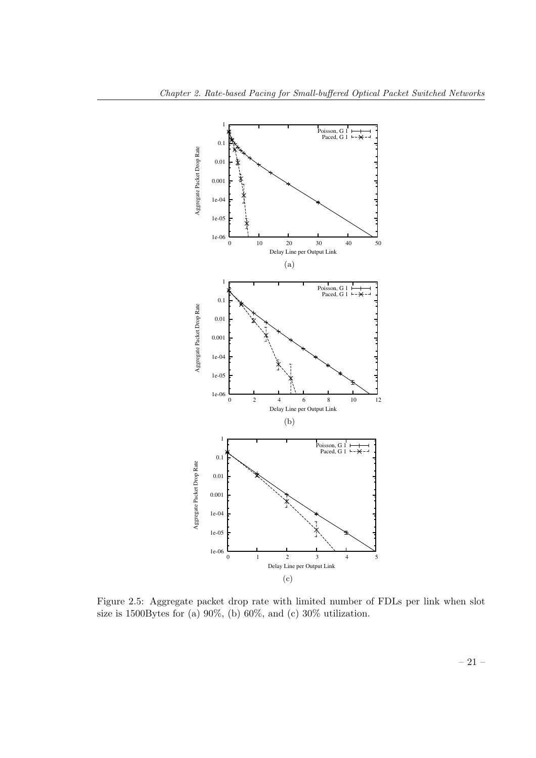

Figure 2.5: Aggregate packet drop rate with limited number of FDLs per link when slot size is 1500Bytes for (a) 90%, (b) 60%, and (c) 30% utilization.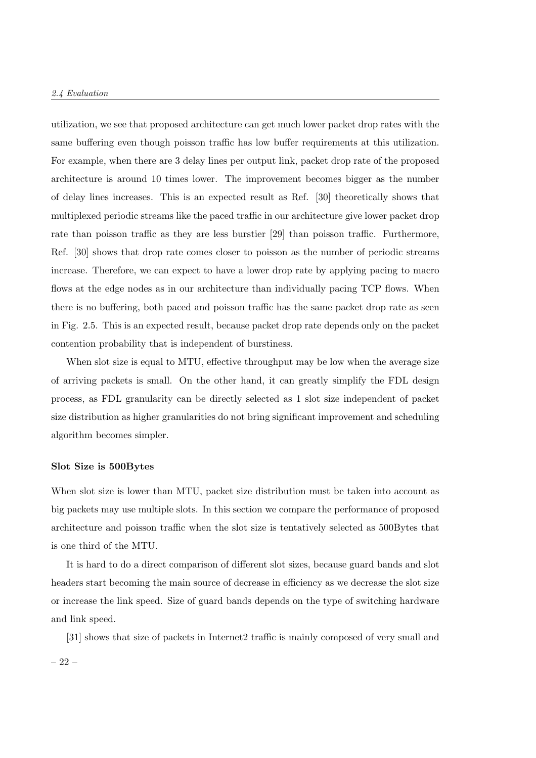### 2.4 Evaluation

utilization, we see that proposed architecture can get much lower packet drop rates with the same buffering even though poisson traffic has low buffer requirements at this utilization. For example, when there are 3 delay lines per output link, packet drop rate of the proposed architecture is around 10 times lower. The improvement becomes bigger as the number of delay lines increases. This is an expected result as Ref. [30] theoretically shows that multiplexed periodic streams like the paced traffic in our architecture give lower packet drop rate than poisson traffic as they are less burstier [29] than poisson traffic. Furthermore, Ref. [30] shows that drop rate comes closer to poisson as the number of periodic streams increase. Therefore, we can expect to have a lower drop rate by applying pacing to macro flows at the edge nodes as in our architecture than individually pacing TCP flows. When there is no buffering, both paced and poisson traffic has the same packet drop rate as seen in Fig. 2.5. This is an expected result, because packet drop rate depends only on the packet contention probability that is independent of burstiness.

When slot size is equal to MTU, effective throughput may be low when the average size of arriving packets is small. On the other hand, it can greatly simplify the FDL design process, as FDL granularity can be directly selected as 1 slot size independent of packet size distribution as higher granularities do not bring significant improvement and scheduling algorithm becomes simpler.

#### Slot Size is 500Bytes

When slot size is lower than MTU, packet size distribution must be taken into account as big packets may use multiple slots. In this section we compare the performance of proposed architecture and poisson traffic when the slot size is tentatively selected as 500Bytes that is one third of the MTU.

It is hard to do a direct comparison of different slot sizes, because guard bands and slot headers start becoming the main source of decrease in efficiency as we decrease the slot size or increase the link speed. Size of guard bands depends on the type of switching hardware and link speed.

[31] shows that size of packets in Internet2 traffic is mainly composed of very small and – 22 –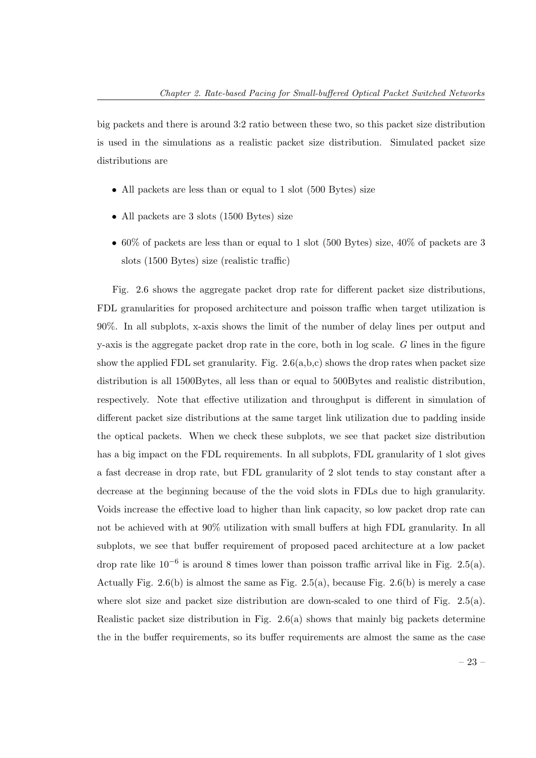big packets and there is around 3:2 ratio between these two, so this packet size distribution is used in the simulations as a realistic packet size distribution. Simulated packet size distributions are

- All packets are less than or equal to 1 slot (500 Bytes) size
- All packets are 3 slots (1500 Bytes) size
- 60% of packets are less than or equal to 1 slot (500 Bytes) size,  $40\%$  of packets are 3 slots (1500 Bytes) size (realistic traffic)

Fig. 2.6 shows the aggregate packet drop rate for different packet size distributions, FDL granularities for proposed architecture and poisson traffic when target utilization is 90%. In all subplots, x-axis shows the limit of the number of delay lines per output and  $y$ -axis is the aggregate packet drop rate in the core, both in log scale.  $G$  lines in the figure show the applied FDL set granularity. Fig.  $2.6(a,b,c)$  shows the drop rates when packet size distribution is all 1500Bytes, all less than or equal to 500Bytes and realistic distribution, respectively. Note that effective utilization and throughput is different in simulation of different packet size distributions at the same target link utilization due to padding inside the optical packets. When we check these subplots, we see that packet size distribution has a big impact on the FDL requirements. In all subplots, FDL granularity of 1 slot gives a fast decrease in drop rate, but FDL granularity of 2 slot tends to stay constant after a decrease at the beginning because of the the void slots in FDLs due to high granularity. Voids increase the effective load to higher than link capacity, so low packet drop rate can not be achieved with at 90% utilization with small buffers at high FDL granularity. In all subplots, we see that buffer requirement of proposed paced architecture at a low packet drop rate like  $10^{-6}$  is around 8 times lower than poisson traffic arrival like in Fig. 2.5(a). Actually Fig. 2.6(b) is almost the same as Fig. 2.5(a), because Fig. 2.6(b) is merely a case where slot size and packet size distribution are down-scaled to one third of Fig. 2.5(a). Realistic packet size distribution in Fig. 2.6(a) shows that mainly big packets determine the in the buffer requirements, so its buffer requirements are almost the same as the case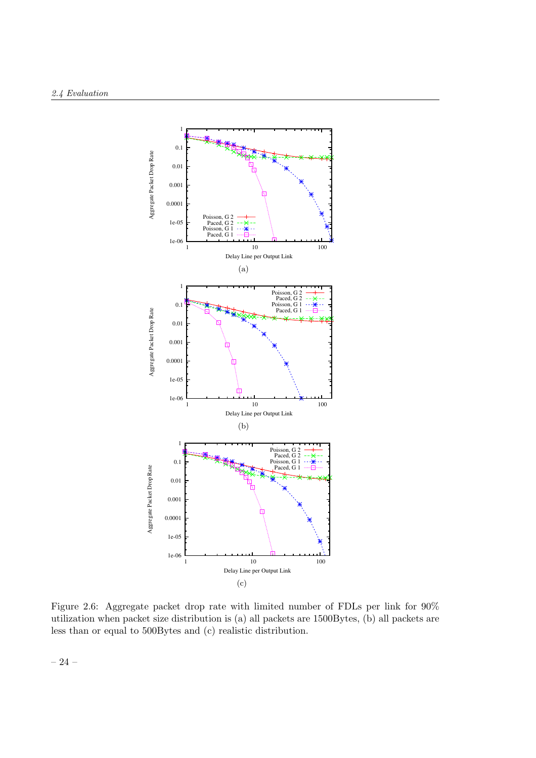

Figure 2.6: Aggregate packet drop rate with limited number of FDLs per link for 90% utilization when packet size distribution is (a) all packets are 1500Bytes, (b) all packets are less than or equal to 500Bytes and (c) realistic distribution.

– 24 –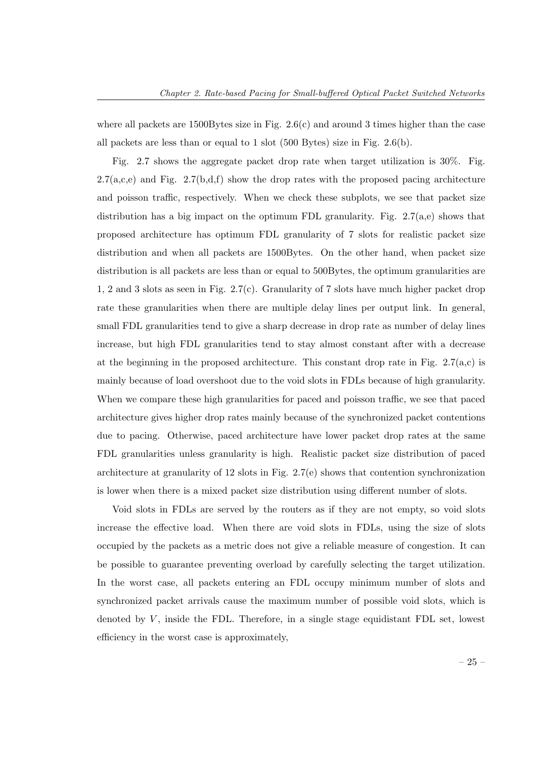where all packets are  $1500B$ ytes size in Fig.  $2.6(c)$  and around 3 times higher than the case all packets are less than or equal to 1 slot (500 Bytes) size in Fig. 2.6(b).

Fig. 2.7 shows the aggregate packet drop rate when target utilization is 30%. Fig.  $2.7(a,c,e)$  and Fig.  $2.7(b,d,f)$  show the drop rates with the proposed pacing architecture and poisson traffic, respectively. When we check these subplots, we see that packet size distribution has a big impact on the optimum FDL granularity. Fig. 2.7(a,e) shows that proposed architecture has optimum FDL granularity of 7 slots for realistic packet size distribution and when all packets are 1500Bytes. On the other hand, when packet size distribution is all packets are less than or equal to 500Bytes, the optimum granularities are 1, 2 and 3 slots as seen in Fig. 2.7(c). Granularity of 7 slots have much higher packet drop rate these granularities when there are multiple delay lines per output link. In general, small FDL granularities tend to give a sharp decrease in drop rate as number of delay lines increase, but high FDL granularities tend to stay almost constant after with a decrease at the beginning in the proposed architecture. This constant drop rate in Fig.  $2.7(a,c)$  is mainly because of load overshoot due to the void slots in FDLs because of high granularity. When we compare these high granularities for paced and poisson traffic, we see that paced architecture gives higher drop rates mainly because of the synchronized packet contentions due to pacing. Otherwise, paced architecture have lower packet drop rates at the same FDL granularities unless granularity is high. Realistic packet size distribution of paced architecture at granularity of 12 slots in Fig. 2.7(e) shows that contention synchronization is lower when there is a mixed packet size distribution using different number of slots.

Void slots in FDLs are served by the routers as if they are not empty, so void slots increase the effective load. When there are void slots in FDLs, using the size of slots occupied by the packets as a metric does not give a reliable measure of congestion. It can be possible to guarantee preventing overload by carefully selecting the target utilization. In the worst case, all packets entering an FDL occupy minimum number of slots and synchronized packet arrivals cause the maximum number of possible void slots, which is denoted by  $V$ , inside the FDL. Therefore, in a single stage equidistant FDL set, lowest efficiency in the worst case is approximately,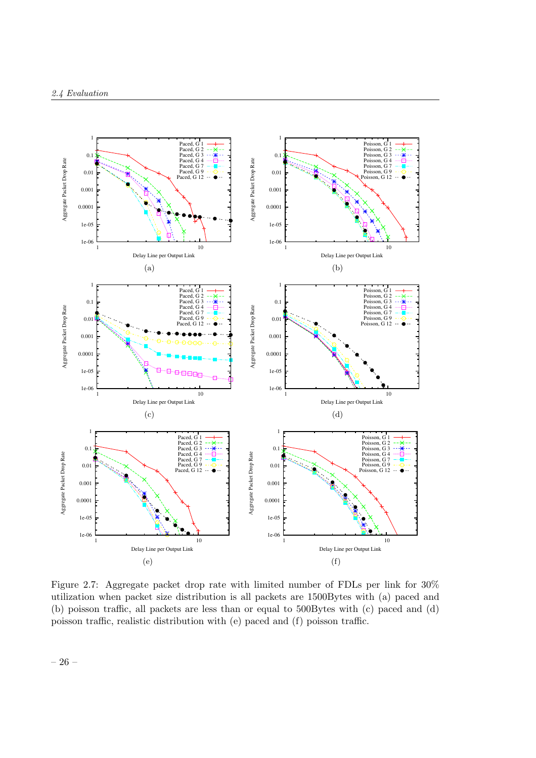

Figure 2.7: Aggregate packet drop rate with limited number of FDLs per link for 30% utilization when packet size distribution is all packets are 1500Bytes with (a) paced and (b) poisson traffic, all packets are less than or equal to 500Bytes with (c) paced and (d) poisson traffic, realistic distribution with (e) paced and (f) poisson traffic.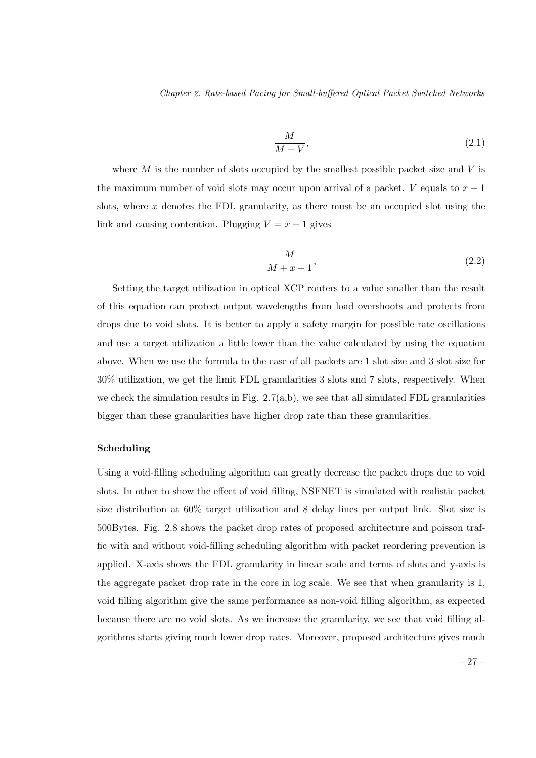$$
\frac{M}{M+V},\tag{2.1}
$$

where  $M$  is the number of slots occupied by the smallest possible packet size and  $V$  is the maximum number of void slots may occur upon arrival of a packet. V equals to  $x - 1$ slots, where  $x$  denotes the FDL granularity, as there must be an occupied slot using the link and causing contention. Plugging  $V = x - 1$  gives

$$
\frac{M}{M+x-1},\tag{2.2}
$$

Setting the target utilization in optical XCP routers to a value smaller than the result of this equation can protect output wavelengths from load overshoots and protects from drops due to void slots. It is better to apply a safety margin for possible rate oscillations and use a target utilization a little lower than the value calculated by using the equation above. When we use the formula to the case of all packets are 1 slot size and 3 slot size for 30% utilization, we get the limit FDL granularities 3 slots and 7 slots, respectively. When we check the simulation results in Fig.  $2.7(a,b)$ , we see that all simulated FDL granularities bigger than these granularities have higher drop rate than these granularities.

### Scheduling

Using a void-filling scheduling algorithm can greatly decrease the packet drops due to void slots. In other to show the effect of void filling, NSFNET is simulated with realistic packet size distribution at 60% target utilization and 8 delay lines per output link. Slot size is 500Bytes. Fig. 2.8 shows the packet drop rates of proposed architecture and poisson traffic with and without void-filling scheduling algorithm with packet reordering prevention is applied. X-axis shows the FDL granularity in linear scale and terms of slots and y-axis is the aggregate packet drop rate in the core in log scale. We see that when granularity is 1, void filling algorithm give the same performance as non-void filling algorithm, as expected because there are no void slots. As we increase the granularity, we see that void filling algorithms starts giving much lower drop rates. Moreover, proposed architecture gives much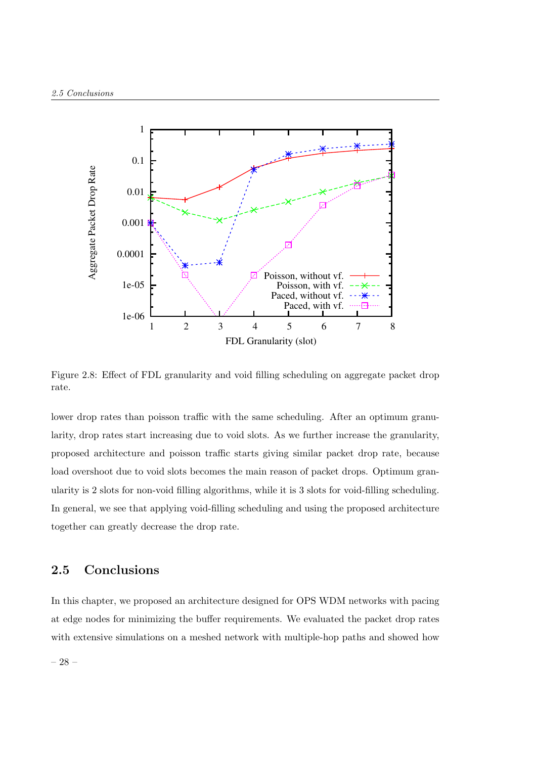

Figure 2.8: Effect of FDL granularity and void filling scheduling on aggregate packet drop rate.

lower drop rates than poisson traffic with the same scheduling. After an optimum granularity, drop rates start increasing due to void slots. As we further increase the granularity, proposed architecture and poisson traffic starts giving similar packet drop rate, because load overshoot due to void slots becomes the main reason of packet drops. Optimum granularity is 2 slots for non-void filling algorithms, while it is 3 slots for void-filling scheduling. In general, we see that applying void-filling scheduling and using the proposed architecture together can greatly decrease the drop rate.

# 2.5 Conclusions

In this chapter, we proposed an architecture designed for OPS WDM networks with pacing at edge nodes for minimizing the buffer requirements. We evaluated the packet drop rates with extensive simulations on a meshed network with multiple-hop paths and showed how

– 28 –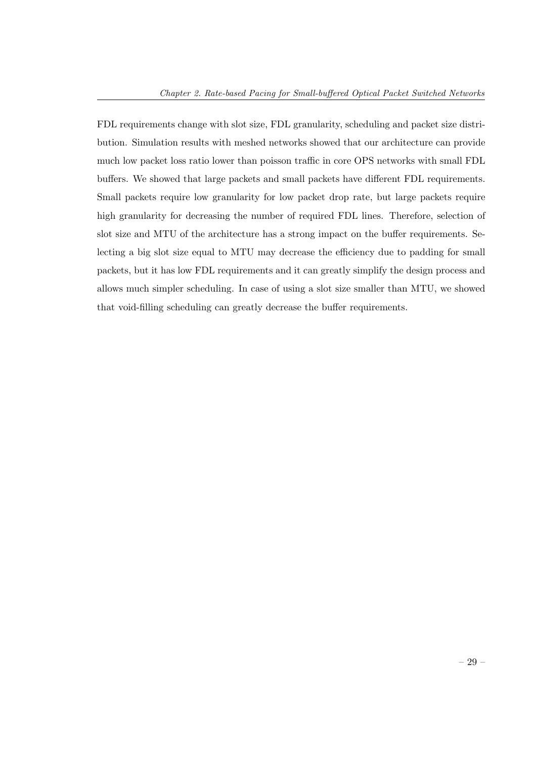FDL requirements change with slot size, FDL granularity, scheduling and packet size distribution. Simulation results with meshed networks showed that our architecture can provide much low packet loss ratio lower than poisson traffic in core OPS networks with small FDL buffers. We showed that large packets and small packets have different FDL requirements. Small packets require low granularity for low packet drop rate, but large packets require high granularity for decreasing the number of required FDL lines. Therefore, selection of slot size and MTU of the architecture has a strong impact on the buffer requirements. Selecting a big slot size equal to MTU may decrease the efficiency due to padding for small packets, but it has low FDL requirements and it can greatly simplify the design process and allows much simpler scheduling. In case of using a slot size smaller than MTU, we showed that void-filling scheduling can greatly decrease the buffer requirements.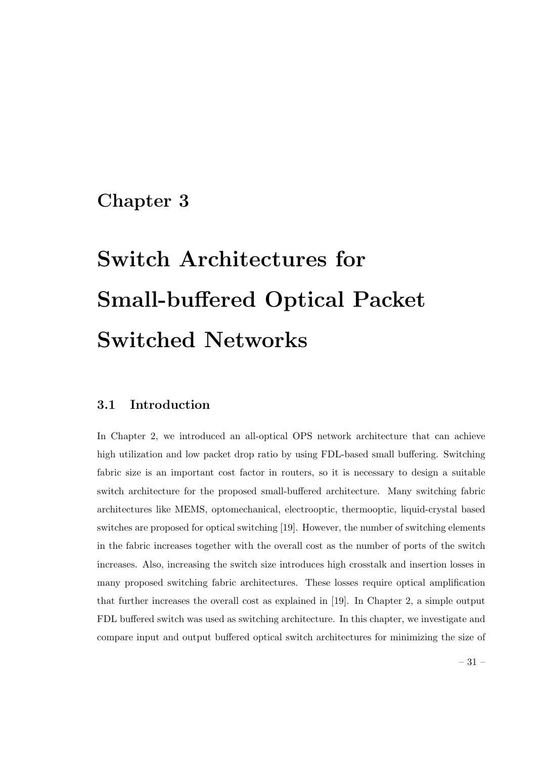# Chapter 3

# Switch Architectures for Small-buffered Optical Packet Switched Networks

# 3.1 Introduction

In Chapter 2, we introduced an all-optical OPS network architecture that can achieve high utilization and low packet drop ratio by using FDL-based small buffering. Switching fabric size is an important cost factor in routers, so it is necessary to design a suitable switch architecture for the proposed small-buffered architecture. Many switching fabric architectures like MEMS, optomechanical, electrooptic, thermooptic, liquid-crystal based switches are proposed for optical switching [19]. However, the number of switching elements in the fabric increases together with the overall cost as the number of ports of the switch increases. Also, increasing the switch size introduces high crosstalk and insertion losses in many proposed switching fabric architectures. These losses require optical amplification that further increases the overall cost as explained in [19]. In Chapter 2, a simple output FDL buffered switch was used as switching architecture. In this chapter, we investigate and compare input and output buffered optical switch architectures for minimizing the size of

– 31 –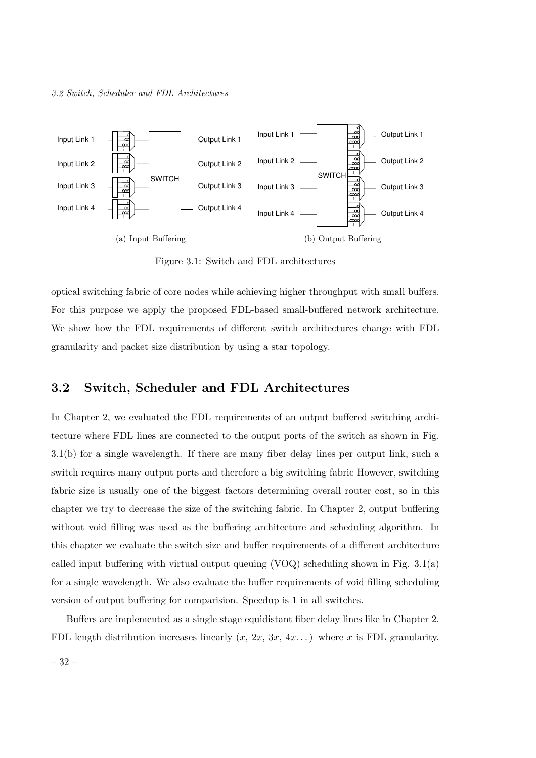

Figure 3.1: Switch and FDL architectures

optical switching fabric of core nodes while achieving higher throughput with small buffers. For this purpose we apply the proposed FDL-based small-buffered network architecture. We show how the FDL requirements of different switch architectures change with FDL granularity and packet size distribution by using a star topology.

# 3.2 Switch, Scheduler and FDL Architectures

In Chapter 2, we evaluated the FDL requirements of an output buffered switching architecture where FDL lines are connected to the output ports of the switch as shown in Fig. 3.1(b) for a single wavelength. If there are many fiber delay lines per output link, such a switch requires many output ports and therefore a big switching fabric However, switching fabric size is usually one of the biggest factors determining overall router cost, so in this chapter we try to decrease the size of the switching fabric. In Chapter 2, output buffering without void filling was used as the buffering architecture and scheduling algorithm. In this chapter we evaluate the switch size and buffer requirements of a different architecture called input buffering with virtual output queuing (VOQ) scheduling shown in Fig. 3.1(a) for a single wavelength. We also evaluate the buffer requirements of void filling scheduling version of output buffering for comparision. Speedup is 1 in all switches.

Buffers are implemented as a single stage equidistant fiber delay lines like in Chapter 2. FDL length distribution increases linearly  $(x, 2x, 3x, 4x...)$  where x is FDL granularity.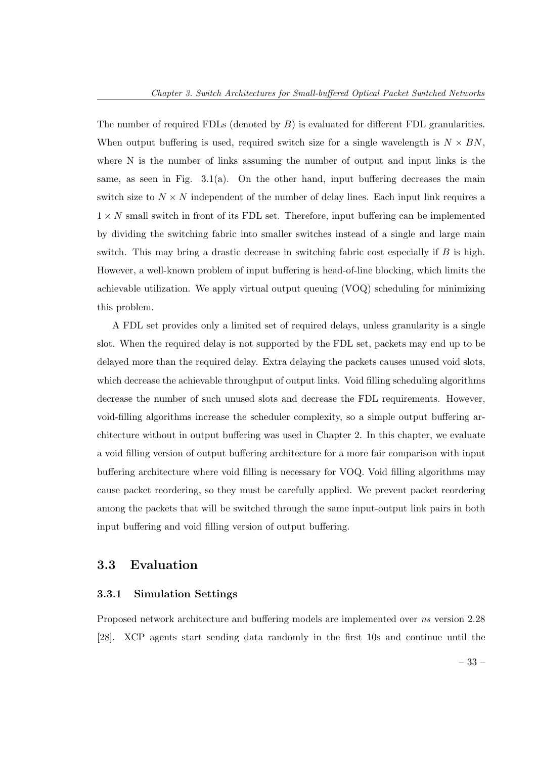The number of required FDLs (denoted by  $B$ ) is evaluated for different FDL granularities. When output buffering is used, required switch size for a single wavelength is  $N \times BN$ , where N is the number of links assuming the number of output and input links is the same, as seen in Fig.  $3.1(a)$ . On the other hand, input buffering decreases the main switch size to  $N \times N$  independent of the number of delay lines. Each input link requires a  $1 \times N$  small switch in front of its FDL set. Therefore, input buffering can be implemented by dividing the switching fabric into smaller switches instead of a single and large main switch. This may bring a drastic decrease in switching fabric cost especially if B is high. However, a well-known problem of input buffering is head-of-line blocking, which limits the achievable utilization. We apply virtual output queuing (VOQ) scheduling for minimizing this problem.

A FDL set provides only a limited set of required delays, unless granularity is a single slot. When the required delay is not supported by the FDL set, packets may end up to be delayed more than the required delay. Extra delaying the packets causes unused void slots, which decrease the achievable throughput of output links. Void filling scheduling algorithms decrease the number of such unused slots and decrease the FDL requirements. However, void-filling algorithms increase the scheduler complexity, so a simple output buffering architecture without in output buffering was used in Chapter 2. In this chapter, we evaluate a void filling version of output buffering architecture for a more fair comparison with input buffering architecture where void filling is necessary for VOQ. Void filling algorithms may cause packet reordering, so they must be carefully applied. We prevent packet reordering among the packets that will be switched through the same input-output link pairs in both input buffering and void filling version of output buffering.

### 3.3 Evaluation

### 3.3.1 Simulation Settings

Proposed network architecture and buffering models are implemented over ns version 2.28 [28]. XCP agents start sending data randomly in the first 10s and continue until the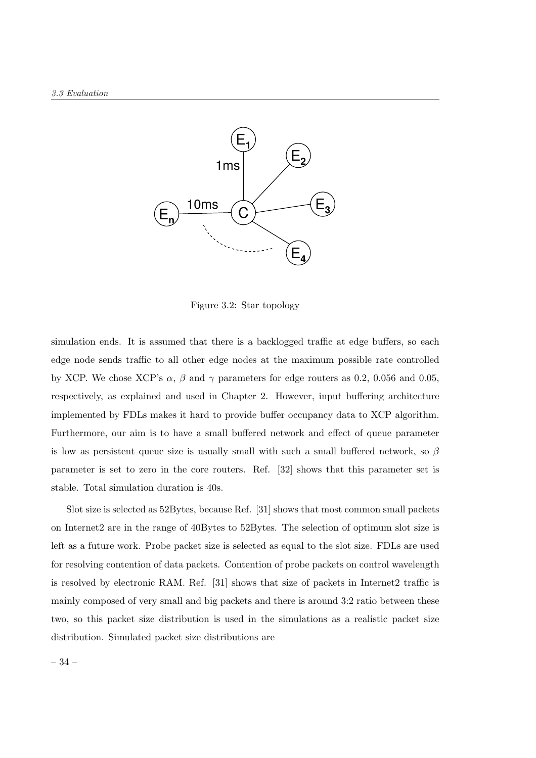

Figure 3.2: Star topology

simulation ends. It is assumed that there is a backlogged traffic at edge buffers, so each edge node sends traffic to all other edge nodes at the maximum possible rate controlled by XCP. We chose XCP's  $\alpha$ ,  $\beta$  and  $\gamma$  parameters for edge routers as 0.2, 0.056 and 0.05, respectively, as explained and used in Chapter 2. However, input buffering architecture implemented by FDLs makes it hard to provide buffer occupancy data to XCP algorithm. Furthermore, our aim is to have a small buffered network and effect of queue parameter is low as persistent queue size is usually small with such a small buffered network, so  $\beta$ parameter is set to zero in the core routers. Ref. [32] shows that this parameter set is stable. Total simulation duration is 40s.

Slot size is selected as 52Bytes, because Ref. [31] shows that most common small packets on Internet2 are in the range of 40Bytes to 52Bytes. The selection of optimum slot size is left as a future work. Probe packet size is selected as equal to the slot size. FDLs are used for resolving contention of data packets. Contention of probe packets on control wavelength is resolved by electronic RAM. Ref. [31] shows that size of packets in Internet2 traffic is mainly composed of very small and big packets and there is around 3:2 ratio between these two, so this packet size distribution is used in the simulations as a realistic packet size distribution. Simulated packet size distributions are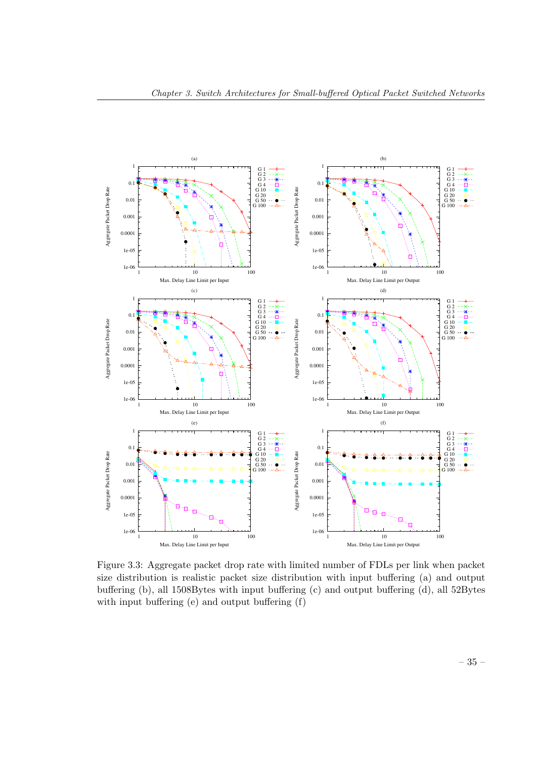

Figure 3.3: Aggregate packet drop rate with limited number of FDLs per link when packet size distribution is realistic packet size distribution with input buffering (a) and output buffering (b), all 1508Bytes with input buffering (c) and output buffering (d), all 52Bytes with input buffering (e) and output buffering (f)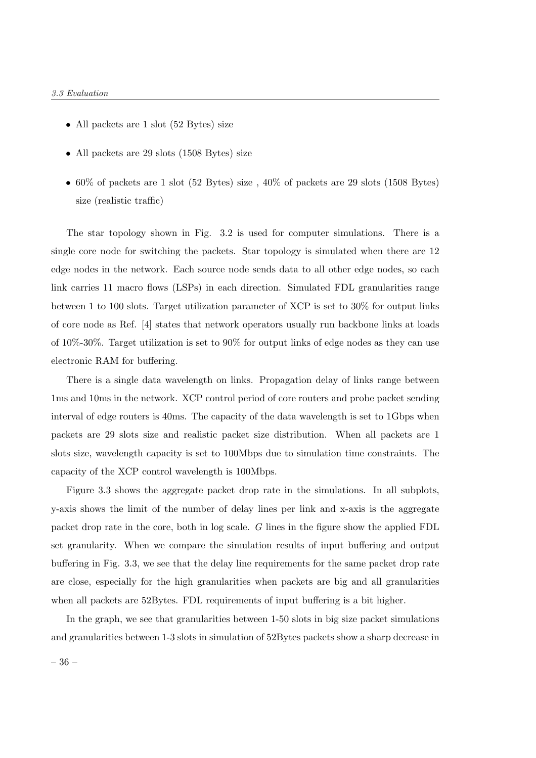- All packets are 1 slot (52 Bytes) size
- All packets are 29 slots (1508 Bytes) size
- $60\%$  of packets are 1 slot (52 Bytes) size,  $40\%$  of packets are 29 slots (1508 Bytes) size (realistic traffic)

The star topology shown in Fig. 3.2 is used for computer simulations. There is a single core node for switching the packets. Star topology is simulated when there are 12 edge nodes in the network. Each source node sends data to all other edge nodes, so each link carries 11 macro flows (LSPs) in each direction. Simulated FDL granularities range between 1 to 100 slots. Target utilization parameter of XCP is set to 30% for output links of core node as Ref. [4] states that network operators usually run backbone links at loads of 10%-30%. Target utilization is set to 90% for output links of edge nodes as they can use electronic RAM for buffering.

There is a single data wavelength on links. Propagation delay of links range between 1ms and 10ms in the network. XCP control period of core routers and probe packet sending interval of edge routers is 40ms. The capacity of the data wavelength is set to 1Gbps when packets are 29 slots size and realistic packet size distribution. When all packets are 1 slots size, wavelength capacity is set to 100Mbps due to simulation time constraints. The capacity of the XCP control wavelength is 100Mbps.

Figure 3.3 shows the aggregate packet drop rate in the simulations. In all subplots, y-axis shows the limit of the number of delay lines per link and x-axis is the aggregate packet drop rate in the core, both in log scale. G lines in the figure show the applied FDL set granularity. When we compare the simulation results of input buffering and output buffering in Fig. 3.3, we see that the delay line requirements for the same packet drop rate are close, especially for the high granularities when packets are big and all granularities when all packets are 52Bytes. FDL requirements of input buffering is a bit higher.

In the graph, we see that granularities between 1-50 slots in big size packet simulations and granularities between 1-3 slots in simulation of 52Bytes packets show a sharp decrease in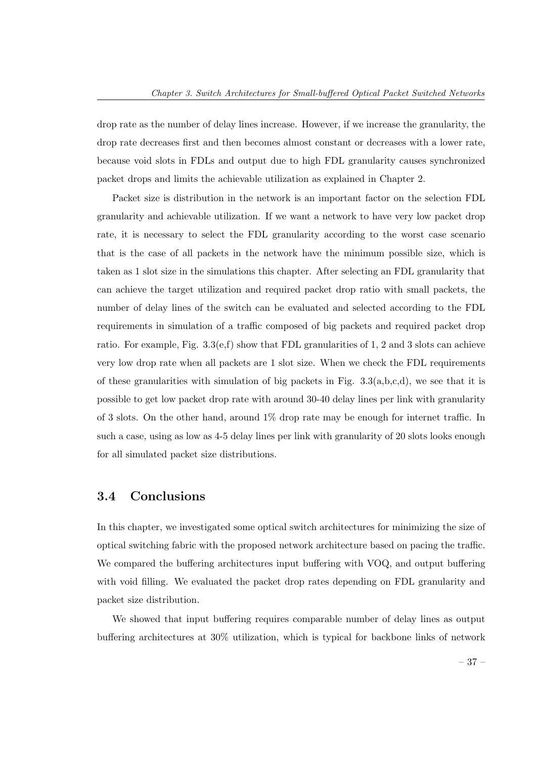drop rate as the number of delay lines increase. However, if we increase the granularity, the drop rate decreases first and then becomes almost constant or decreases with a lower rate, because void slots in FDLs and output due to high FDL granularity causes synchronized packet drops and limits the achievable utilization as explained in Chapter 2.

Packet size is distribution in the network is an important factor on the selection FDL granularity and achievable utilization. If we want a network to have very low packet drop rate, it is necessary to select the FDL granularity according to the worst case scenario that is the case of all packets in the network have the minimum possible size, which is taken as 1 slot size in the simulations this chapter. After selecting an FDL granularity that can achieve the target utilization and required packet drop ratio with small packets, the number of delay lines of the switch can be evaluated and selected according to the FDL requirements in simulation of a traffic composed of big packets and required packet drop ratio. For example, Fig.  $3.3(e,f)$  show that FDL granularities of 1, 2 and 3 slots can achieve very low drop rate when all packets are 1 slot size. When we check the FDL requirements of these granularities with simulation of big packets in Fig.  $3.3(a,b,c,d)$ , we see that it is possible to get low packet drop rate with around 30-40 delay lines per link with granularity of 3 slots. On the other hand, around 1% drop rate may be enough for internet traffic. In such a case, using as low as 4-5 delay lines per link with granularity of 20 slots looks enough for all simulated packet size distributions.

## 3.4 Conclusions

In this chapter, we investigated some optical switch architectures for minimizing the size of optical switching fabric with the proposed network architecture based on pacing the traffic. We compared the buffering architectures input buffering with VOQ, and output buffering with void filling. We evaluated the packet drop rates depending on FDL granularity and packet size distribution.

We showed that input buffering requires comparable number of delay lines as output buffering architectures at 30% utilization, which is typical for backbone links of network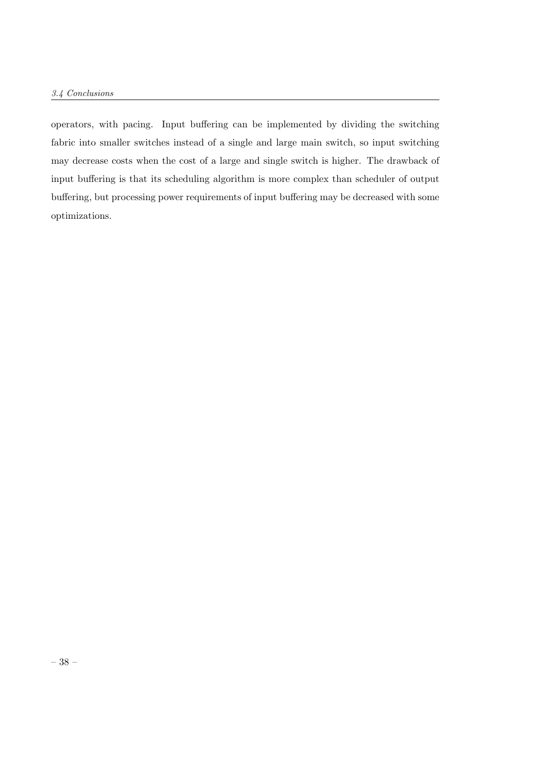operators, with pacing. Input buffering can be implemented by dividing the switching fabric into smaller switches instead of a single and large main switch, so input switching may decrease costs when the cost of a large and single switch is higher. The drawback of input buffering is that its scheduling algorithm is more complex than scheduler of output buffering, but processing power requirements of input buffering may be decreased with some optimizations.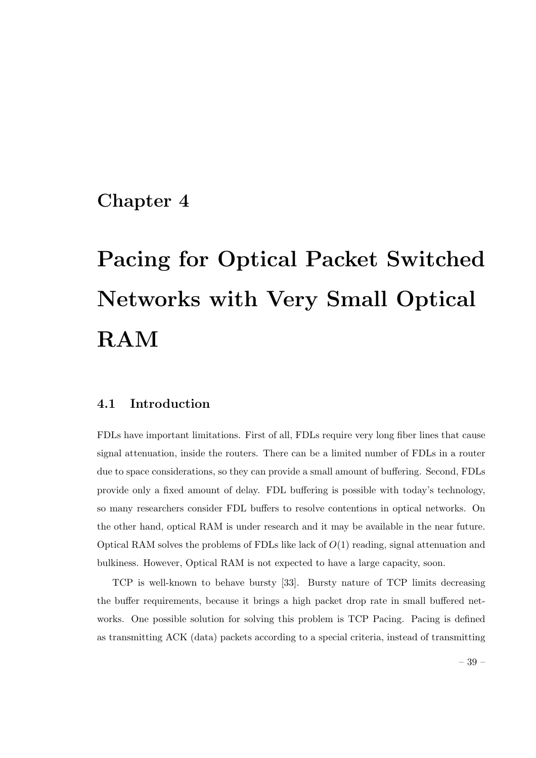# Chapter 4

# Pacing for Optical Packet Switched Networks with Very Small Optical RAM

# 4.1 Introduction

FDLs have important limitations. First of all, FDLs require very long fiber lines that cause signal attenuation, inside the routers. There can be a limited number of FDLs in a router due to space considerations, so they can provide a small amount of buffering. Second, FDLs provide only a fixed amount of delay. FDL buffering is possible with today's technology, so many researchers consider FDL buffers to resolve contentions in optical networks. On the other hand, optical RAM is under research and it may be available in the near future. Optical RAM solves the problems of FDLs like lack of  $O(1)$  reading, signal attenuation and bulkiness. However, Optical RAM is not expected to have a large capacity, soon.

TCP is well-known to behave bursty [33]. Bursty nature of TCP limits decreasing the buffer requirements, because it brings a high packet drop rate in small buffered networks. One possible solution for solving this problem is TCP Pacing. Pacing is defined as transmitting ACK (data) packets according to a special criteria, instead of transmitting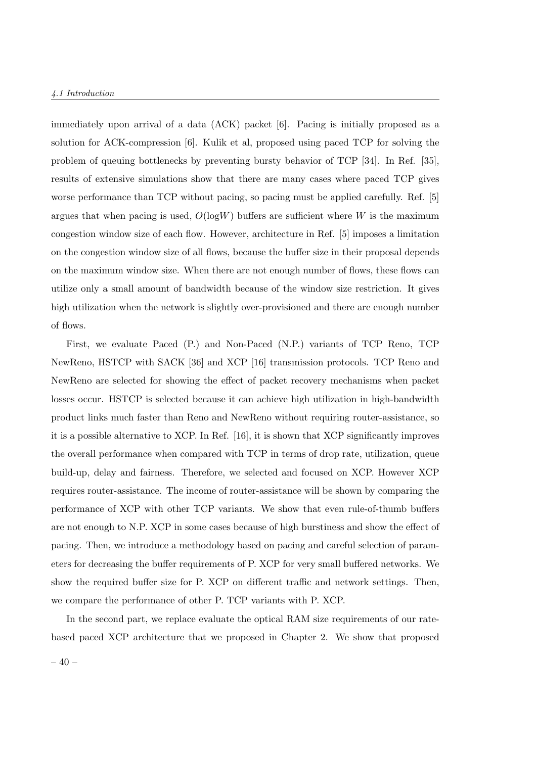### 4.1 Introduction

immediately upon arrival of a data (ACK) packet [6]. Pacing is initially proposed as a solution for ACK-compression [6]. Kulik et al, proposed using paced TCP for solving the problem of queuing bottlenecks by preventing bursty behavior of TCP [34]. In Ref. [35], results of extensive simulations show that there are many cases where paced TCP gives worse performance than TCP without pacing, so pacing must be applied carefully. Ref. [5] argues that when pacing is used,  $O(logW)$  buffers are sufficient where W is the maximum congestion window size of each flow. However, architecture in Ref. [5] imposes a limitation on the congestion window size of all flows, because the buffer size in their proposal depends on the maximum window size. When there are not enough number of flows, these flows can utilize only a small amount of bandwidth because of the window size restriction. It gives high utilization when the network is slightly over-provisioned and there are enough number of flows.

First, we evaluate Paced (P.) and Non-Paced (N.P.) variants of TCP Reno, TCP NewReno, HSTCP with SACK [36] and XCP [16] transmission protocols. TCP Reno and NewReno are selected for showing the effect of packet recovery mechanisms when packet losses occur. HSTCP is selected because it can achieve high utilization in high-bandwidth product links much faster than Reno and NewReno without requiring router-assistance, so it is a possible alternative to XCP. In Ref. [16], it is shown that XCP significantly improves the overall performance when compared with TCP in terms of drop rate, utilization, queue build-up, delay and fairness. Therefore, we selected and focused on XCP. However XCP requires router-assistance. The income of router-assistance will be shown by comparing the performance of XCP with other TCP variants. We show that even rule-of-thumb buffers are not enough to N.P. XCP in some cases because of high burstiness and show the effect of pacing. Then, we introduce a methodology based on pacing and careful selection of parameters for decreasing the buffer requirements of P. XCP for very small buffered networks. We show the required buffer size for P. XCP on different traffic and network settings. Then, we compare the performance of other P. TCP variants with P. XCP.

In the second part, we replace evaluate the optical RAM size requirements of our ratebased paced XCP architecture that we proposed in Chapter 2. We show that proposed  $-40-$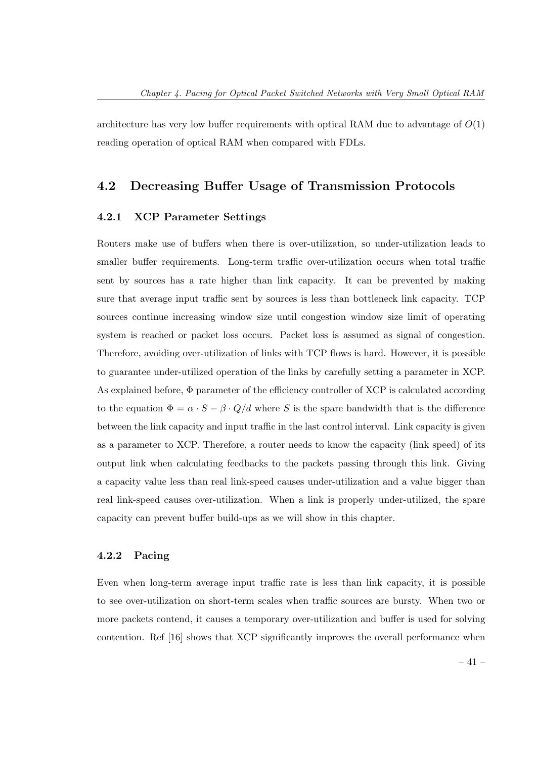architecture has very low buffer requirements with optical RAM due to advantage of  $O(1)$ reading operation of optical RAM when compared with FDLs.

# 4.2 Decreasing Buffer Usage of Transmission Protocols

### 4.2.1 XCP Parameter Settings

Routers make use of buffers when there is over-utilization, so under-utilization leads to smaller buffer requirements. Long-term traffic over-utilization occurs when total traffic sent by sources has a rate higher than link capacity. It can be prevented by making sure that average input traffic sent by sources is less than bottleneck link capacity. TCP sources continue increasing window size until congestion window size limit of operating system is reached or packet loss occurs. Packet loss is assumed as signal of congestion. Therefore, avoiding over-utilization of links with TCP flows is hard. However, it is possible to guarantee under-utilized operation of the links by carefully setting a parameter in XCP. As explained before, Φ parameter of the efficiency controller of XCP is calculated according to the equation  $\Phi = \alpha \cdot S - \beta \cdot Q/d$  where S is the spare bandwidth that is the difference between the link capacity and input traffic in the last control interval. Link capacity is given as a parameter to XCP. Therefore, a router needs to know the capacity (link speed) of its output link when calculating feedbacks to the packets passing through this link. Giving a capacity value less than real link-speed causes under-utilization and a value bigger than real link-speed causes over-utilization. When a link is properly under-utilized, the spare capacity can prevent buffer build-ups as we will show in this chapter.

### 4.2.2 Pacing

Even when long-term average input traffic rate is less than link capacity, it is possible to see over-utilization on short-term scales when traffic sources are bursty. When two or more packets contend, it causes a temporary over-utilization and buffer is used for solving contention. Ref [16] shows that XCP significantly improves the overall performance when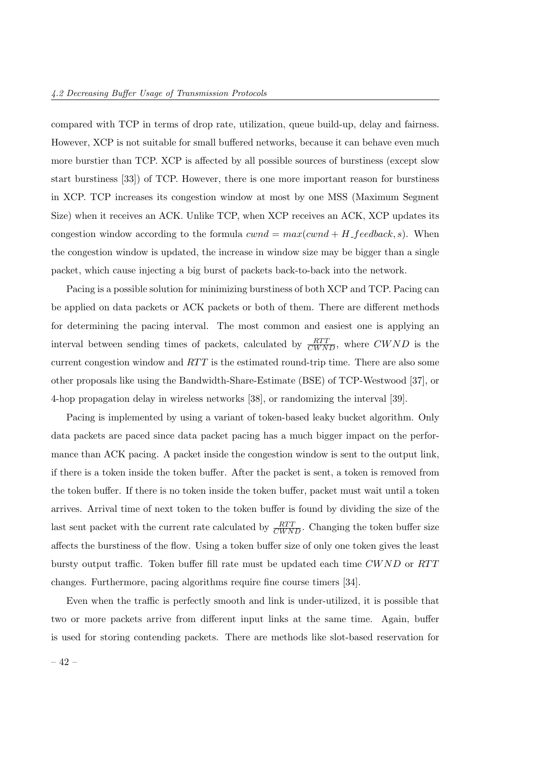compared with TCP in terms of drop rate, utilization, queue build-up, delay and fairness. However, XCP is not suitable for small buffered networks, because it can behave even much more burstier than TCP. XCP is affected by all possible sources of burstiness (except slow start burstiness [33]) of TCP. However, there is one more important reason for burstiness in XCP. TCP increases its congestion window at most by one MSS (Maximum Segment Size) when it receives an ACK. Unlike TCP, when XCP receives an ACK, XCP updates its congestion window according to the formula  $cwnd = max(cwnd + H\_feedback, s)$ . When the congestion window is updated, the increase in window size may be bigger than a single packet, which cause injecting a big burst of packets back-to-back into the network.

Pacing is a possible solution for minimizing burstiness of both XCP and TCP. Pacing can be applied on data packets or ACK packets or both of them. There are different methods for determining the pacing interval. The most common and easiest one is applying an interval between sending times of packets, calculated by  $\frac{RTT}{CWND}$ , where  $CWND$  is the current congestion window and  $RTT$  is the estimated round-trip time. There are also some other proposals like using the Bandwidth-Share-Estimate (BSE) of TCP-Westwood [37], or 4-hop propagation delay in wireless networks [38], or randomizing the interval [39].

Pacing is implemented by using a variant of token-based leaky bucket algorithm. Only data packets are paced since data packet pacing has a much bigger impact on the performance than ACK pacing. A packet inside the congestion window is sent to the output link, if there is a token inside the token buffer. After the packet is sent, a token is removed from the token buffer. If there is no token inside the token buffer, packet must wait until a token arrives. Arrival time of next token to the token buffer is found by dividing the size of the last sent packet with the current rate calculated by  $\frac{RTT}{CWND}$ . Changing the token buffer size affects the burstiness of the flow. Using a token buffer size of only one token gives the least bursty output traffic. Token buffer fill rate must be updated each time  $CWND$  or  $RTT$ changes. Furthermore, pacing algorithms require fine course timers [34].

Even when the traffic is perfectly smooth and link is under-utilized, it is possible that two or more packets arrive from different input links at the same time. Again, buffer is used for storing contending packets. There are methods like slot-based reservation for

– 42 –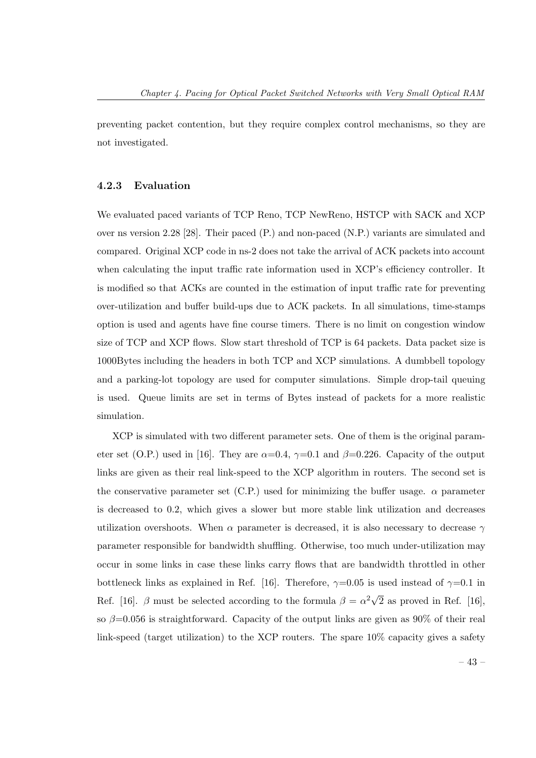preventing packet contention, but they require complex control mechanisms, so they are not investigated.

### 4.2.3 Evaluation

We evaluated paced variants of TCP Reno, TCP NewReno, HSTCP with SACK and XCP over ns version 2.28 [28]. Their paced (P.) and non-paced (N.P.) variants are simulated and compared. Original XCP code in ns-2 does not take the arrival of ACK packets into account when calculating the input traffic rate information used in XCP's efficiency controller. It is modified so that ACKs are counted in the estimation of input traffic rate for preventing over-utilization and buffer build-ups due to ACK packets. In all simulations, time-stamps option is used and agents have fine course timers. There is no limit on congestion window size of TCP and XCP flows. Slow start threshold of TCP is 64 packets. Data packet size is 1000Bytes including the headers in both TCP and XCP simulations. A dumbbell topology and a parking-lot topology are used for computer simulations. Simple drop-tail queuing is used. Queue limits are set in terms of Bytes instead of packets for a more realistic simulation.

XCP is simulated with two different parameter sets. One of them is the original parameter set (O.P.) used in [16]. They are  $\alpha=0.4$ ,  $\gamma=0.1$  and  $\beta=0.226$ . Capacity of the output links are given as their real link-speed to the XCP algorithm in routers. The second set is the conservative parameter set (C.P.) used for minimizing the buffer usage.  $\alpha$  parameter is decreased to 0.2, which gives a slower but more stable link utilization and decreases utilization overshoots. When  $\alpha$  parameter is decreased, it is also necessary to decrease  $\gamma$ parameter responsible for bandwidth shuffling. Otherwise, too much under-utilization may occur in some links in case these links carry flows that are bandwidth throttled in other bottleneck links as explained in Ref. [16]. Therefore,  $\gamma=0.05$  is used instead of  $\gamma=0.1$  in Ref. [16].  $\beta$  must be selected according to the formula  $\beta = \alpha^2 \sqrt{\alpha^2 + \beta^2}$ 2 as proved in Ref.  $[16]$ , so  $\beta$ =0.056 is straightforward. Capacity of the output links are given as 90% of their real link-speed (target utilization) to the XCP routers. The spare 10% capacity gives a safety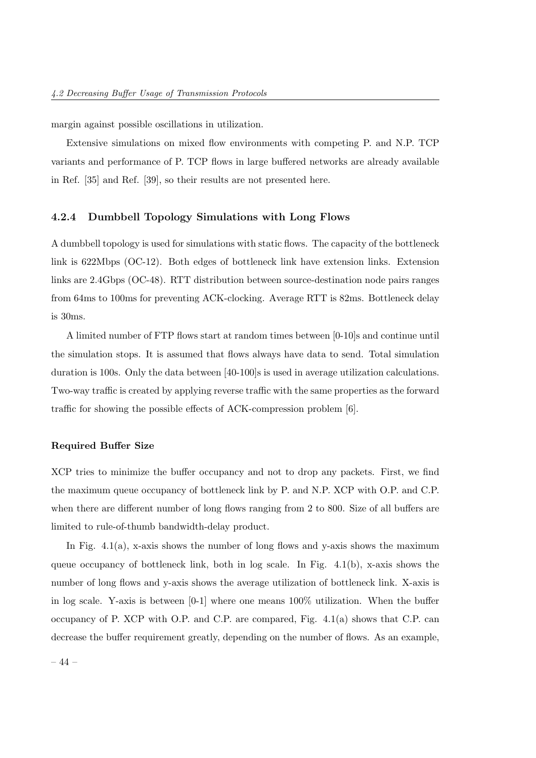margin against possible oscillations in utilization.

Extensive simulations on mixed flow environments with competing P. and N.P. TCP variants and performance of P. TCP flows in large buffered networks are already available in Ref. [35] and Ref. [39], so their results are not presented here.

### 4.2.4 Dumbbell Topology Simulations with Long Flows

A dumbbell topology is used for simulations with static flows. The capacity of the bottleneck link is 622Mbps (OC-12). Both edges of bottleneck link have extension links. Extension links are 2.4Gbps (OC-48). RTT distribution between source-destination node pairs ranges from 64ms to 100ms for preventing ACK-clocking. Average RTT is 82ms. Bottleneck delay is 30ms.

A limited number of FTP flows start at random times between [0-10]s and continue until the simulation stops. It is assumed that flows always have data to send. Total simulation duration is 100s. Only the data between [40-100]s is used in average utilization calculations. Two-way traffic is created by applying reverse traffic with the same properties as the forward traffic for showing the possible effects of ACK-compression problem [6].

### Required Buffer Size

XCP tries to minimize the buffer occupancy and not to drop any packets. First, we find the maximum queue occupancy of bottleneck link by P. and N.P. XCP with O.P. and C.P. when there are different number of long flows ranging from 2 to 800. Size of all buffers are limited to rule-of-thumb bandwidth-delay product.

In Fig.  $4.1(a)$ , x-axis shows the number of long flows and y-axis shows the maximum queue occupancy of bottleneck link, both in log scale. In Fig.  $4.1(b)$ , x-axis shows the number of long flows and y-axis shows the average utilization of bottleneck link. X-axis is in log scale. Y-axis is between  $[0-1]$  where one means 100% utilization. When the buffer occupancy of P. XCP with O.P. and C.P. are compared, Fig. 4.1(a) shows that C.P. can decrease the buffer requirement greatly, depending on the number of flows. As an example,

– 44 –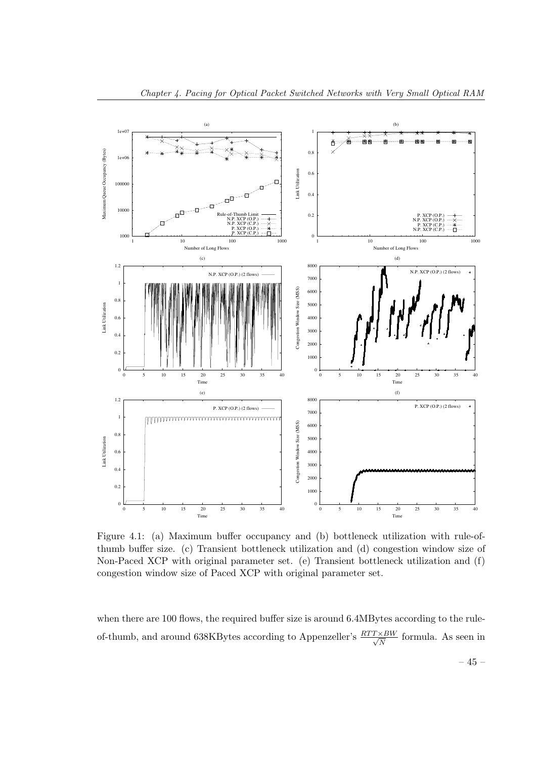

Figure 4.1: (a) Maximum buffer occupancy and (b) bottleneck utilization with rule-ofthumb buffer size. (c) Transient bottleneck utilization and (d) congestion window size of Non-Paced XCP with original parameter set. (e) Transient bottleneck utilization and (f) congestion window size of Paced XCP with original parameter set.

when there are 100 flows, the required buffer size is around 6.4MBytes according to the ruleof-thumb, and around 638KBytes according to Appenzeller's  $\frac{RTT \times BW}{\sqrt{N}}$  formula. As seen in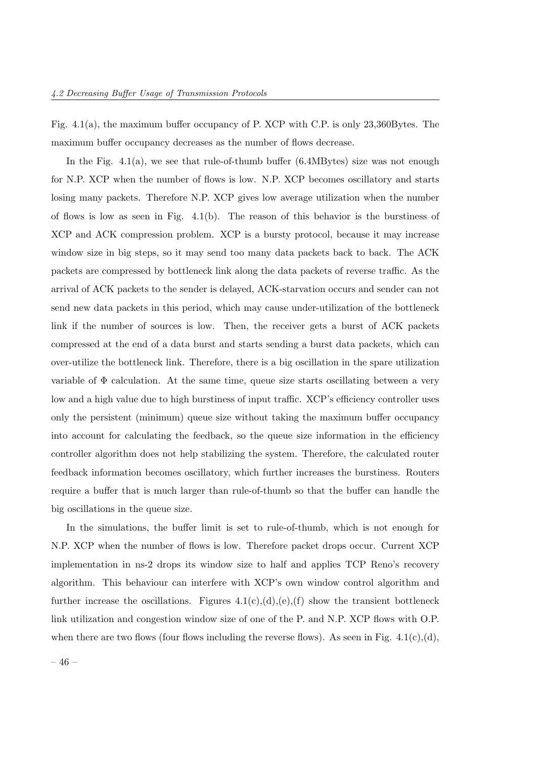Fig. 4.1(a), the maximum buffer occupancy of P. XCP with C.P. is only 23,360Bytes. The maximum buffer occupancy decreases as the number of flows decrease.

In the Fig.  $4.1(a)$ , we see that rule-of-thumb buffer  $(6.4MBytes)$  size was not enough for N.P. XCP when the number of flows is low. N.P. XCP becomes oscillatory and starts losing many packets. Therefore N.P. XCP gives low average utilization when the number of flows is low as seen in Fig. 4.1(b). The reason of this behavior is the burstiness of XCP and ACK compression problem. XCP is a bursty protocol, because it may increase window size in big steps, so it may send too many data packets back to back. The ACK packets are compressed by bottleneck link along the data packets of reverse traffic. As the arrival of ACK packets to the sender is delayed, ACK-starvation occurs and sender can not send new data packets in this period, which may cause under-utilization of the bottleneck link if the number of sources is low. Then, the receiver gets a burst of ACK packets compressed at the end of a data burst and starts sending a burst data packets, which can over-utilize the bottleneck link. Therefore, there is a big oscillation in the spare utilization variable of  $\Phi$  calculation. At the same time, queue size starts oscillating between a very low and a high value due to high burstiness of input traffic. XCP's efficiency controller uses only the persistent (minimum) queue size without taking the maximum buffer occupancy into account for calculating the feedback, so the queue size information in the efficiency controller algorithm does not help stabilizing the system. Therefore, the calculated router feedback information becomes oscillatory, which further increases the burstiness. Routers require a buffer that is much larger than rule-of-thumb so that the buffer can handle the big oscillations in the queue size.

In the simulations, the buffer limit is set to rule-of-thumb, which is not enough for N.P. XCP when the number of flows is low. Therefore packet drops occur. Current XCP implementation in ns-2 drops its window size to half and applies TCP Reno's recovery algorithm. This behaviour can interfere with XCP's own window control algorithm and further increase the oscillations. Figures  $4.1(c), (d), (e), (f)$  show the transient bottleneck link utilization and congestion window size of one of the P. and N.P. XCP flows with O.P. when there are two flows (four flows including the reverse flows). As seen in Fig.  $4.1(c),(d)$ ,

– 46 –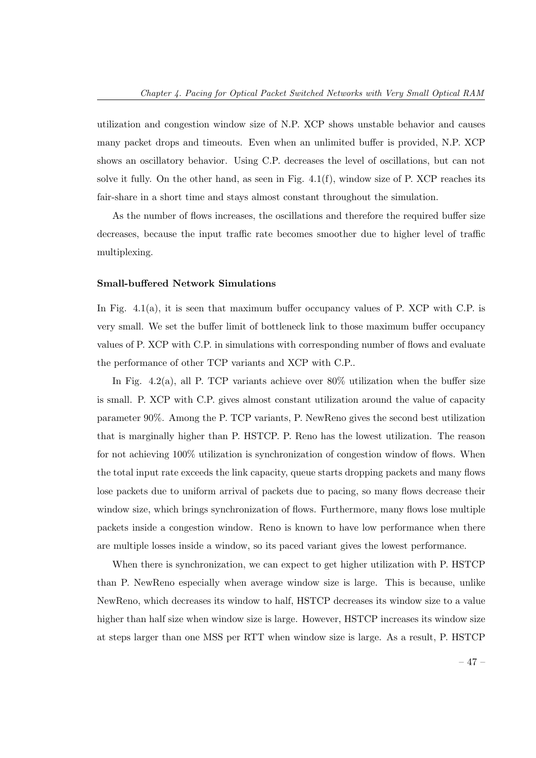utilization and congestion window size of N.P. XCP shows unstable behavior and causes many packet drops and timeouts. Even when an unlimited buffer is provided, N.P. XCP shows an oscillatory behavior. Using C.P. decreases the level of oscillations, but can not solve it fully. On the other hand, as seen in Fig.  $4.1(f)$ , window size of P. XCP reaches its fair-share in a short time and stays almost constant throughout the simulation.

As the number of flows increases, the oscillations and therefore the required buffer size decreases, because the input traffic rate becomes smoother due to higher level of traffic multiplexing.

### Small-buffered Network Simulations

In Fig. 4.1(a), it is seen that maximum buffer occupancy values of P. XCP with C.P. is very small. We set the buffer limit of bottleneck link to those maximum buffer occupancy values of P. XCP with C.P. in simulations with corresponding number of flows and evaluate the performance of other TCP variants and XCP with C.P..

In Fig.  $4.2(a)$ , all P. TCP variants achieve over  $80\%$  utilization when the buffer size is small. P. XCP with C.P. gives almost constant utilization around the value of capacity parameter 90%. Among the P. TCP variants, P. NewReno gives the second best utilization that is marginally higher than P. HSTCP. P. Reno has the lowest utilization. The reason for not achieving 100% utilization is synchronization of congestion window of flows. When the total input rate exceeds the link capacity, queue starts dropping packets and many flows lose packets due to uniform arrival of packets due to pacing, so many flows decrease their window size, which brings synchronization of flows. Furthermore, many flows lose multiple packets inside a congestion window. Reno is known to have low performance when there are multiple losses inside a window, so its paced variant gives the lowest performance.

When there is synchronization, we can expect to get higher utilization with P. HSTCP than P. NewReno especially when average window size is large. This is because, unlike NewReno, which decreases its window to half, HSTCP decreases its window size to a value higher than half size when window size is large. However, HSTCP increases its window size at steps larger than one MSS per RTT when window size is large. As a result, P. HSTCP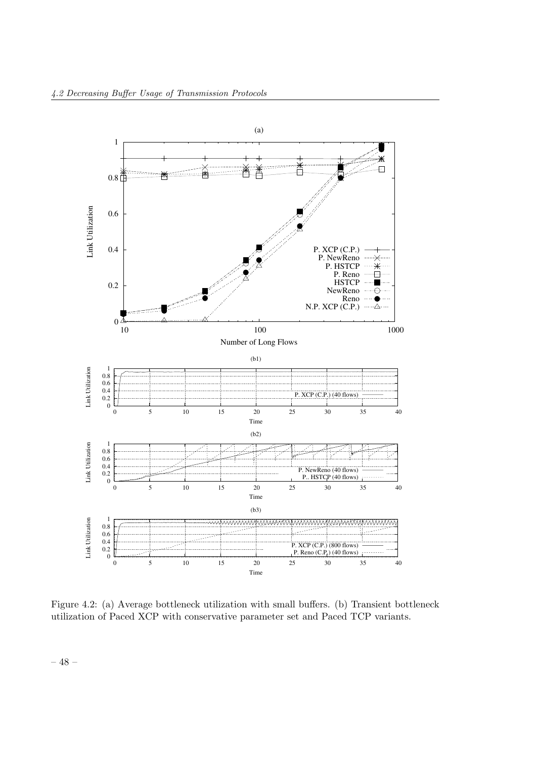

Figure 4.2: (a) Average bottleneck utilization with small buffers. (b) Transient bottleneck utilization of Paced XCP with conservative parameter set and Paced TCP variants.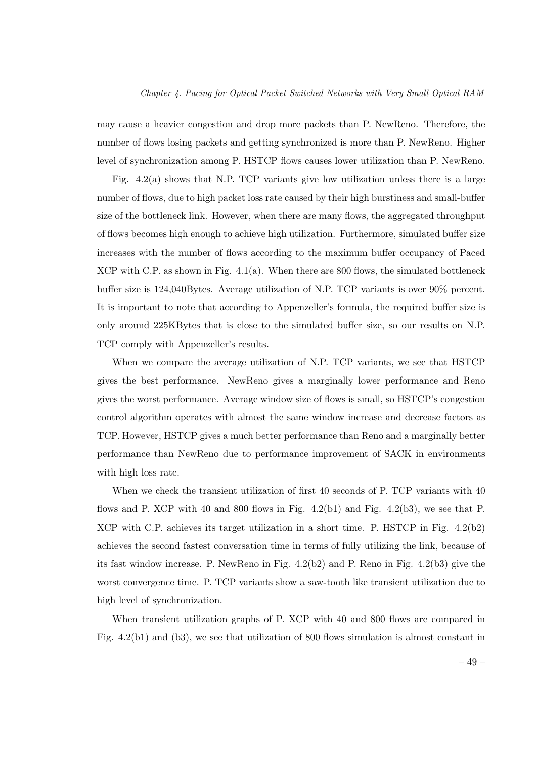may cause a heavier congestion and drop more packets than P. NewReno. Therefore, the number of flows losing packets and getting synchronized is more than P. NewReno. Higher level of synchronization among P. HSTCP flows causes lower utilization than P. NewReno.

Fig. 4.2(a) shows that N.P. TCP variants give low utilization unless there is a large number of flows, due to high packet loss rate caused by their high burstiness and small-buffer size of the bottleneck link. However, when there are many flows, the aggregated throughput of flows becomes high enough to achieve high utilization. Furthermore, simulated buffer size increases with the number of flows according to the maximum buffer occupancy of Paced  $XCP$  with C.P. as shown in Fig. 4.1(a). When there are 800 flows, the simulated bottleneck buffer size is 124,040Bytes. Average utilization of N.P. TCP variants is over 90% percent. It is important to note that according to Appenzeller's formula, the required buffer size is only around 225KBytes that is close to the simulated buffer size, so our results on N.P. TCP comply with Appenzeller's results.

When we compare the average utilization of N.P. TCP variants, we see that HSTCP gives the best performance. NewReno gives a marginally lower performance and Reno gives the worst performance. Average window size of flows is small, so HSTCP's congestion control algorithm operates with almost the same window increase and decrease factors as TCP. However, HSTCP gives a much better performance than Reno and a marginally better performance than NewReno due to performance improvement of SACK in environments with high loss rate.

When we check the transient utilization of first 40 seconds of P. TCP variants with 40 flows and P. XCP with 40 and 800 flows in Fig. 4.2(b1) and Fig. 4.2(b3), we see that P. XCP with C.P. achieves its target utilization in a short time. P. HSTCP in Fig. 4.2(b2) achieves the second fastest conversation time in terms of fully utilizing the link, because of its fast window increase. P. NewReno in Fig. 4.2(b2) and P. Reno in Fig. 4.2(b3) give the worst convergence time. P. TCP variants show a saw-tooth like transient utilization due to high level of synchronization.

When transient utilization graphs of P. XCP with 40 and 800 flows are compared in Fig. 4.2(b1) and (b3), we see that utilization of 800 flows simulation is almost constant in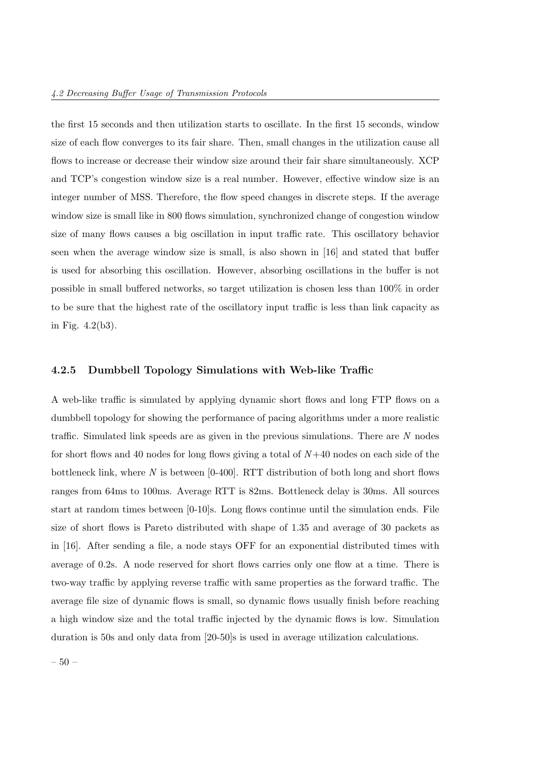the first 15 seconds and then utilization starts to oscillate. In the first 15 seconds, window size of each flow converges to its fair share. Then, small changes in the utilization cause all flows to increase or decrease their window size around their fair share simultaneously. XCP and TCP's congestion window size is a real number. However, effective window size is an integer number of MSS. Therefore, the flow speed changes in discrete steps. If the average window size is small like in 800 flows simulation, synchronized change of congestion window size of many flows causes a big oscillation in input traffic rate. This oscillatory behavior seen when the average window size is small, is also shown in [16] and stated that buffer is used for absorbing this oscillation. However, absorbing oscillations in the buffer is not possible in small buffered networks, so target utilization is chosen less than 100% in order to be sure that the highest rate of the oscillatory input traffic is less than link capacity as in Fig. 4.2(b3).

### 4.2.5 Dumbbell Topology Simulations with Web-like Traffic

A web-like traffic is simulated by applying dynamic short flows and long FTP flows on a dumbbell topology for showing the performance of pacing algorithms under a more realistic traffic. Simulated link speeds are as given in the previous simulations. There are N nodes for short flows and 40 nodes for long flows giving a total of  $N+40$  nodes on each side of the bottleneck link, where  $N$  is between  $[0-400]$ . RTT distribution of both long and short flows ranges from 64ms to 100ms. Average RTT is 82ms. Bottleneck delay is 30ms. All sources start at random times between [0-10]s. Long flows continue until the simulation ends. File size of short flows is Pareto distributed with shape of 1.35 and average of 30 packets as in [16]. After sending a file, a node stays OFF for an exponential distributed times with average of 0.2s. A node reserved for short flows carries only one flow at a time. There is two-way traffic by applying reverse traffic with same properties as the forward traffic. The average file size of dynamic flows is small, so dynamic flows usually finish before reaching a high window size and the total traffic injected by the dynamic flows is low. Simulation duration is 50s and only data from [20-50]s is used in average utilization calculations.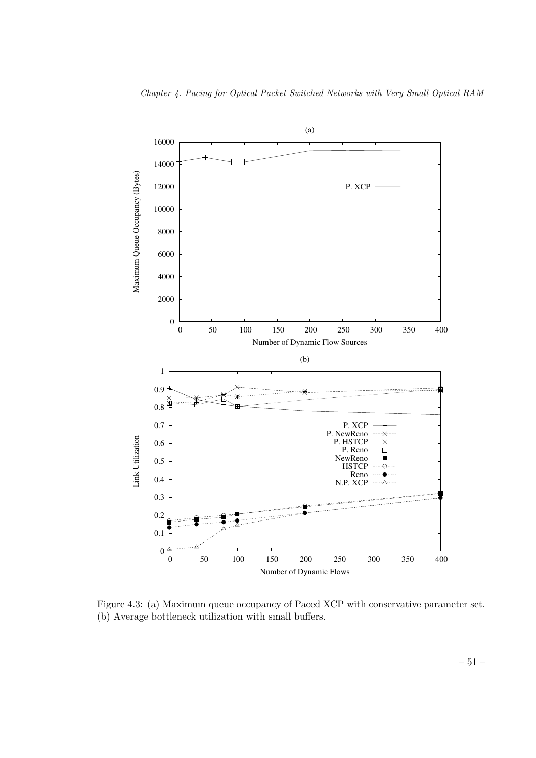

Figure 4.3: (a) Maximum queue occupancy of Paced XCP with conservative parameter set. (b) Average bottleneck utilization with small buffers.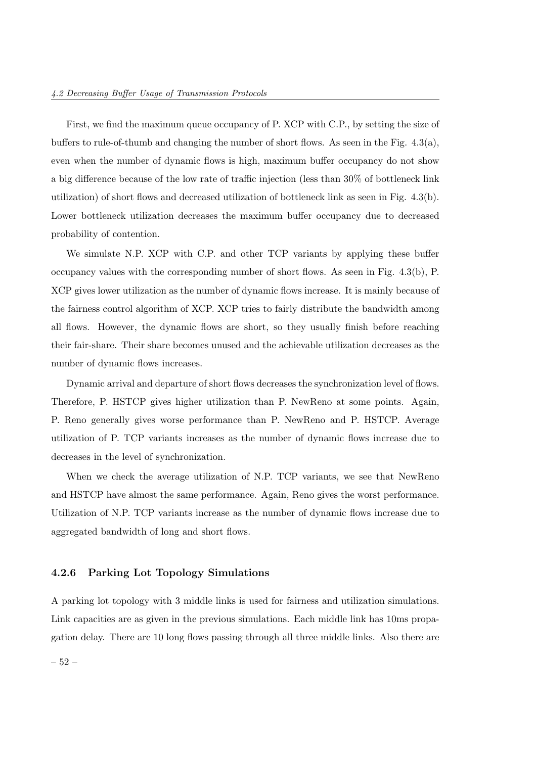First, we find the maximum queue occupancy of P. XCP with C.P., by setting the size of buffers to rule-of-thumb and changing the number of short flows. As seen in the Fig. 4.3(a), even when the number of dynamic flows is high, maximum buffer occupancy do not show a big difference because of the low rate of traffic injection (less than 30% of bottleneck link utilization) of short flows and decreased utilization of bottleneck link as seen in Fig. 4.3(b). Lower bottleneck utilization decreases the maximum buffer occupancy due to decreased probability of contention.

We simulate N.P. XCP with C.P. and other TCP variants by applying these buffer occupancy values with the corresponding number of short flows. As seen in Fig. 4.3(b), P. XCP gives lower utilization as the number of dynamic flows increase. It is mainly because of the fairness control algorithm of XCP. XCP tries to fairly distribute the bandwidth among all flows. However, the dynamic flows are short, so they usually finish before reaching their fair-share. Their share becomes unused and the achievable utilization decreases as the number of dynamic flows increases.

Dynamic arrival and departure of short flows decreases the synchronization level of flows. Therefore, P. HSTCP gives higher utilization than P. NewReno at some points. Again, P. Reno generally gives worse performance than P. NewReno and P. HSTCP. Average utilization of P. TCP variants increases as the number of dynamic flows increase due to decreases in the level of synchronization.

When we check the average utilization of N.P. TCP variants, we see that NewReno and HSTCP have almost the same performance. Again, Reno gives the worst performance. Utilization of N.P. TCP variants increase as the number of dynamic flows increase due to aggregated bandwidth of long and short flows.

#### 4.2.6 Parking Lot Topology Simulations

A parking lot topology with 3 middle links is used for fairness and utilization simulations. Link capacities are as given in the previous simulations. Each middle link has 10ms propagation delay. There are 10 long flows passing through all three middle links. Also there are

– 52 –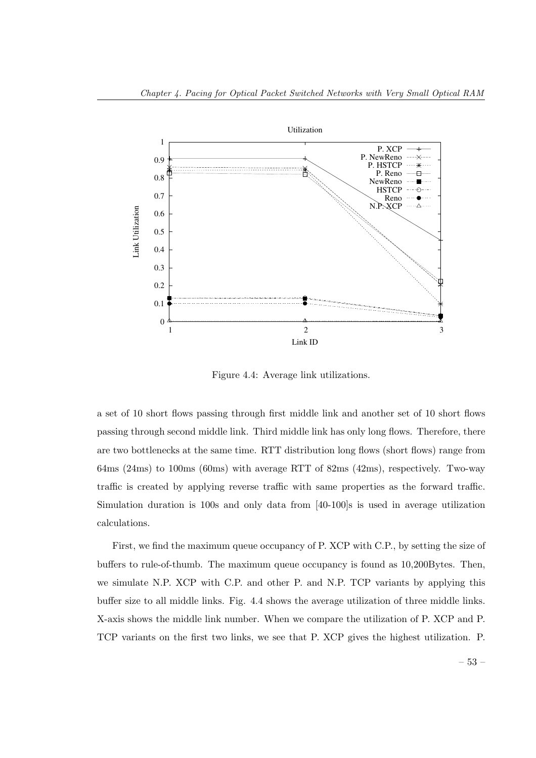

Figure 4.4: Average link utilizations.

a set of 10 short flows passing through first middle link and another set of 10 short flows passing through second middle link. Third middle link has only long flows. Therefore, there are two bottlenecks at the same time. RTT distribution long flows (short flows) range from 64ms (24ms) to 100ms (60ms) with average RTT of 82ms (42ms), respectively. Two-way traffic is created by applying reverse traffic with same properties as the forward traffic. Simulation duration is 100s and only data from [40-100]s is used in average utilization calculations.

First, we find the maximum queue occupancy of P. XCP with C.P., by setting the size of buffers to rule-of-thumb. The maximum queue occupancy is found as 10,200Bytes. Then, we simulate N.P. XCP with C.P. and other P. and N.P. TCP variants by applying this buffer size to all middle links. Fig. 4.4 shows the average utilization of three middle links. X-axis shows the middle link number. When we compare the utilization of P. XCP and P. TCP variants on the first two links, we see that P. XCP gives the highest utilization. P.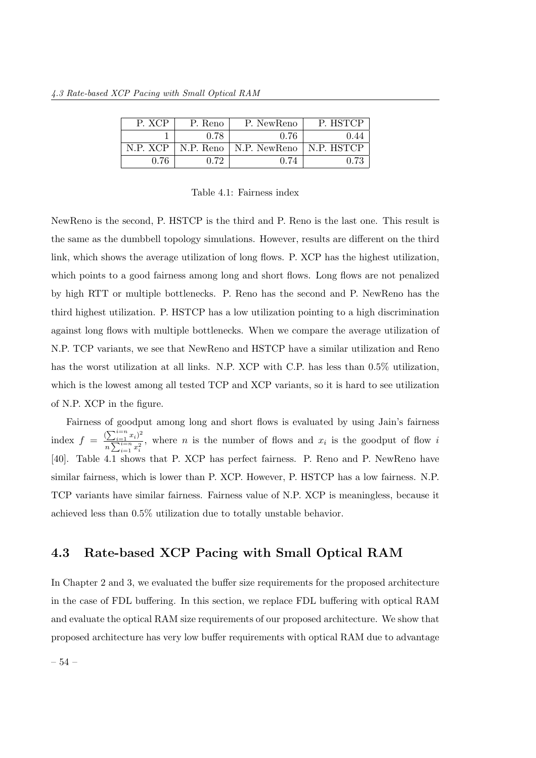| P. XCP   | P. Reno    | P. NewReno   | P. HSTCP           |
|----------|------------|--------------|--------------------|
|          | 0.78       | 0.76         | 0.44               |
| N.P. XCP | N.P. Reno- | N.P. NewReno | $\vert$ N.P. HSTCP |
| 0.76     | 0.72       | 0.74         | 0.73               |

Table 4.1: Fairness index

NewReno is the second, P. HSTCP is the third and P. Reno is the last one. This result is the same as the dumbbell topology simulations. However, results are different on the third link, which shows the average utilization of long flows. P. XCP has the highest utilization, which points to a good fairness among long and short flows. Long flows are not penalized by high RTT or multiple bottlenecks. P. Reno has the second and P. NewReno has the third highest utilization. P. HSTCP has a low utilization pointing to a high discrimination against long flows with multiple bottlenecks. When we compare the average utilization of N.P. TCP variants, we see that NewReno and HSTCP have a similar utilization and Reno has the worst utilization at all links. N.P. XCP with C.P. has less than  $0.5\%$  utilization, which is the lowest among all tested TCP and XCP variants, so it is hard to see utilization of N.P. XCP in the figure.

Fairness of goodput among long and short flows is evaluated by using Jain's fairness index  $f = \frac{\left(\sum_{i=1}^{i=n} x_i\right)^2}{\sum_{i=1}^{i=1} n_i}$  $\frac{\sqrt{1+i-1}x_i}{n\sum_{i=1}^{i=n}x_i^2}$ , where *n* is the number of flows and  $x_i$  is the goodput of flow *i* [40]. Table 4.1 shows that P. XCP has perfect fairness. P. Reno and P. NewReno have similar fairness, which is lower than P. XCP. However, P. HSTCP has a low fairness. N.P. TCP variants have similar fairness. Fairness value of N.P. XCP is meaningless, because it achieved less than 0.5% utilization due to totally unstable behavior.

#### 4.3 Rate-based XCP Pacing with Small Optical RAM

In Chapter 2 and 3, we evaluated the buffer size requirements for the proposed architecture in the case of FDL buffering. In this section, we replace FDL buffering with optical RAM and evaluate the optical RAM size requirements of our proposed architecture. We show that proposed architecture has very low buffer requirements with optical RAM due to advantage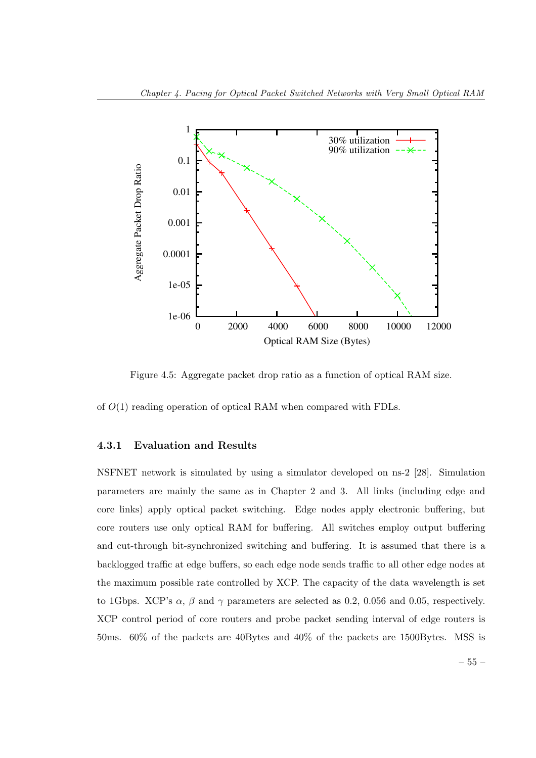

Figure 4.5: Aggregate packet drop ratio as a function of optical RAM size.

of  $O(1)$  reading operation of optical RAM when compared with FDLs.

#### 4.3.1 Evaluation and Results

NSFNET network is simulated by using a simulator developed on ns-2 [28]. Simulation parameters are mainly the same as in Chapter 2 and 3. All links (including edge and core links) apply optical packet switching. Edge nodes apply electronic buffering, but core routers use only optical RAM for buffering. All switches employ output buffering and cut-through bit-synchronized switching and buffering. It is assumed that there is a backlogged traffic at edge buffers, so each edge node sends traffic to all other edge nodes at the maximum possible rate controlled by XCP. The capacity of the data wavelength is set to 1Gbps. XCP's  $\alpha$ ,  $\beta$  and  $\gamma$  parameters are selected as 0.2, 0.056 and 0.05, respectively. XCP control period of core routers and probe packet sending interval of edge routers is 50ms. 60% of the packets are 40Bytes and 40% of the packets are 1500Bytes. MSS is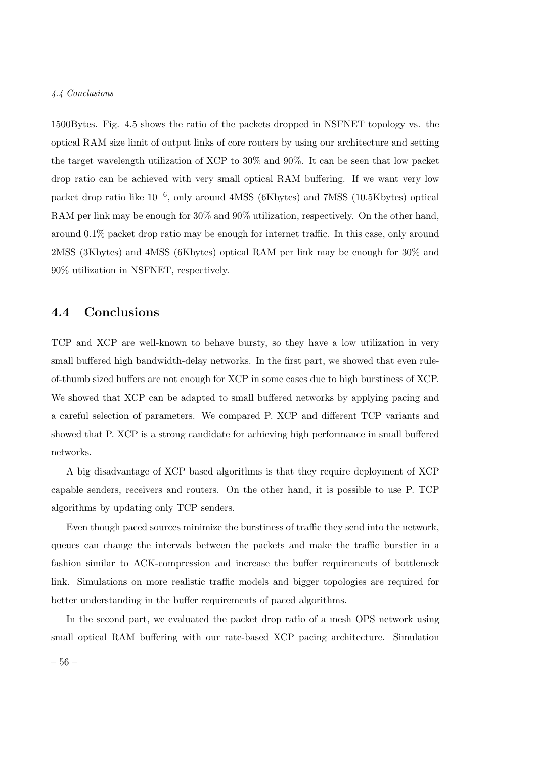1500Bytes. Fig. 4.5 shows the ratio of the packets dropped in NSFNET topology vs. the optical RAM size limit of output links of core routers by using our architecture and setting the target wavelength utilization of XCP to 30% and 90%. It can be seen that low packet drop ratio can be achieved with very small optical RAM buffering. If we want very low packet drop ratio like 10−<sup>6</sup> , only around 4MSS (6Kbytes) and 7MSS (10.5Kbytes) optical RAM per link may be enough for  $30\%$  and  $90\%$  utilization, respectively. On the other hand, around 0.1% packet drop ratio may be enough for internet traffic. In this case, only around 2MSS (3Kbytes) and 4MSS (6Kbytes) optical RAM per link may be enough for 30% and 90% utilization in NSFNET, respectively.

#### 4.4 Conclusions

TCP and XCP are well-known to behave bursty, so they have a low utilization in very small buffered high bandwidth-delay networks. In the first part, we showed that even ruleof-thumb sized buffers are not enough for XCP in some cases due to high burstiness of XCP. We showed that XCP can be adapted to small buffered networks by applying pacing and a careful selection of parameters. We compared P. XCP and different TCP variants and showed that P. XCP is a strong candidate for achieving high performance in small buffered networks.

A big disadvantage of XCP based algorithms is that they require deployment of XCP capable senders, receivers and routers. On the other hand, it is possible to use P. TCP algorithms by updating only TCP senders.

Even though paced sources minimize the burstiness of traffic they send into the network, queues can change the intervals between the packets and make the traffic burstier in a fashion similar to ACK-compression and increase the buffer requirements of bottleneck link. Simulations on more realistic traffic models and bigger topologies are required for better understanding in the buffer requirements of paced algorithms.

In the second part, we evaluated the packet drop ratio of a mesh OPS network using small optical RAM buffering with our rate-based XCP pacing architecture. Simulation – 56 –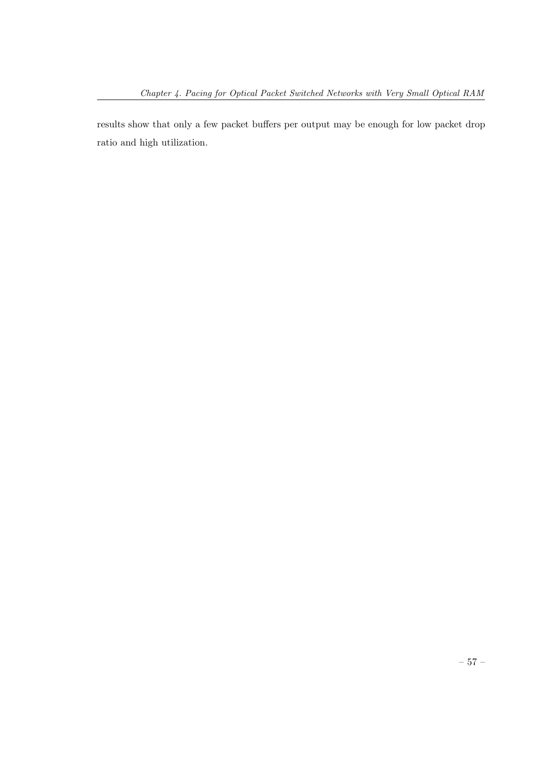results show that only a few packet buffers per output may be enough for low packet drop ratio and high utilization.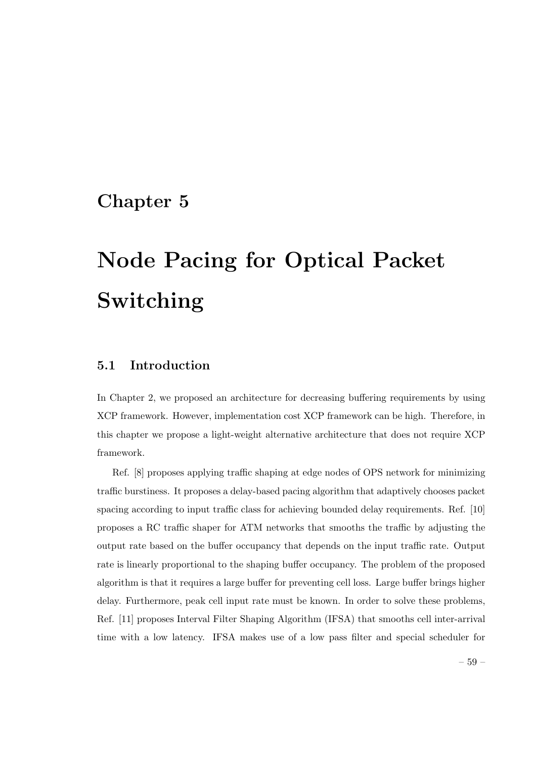### Chapter 5

# Node Pacing for Optical Packet Switching

#### 5.1 Introduction

In Chapter 2, we proposed an architecture for decreasing buffering requirements by using XCP framework. However, implementation cost XCP framework can be high. Therefore, in this chapter we propose a light-weight alternative architecture that does not require XCP framework.

Ref. [8] proposes applying traffic shaping at edge nodes of OPS network for minimizing traffic burstiness. It proposes a delay-based pacing algorithm that adaptively chooses packet spacing according to input traffic class for achieving bounded delay requirements. Ref. [10] proposes a RC traffic shaper for ATM networks that smooths the traffic by adjusting the output rate based on the buffer occupancy that depends on the input traffic rate. Output rate is linearly proportional to the shaping buffer occupancy. The problem of the proposed algorithm is that it requires a large buffer for preventing cell loss. Large buffer brings higher delay. Furthermore, peak cell input rate must be known. In order to solve these problems, Ref. [11] proposes Interval Filter Shaping Algorithm (IFSA) that smooths cell inter-arrival time with a low latency. IFSA makes use of a low pass filter and special scheduler for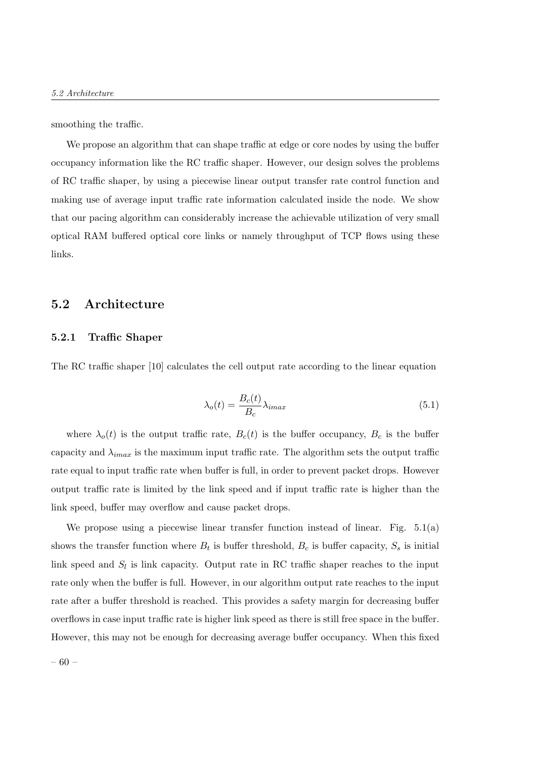smoothing the traffic.

We propose an algorithm that can shape traffic at edge or core nodes by using the buffer occupancy information like the RC traffic shaper. However, our design solves the problems of RC traffic shaper, by using a piecewise linear output transfer rate control function and making use of average input traffic rate information calculated inside the node. We show that our pacing algorithm can considerably increase the achievable utilization of very small optical RAM buffered optical core links or namely throughput of TCP flows using these links.

#### 5.2 Architecture

#### 5.2.1 Traffic Shaper

The RC traffic shaper [10] calculates the cell output rate according to the linear equation

$$
\lambda_o(t) = \frac{B_c(t)}{B_c} \lambda_{i max} \tag{5.1}
$$

where  $\lambda_o(t)$  is the output traffic rate,  $B_c(t)$  is the buffer occupancy,  $B_c$  is the buffer capacity and  $\lambda_{i max}$  is the maximum input traffic rate. The algorithm sets the output traffic rate equal to input traffic rate when buffer is full, in order to prevent packet drops. However output traffic rate is limited by the link speed and if input traffic rate is higher than the link speed, buffer may overflow and cause packet drops.

We propose using a piecewise linear transfer function instead of linear. Fig. 5.1(a) shows the transfer function where  $B_t$  is buffer threshold,  $B_c$  is buffer capacity,  $S_s$  is initial link speed and  $S_l$  is link capacity. Output rate in RC traffic shaper reaches to the input rate only when the buffer is full. However, in our algorithm output rate reaches to the input rate after a buffer threshold is reached. This provides a safety margin for decreasing buffer overflows in case input traffic rate is higher link speed as there is still free space in the buffer. However, this may not be enough for decreasing average buffer occupancy. When this fixed

– 60 –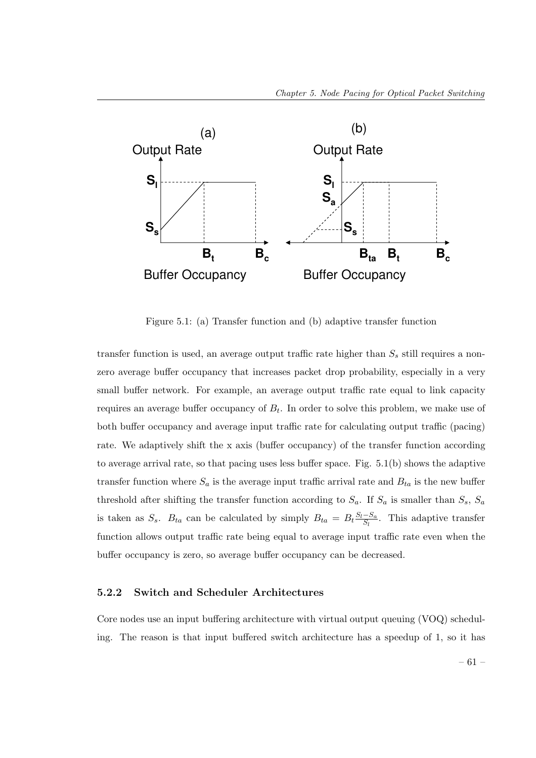

Figure 5.1: (a) Transfer function and (b) adaptive transfer function

transfer function is used, an average output traffic rate higher than  $S_s$  still requires a nonzero average buffer occupancy that increases packet drop probability, especially in a very small buffer network. For example, an average output traffic rate equal to link capacity requires an average buffer occupancy of  $B_t$ . In order to solve this problem, we make use of both buffer occupancy and average input traffic rate for calculating output traffic (pacing) rate. We adaptively shift the x axis (buffer occupancy) of the transfer function according to average arrival rate, so that pacing uses less buffer space. Fig.  $5.1(b)$  shows the adaptive transfer function where  $S_a$  is the average input traffic arrival rate and  $B_{ta}$  is the new buffer threshold after shifting the transfer function according to  $S_a$ . If  $S_a$  is smaller than  $S_s$ ,  $S_a$ is taken as  $S_s$ .  $B_{ta}$  can be calculated by simply  $B_{ta} = B_t \frac{S_l - S_a}{S_a}$  $\frac{-S_a}{S_l}$ . This adaptive transfer function allows output traffic rate being equal to average input traffic rate even when the buffer occupancy is zero, so average buffer occupancy can be decreased.

#### 5.2.2 Switch and Scheduler Architectures

Core nodes use an input buffering architecture with virtual output queuing (VOQ) scheduling. The reason is that input buffered switch architecture has a speedup of 1, so it has

– 61 –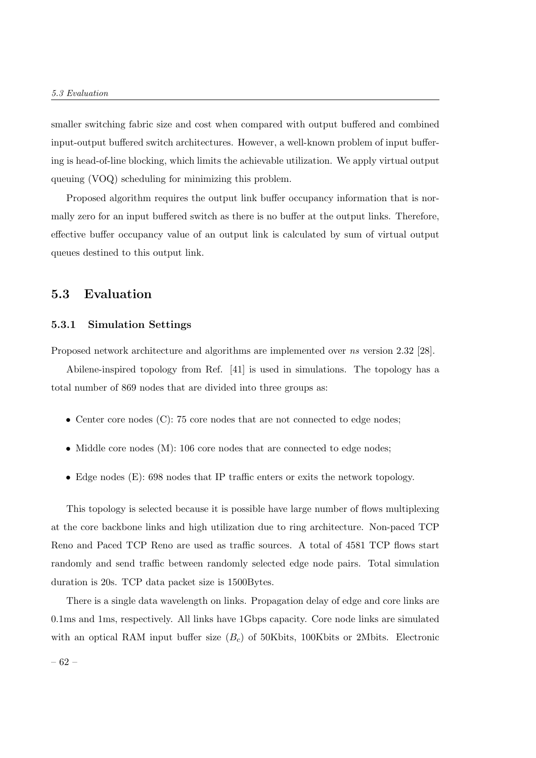smaller switching fabric size and cost when compared with output buffered and combined input-output buffered switch architectures. However, a well-known problem of input buffering is head-of-line blocking, which limits the achievable utilization. We apply virtual output queuing (VOQ) scheduling for minimizing this problem.

Proposed algorithm requires the output link buffer occupancy information that is normally zero for an input buffered switch as there is no buffer at the output links. Therefore, effective buffer occupancy value of an output link is calculated by sum of virtual output queues destined to this output link.

#### 5.3 Evaluation

#### 5.3.1 Simulation Settings

Proposed network architecture and algorithms are implemented over ns version 2.32 [28].

Abilene-inspired topology from Ref. [41] is used in simulations. The topology has a total number of 869 nodes that are divided into three groups as:

- Center core nodes  $(C)$ : 75 core nodes that are not connected to edge nodes;
- Middle core nodes (M): 106 core nodes that are connected to edge nodes;
- Edge nodes (E): 698 nodes that IP traffic enters or exits the network topology.

This topology is selected because it is possible have large number of flows multiplexing at the core backbone links and high utilization due to ring architecture. Non-paced TCP Reno and Paced TCP Reno are used as traffic sources. A total of 4581 TCP flows start randomly and send traffic between randomly selected edge node pairs. Total simulation duration is 20s. TCP data packet size is 1500Bytes.

There is a single data wavelength on links. Propagation delay of edge and core links are 0.1ms and 1ms, respectively. All links have 1Gbps capacity. Core node links are simulated with an optical RAM input buffer size  $(B<sub>c</sub>)$  of 50Kbits, 100Kbits or 2Mbits. Electronic – 62 –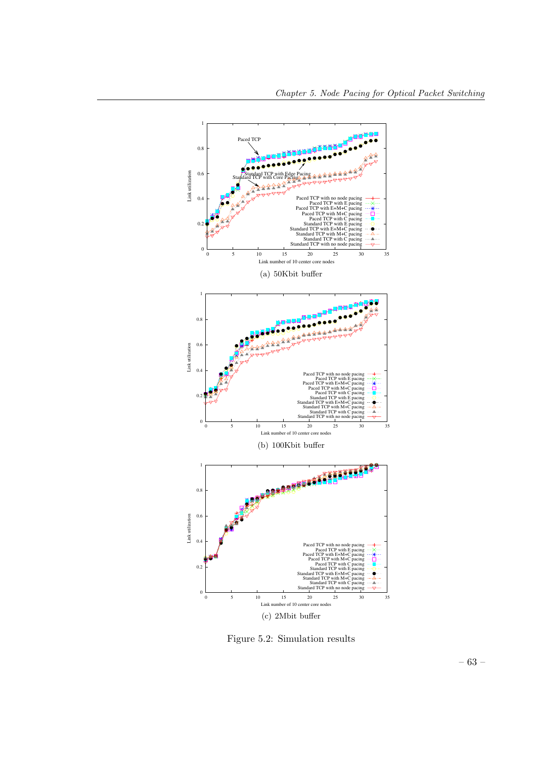

Figure 5.2: Simulation results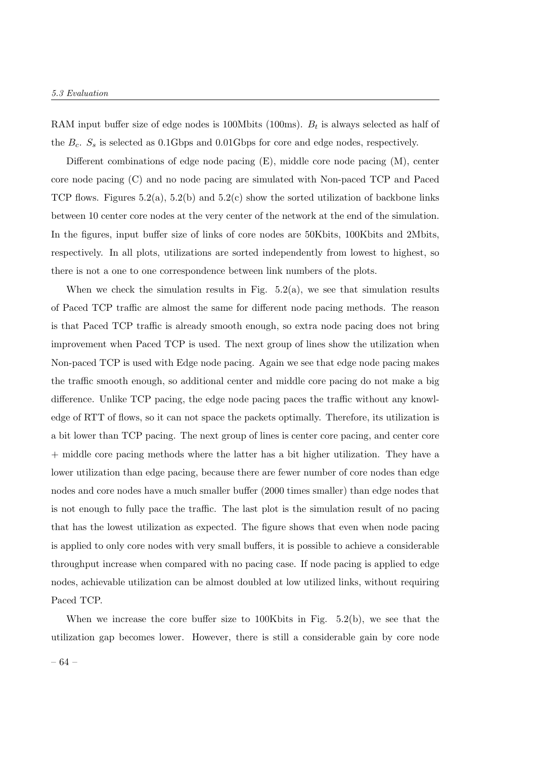RAM input buffer size of edge nodes is 100Mbits (100ms).  $B_t$  is always selected as half of the  $B_c$ .  $S_s$  is selected as 0.1Gbps and 0.01Gbps for core and edge nodes, respectively.

Different combinations of edge node pacing (E), middle core node pacing (M), center core node pacing (C) and no node pacing are simulated with Non-paced TCP and Paced TCP flows. Figures 5.2(a), 5.2(b) and 5.2(c) show the sorted utilization of backbone links between 10 center core nodes at the very center of the network at the end of the simulation. In the figures, input buffer size of links of core nodes are 50Kbits, 100Kbits and 2Mbits, respectively. In all plots, utilizations are sorted independently from lowest to highest, so there is not a one to one correspondence between link numbers of the plots.

When we check the simulation results in Fig.  $5.2(a)$ , we see that simulation results of Paced TCP traffic are almost the same for different node pacing methods. The reason is that Paced TCP traffic is already smooth enough, so extra node pacing does not bring improvement when Paced TCP is used. The next group of lines show the utilization when Non-paced TCP is used with Edge node pacing. Again we see that edge node pacing makes the traffic smooth enough, so additional center and middle core pacing do not make a big difference. Unlike TCP pacing, the edge node pacing paces the traffic without any knowledge of RTT of flows, so it can not space the packets optimally. Therefore, its utilization is a bit lower than TCP pacing. The next group of lines is center core pacing, and center core + middle core pacing methods where the latter has a bit higher utilization. They have a lower utilization than edge pacing, because there are fewer number of core nodes than edge nodes and core nodes have a much smaller buffer (2000 times smaller) than edge nodes that is not enough to fully pace the traffic. The last plot is the simulation result of no pacing that has the lowest utilization as expected. The figure shows that even when node pacing is applied to only core nodes with very small buffers, it is possible to achieve a considerable throughput increase when compared with no pacing case. If node pacing is applied to edge nodes, achievable utilization can be almost doubled at low utilized links, without requiring Paced TCP.

When we increase the core buffer size to 100Kbits in Fig.  $5.2(b)$ , we see that the utilization gap becomes lower. However, there is still a considerable gain by core node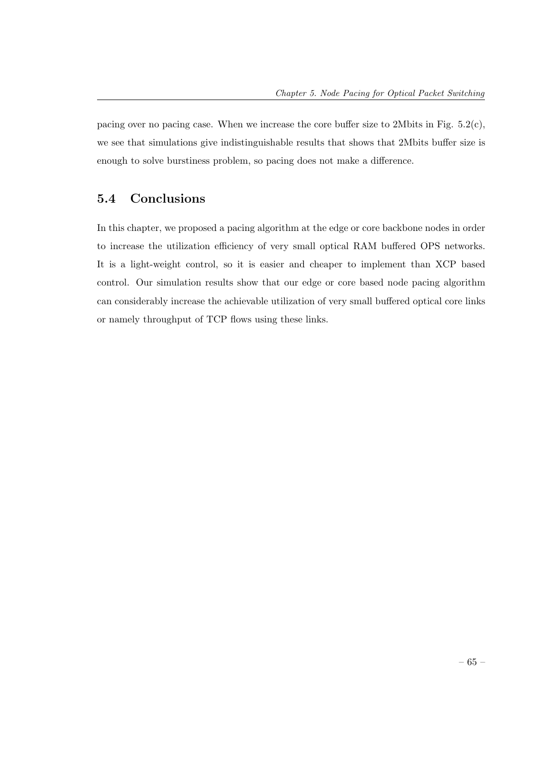pacing over no pacing case. When we increase the core buffer size to 2Mbits in Fig. 5.2(c), we see that simulations give indistinguishable results that shows that 2Mbits buffer size is enough to solve burstiness problem, so pacing does not make a difference.

#### 5.4 Conclusions

In this chapter, we proposed a pacing algorithm at the edge or core backbone nodes in order to increase the utilization efficiency of very small optical RAM buffered OPS networks. It is a light-weight control, so it is easier and cheaper to implement than XCP based control. Our simulation results show that our edge or core based node pacing algorithm can considerably increase the achievable utilization of very small buffered optical core links or namely throughput of TCP flows using these links.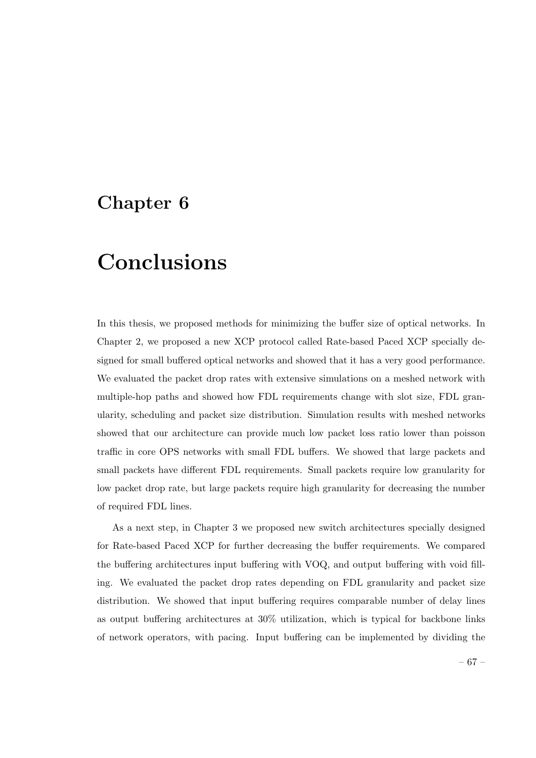### Chapter 6

# Conclusions

In this thesis, we proposed methods for minimizing the buffer size of optical networks. In Chapter 2, we proposed a new XCP protocol called Rate-based Paced XCP specially designed for small buffered optical networks and showed that it has a very good performance. We evaluated the packet drop rates with extensive simulations on a meshed network with multiple-hop paths and showed how FDL requirements change with slot size, FDL granularity, scheduling and packet size distribution. Simulation results with meshed networks showed that our architecture can provide much low packet loss ratio lower than poisson traffic in core OPS networks with small FDL buffers. We showed that large packets and small packets have different FDL requirements. Small packets require low granularity for low packet drop rate, but large packets require high granularity for decreasing the number of required FDL lines.

As a next step, in Chapter 3 we proposed new switch architectures specially designed for Rate-based Paced XCP for further decreasing the buffer requirements. We compared the buffering architectures input buffering with VOQ, and output buffering with void filling. We evaluated the packet drop rates depending on FDL granularity and packet size distribution. We showed that input buffering requires comparable number of delay lines as output buffering architectures at 30% utilization, which is typical for backbone links of network operators, with pacing. Input buffering can be implemented by dividing the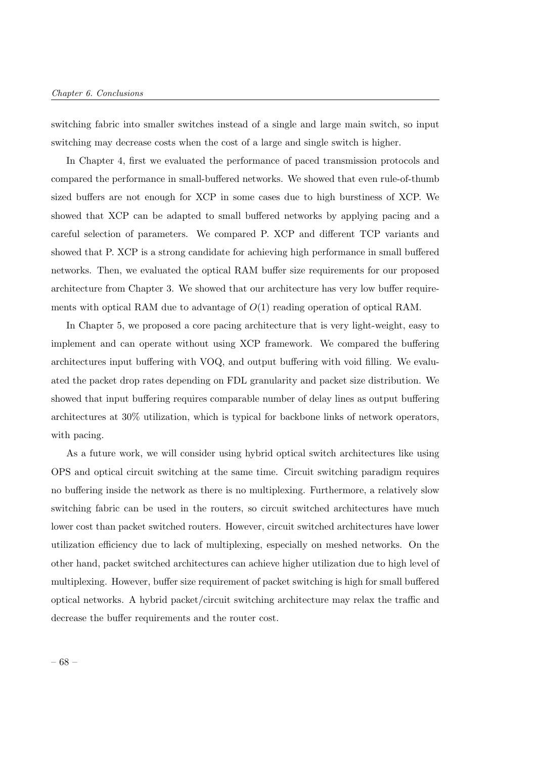switching fabric into smaller switches instead of a single and large main switch, so input switching may decrease costs when the cost of a large and single switch is higher.

In Chapter 4, first we evaluated the performance of paced transmission protocols and compared the performance in small-buffered networks. We showed that even rule-of-thumb sized buffers are not enough for XCP in some cases due to high burstiness of XCP. We showed that XCP can be adapted to small buffered networks by applying pacing and a careful selection of parameters. We compared P. XCP and different TCP variants and showed that P. XCP is a strong candidate for achieving high performance in small buffered networks. Then, we evaluated the optical RAM buffer size requirements for our proposed architecture from Chapter 3. We showed that our architecture has very low buffer requirements with optical RAM due to advantage of  $O(1)$  reading operation of optical RAM.

In Chapter 5, we proposed a core pacing architecture that is very light-weight, easy to implement and can operate without using XCP framework. We compared the buffering architectures input buffering with VOQ, and output buffering with void filling. We evaluated the packet drop rates depending on FDL granularity and packet size distribution. We showed that input buffering requires comparable number of delay lines as output buffering architectures at 30% utilization, which is typical for backbone links of network operators, with pacing.

As a future work, we will consider using hybrid optical switch architectures like using OPS and optical circuit switching at the same time. Circuit switching paradigm requires no buffering inside the network as there is no multiplexing. Furthermore, a relatively slow switching fabric can be used in the routers, so circuit switched architectures have much lower cost than packet switched routers. However, circuit switched architectures have lower utilization efficiency due to lack of multiplexing, especially on meshed networks. On the other hand, packet switched architectures can achieve higher utilization due to high level of multiplexing. However, buffer size requirement of packet switching is high for small buffered optical networks. A hybrid packet/circuit switching architecture may relax the traffic and decrease the buffer requirements and the router cost.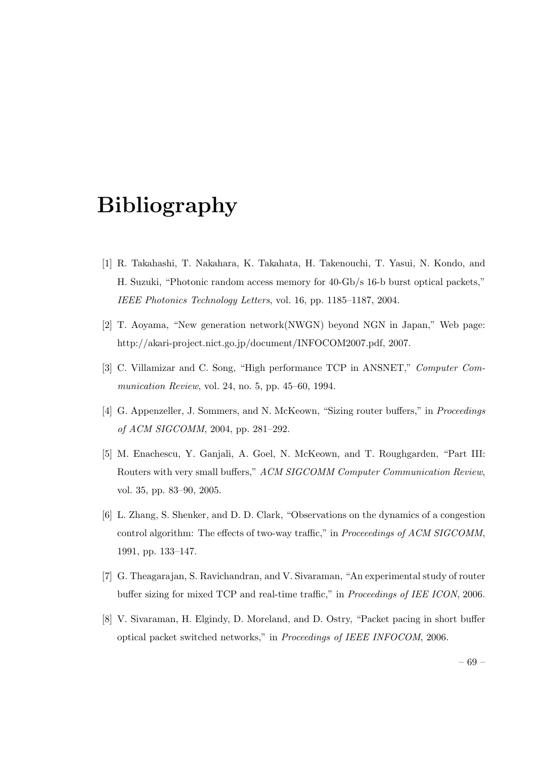# Bibliography

- [1] R. Takahashi, T. Nakahara, K. Takahata, H. Takenouchi, T. Yasui, N. Kondo, and H. Suzuki, "Photonic random access memory for 40-Gb/s 16-b burst optical packets," IEEE Photonics Technology Letters, vol. 16, pp. 1185–1187, 2004.
- [2] T. Aoyama, "New generation network(NWGN) beyond NGN in Japan," Web page: http://akari-project.nict.go.jp/document/INFOCOM2007.pdf, 2007.
- [3] C. Villamizar and C. Song, "High performance TCP in ANSNET," Computer Communication Review, vol. 24, no. 5, pp. 45–60, 1994.
- [4] G. Appenzeller, J. Sommers, and N. McKeown, "Sizing router buffers," in *Proceedings* of ACM SIGCOMM, 2004, pp. 281–292.
- [5] M. Enachescu, Y. Ganjali, A. Goel, N. McKeown, and T. Roughgarden, "Part III: Routers with very small buffers," ACM SIGCOMM Computer Communication Review, vol. 35, pp. 83–90, 2005.
- [6] L. Zhang, S. Shenker, and D. D. Clark, "Observations on the dynamics of a congestion control algorithm: The effects of two-way traffic," in Proceeedings of ACM SIGCOMM, 1991, pp. 133–147.
- [7] G. Theagarajan, S. Ravichandran, and V. Sivaraman, "An experimental study of router buffer sizing for mixed TCP and real-time traffic," in *Proceedings of IEE ICON*, 2006.
- [8] V. Sivaraman, H. Elgindy, D. Moreland, and D. Ostry, "Packet pacing in short buffer optical packet switched networks," in Proceedings of IEEE INFOCOM, 2006.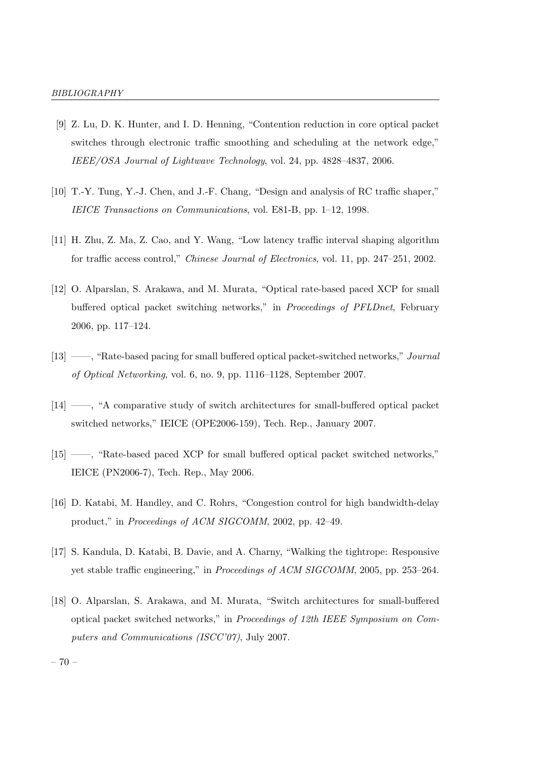- [9] Z. Lu, D. K. Hunter, and I. D. Henning, "Contention reduction in core optical packet switches through electronic traffic smoothing and scheduling at the network edge," IEEE/OSA Journal of Lightwave Technology, vol. 24, pp. 4828–4837, 2006.
- [10] T.-Y. Tung, Y.-J. Chen, and J.-F. Chang, "Design and analysis of RC traffic shaper," IEICE Transactions on Communications, vol. E81-B, pp. 1–12, 1998.
- [11] H. Zhu, Z. Ma, Z. Cao, and Y. Wang, "Low latency traffic interval shaping algorithm for traffic access control," Chinese Journal of Electronics, vol. 11, pp. 247–251, 2002.
- [12] O. Alparslan, S. Arakawa, and M. Murata, "Optical rate-based paced XCP for small buffered optical packet switching networks," in Proceedings of PFLDnet, February 2006, pp. 117–124.
- [13] ——, "Rate-based pacing for small buffered optical packet-switched networks," Journal of Optical Networking, vol. 6, no. 9, pp. 1116–1128, September 2007.
- [14] ——, "A comparative study of switch architectures for small-buffered optical packet switched networks," IEICE (OPE2006-159), Tech. Rep., January 2007.
- [15] ——, "Rate-based paced XCP for small buffered optical packet switched networks," IEICE (PN2006-7), Tech. Rep., May 2006.
- [16] D. Katabi, M. Handley, and C. Rohrs, "Congestion control for high bandwidth-delay product," in Proceedings of ACM SIGCOMM, 2002, pp. 42–49.
- [17] S. Kandula, D. Katabi, B. Davie, and A. Charny, "Walking the tightrope: Responsive yet stable traffic engineering," in Proceedings of ACM SIGCOMM, 2005, pp. 253–264.
- [18] O. Alparslan, S. Arakawa, and M. Murata, "Switch architectures for small-buffered optical packet switched networks," in Proceedings of 12th IEEE Symposium on Computers and Communications (ISCC'07), July 2007.

– 70 –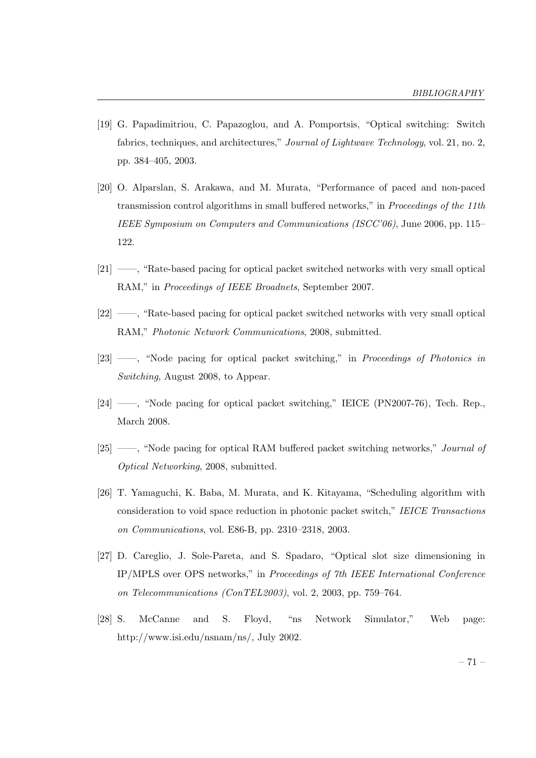- [19] G. Papadimitriou, C. Papazoglou, and A. Pomportsis, "Optical switching: Switch fabrics, techniques, and architectures," *Journal of Lightwave Technology*, vol. 21, no. 2, pp. 384–405, 2003.
- [20] O. Alparslan, S. Arakawa, and M. Murata, "Performance of paced and non-paced transmission control algorithms in small buffered networks," in Proceedings of the 11th IEEE Symposium on Computers and Communications (ISCC'06), June 2006, pp. 115– 122.
- [21] ——, "Rate-based pacing for optical packet switched networks with very small optical RAM," in Proceedings of IEEE Broadnets, September 2007.
- [22] ——, "Rate-based pacing for optical packet switched networks with very small optical RAM," Photonic Network Communications, 2008, submitted.
- [23] ——, "Node pacing for optical packet switching," in Proceedings of Photonics in Switching, August 2008, to Appear.
- [24] ——, "Node pacing for optical packet switching," IEICE (PN2007-76), Tech. Rep., March 2008.
- [25] ——, "Node pacing for optical RAM buffered packet switching networks," Journal of Optical Networking, 2008, submitted.
- [26] T. Yamaguchi, K. Baba, M. Murata, and K. Kitayama, "Scheduling algorithm with consideration to void space reduction in photonic packet switch," IEICE Transactions on Communications, vol. E86-B, pp. 2310–2318, 2003.
- [27] D. Careglio, J. Sole-Pareta, and S. Spadaro, "Optical slot size dimensioning in IP/MPLS over OPS networks," in Proceedings of 7th IEEE International Conference on Telecommunications (ConTEL2003), vol. 2, 2003, pp. 759–764.
- [28] S. McCanne and S. Floyd, "ns Network Simulator," Web page: http://www.isi.edu/nsnam/ns/, July 2002.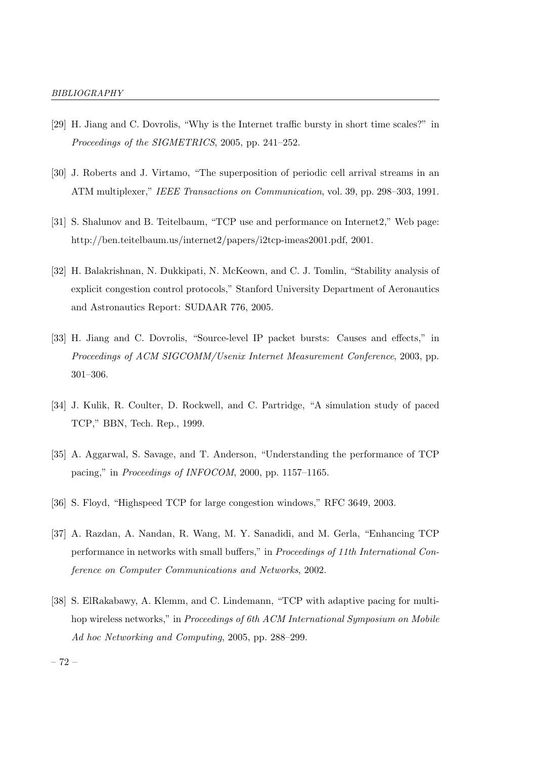- [29] H. Jiang and C. Dovrolis, "Why is the Internet traffic bursty in short time scales?" in Proceedings of the SIGMETRICS, 2005, pp. 241–252.
- [30] J. Roberts and J. Virtamo, "The superposition of periodic cell arrival streams in an ATM multiplexer," IEEE Transactions on Communication, vol. 39, pp. 298–303, 1991.
- [31] S. Shalunov and B. Teitelbaum, "TCP use and performance on Internet2," Web page: http://ben.teitelbaum.us/internet2/papers/i2tcp-imeas2001.pdf, 2001.
- [32] H. Balakrishnan, N. Dukkipati, N. McKeown, and C. J. Tomlin, "Stability analysis of explicit congestion control protocols," Stanford University Department of Aeronautics and Astronautics Report: SUDAAR 776, 2005.
- [33] H. Jiang and C. Dovrolis, "Source-level IP packet bursts: Causes and effects," in Proceedings of ACM SIGCOMM/Usenix Internet Measurement Conference, 2003, pp. 301–306.
- [34] J. Kulik, R. Coulter, D. Rockwell, and C. Partridge, "A simulation study of paced TCP," BBN, Tech. Rep., 1999.
- [35] A. Aggarwal, S. Savage, and T. Anderson, "Understanding the performance of TCP pacing," in Proceedings of INFOCOM, 2000, pp. 1157–1165.
- [36] S. Floyd, "Highspeed TCP for large congestion windows," RFC 3649, 2003.
- [37] A. Razdan, A. Nandan, R. Wang, M. Y. Sanadidi, and M. Gerla, "Enhancing TCP performance in networks with small buffers," in Proceedings of 11th International Conference on Computer Communications and Networks, 2002.
- [38] S. ElRakabawy, A. Klemm, and C. Lindemann, "TCP with adaptive pacing for multihop wireless networks," in *Proceedings of 6th ACM International Symposium on Mobile* Ad hoc Networking and Computing, 2005, pp. 288–299.

– 72 –